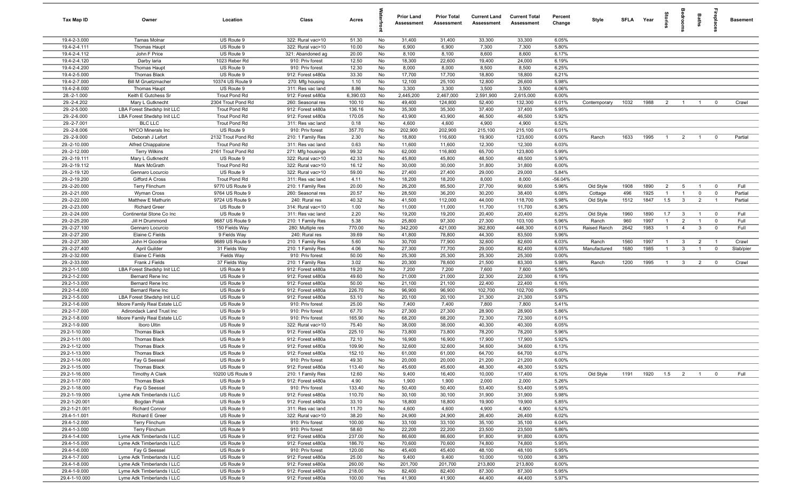| Tax Map ID                     | Owner                                                    | Location                            | Class                                  | Acres              |          | <b>Prior Land</b><br>Assessment | <b>Prior Total</b><br>Assessment | <b>Current Land</b><br>Assessment | <b>Current Total</b><br><b>Assessment</b> | Percent<br>Change | Style        | <b>SFI A</b> | Year | tories                           | grooi                            | Baths          |                         | <b>Basement</b> |
|--------------------------------|----------------------------------------------------------|-------------------------------------|----------------------------------------|--------------------|----------|---------------------------------|----------------------------------|-----------------------------------|-------------------------------------------|-------------------|--------------|--------------|------|----------------------------------|----------------------------------|----------------|-------------------------|-----------------|
| 19.4-2-3.000                   | <b>Tamas Molnar</b>                                      | US Route 9                          | 322: Rural vac>10                      | 51.30              | No       | 31,400                          | 31,400                           | 33,300                            | 33,300                                    | 6.05%             |              |              |      |                                  |                                  |                |                         |                 |
| 19.4-2-4.111                   | <b>Thomas Haupt</b>                                      | US Route 9                          | 322: Rural vac>10                      | 10.00              | No       | 6,900                           | 6,900                            | 7,300                             | 7,300                                     | 5.80%             |              |              |      |                                  |                                  |                |                         |                 |
| 19.4-2-4.112                   | John F Price                                             | US Route 9                          | 321: Abandoned ag                      | 20.00              | No       | 8,100                           | 8,100                            | 8,600                             | 8,600                                     | 6.17%             |              |              |      |                                  |                                  |                |                         |                 |
| 19.4-2-4.120                   | Darby laria                                              | 1023 Reber Rd                       | 910: Priv forest                       | 12.50              | No       | 18,300                          | 22,600                           | 19,400                            | 24,000                                    | 6.19%             |              |              |      |                                  |                                  |                |                         |                 |
| 19.4-2-4.200                   | <b>Thomas Haupt</b>                                      | US Route 9                          | 910: Priv forest                       | 12.30              | No       | 8,000                           | 8,000                            | 8,500                             | 8,500                                     | 6.25%             |              |              |      |                                  |                                  |                |                         |                 |
| 19.4-2-5.000                   | <b>Thomas Black</b>                                      | US Route 9                          | 912: Forest s480a                      | 33.30              | No       | 17,700                          | 17,700                           | 18,800                            | 18,800                                    | 6.21%             |              |              |      |                                  |                                  |                |                         |                 |
| 19.4-2-7.000                   | <b>Bill M Gruetzmacher</b>                               | 10374 US Route 9                    | 270: Mfg housing                       | 1.10               | No       | 12,100                          | 25,100                           | 12,800                            | 26,600                                    | 5.98%             |              |              |      |                                  |                                  |                |                         |                 |
| 19.4-2-8.000                   | <b>Thomas Haupt</b>                                      | US Route 9                          | 311: Res vac land                      | 8.86               | No       | 3,300                           | 3,300                            | 3,500                             | 3,500                                     | 6.06%             |              |              |      |                                  |                                  |                |                         |                 |
| 28.-2-1.000<br>29.-2-4.202     | Keith E Gutchess Sr<br>Mary L Gutknecht                  | Trout Pond Rd<br>2304 Trout Pond Rd | 912: Forest s480a<br>260: Seasonal res | 6,390.03<br>100.10 | No<br>No | 2,445,200<br>49,400             | 2,467,000<br>124,800             | 2,591,900<br>52,400               | 2,615,000<br>132,300                      | 6.00%<br>6.01%    | Contemporary | 1032         | 1988 | $\overline{2}$                   | $\overline{1}$                   | $\overline{1}$ | $\mathbf 0$             | Crawl           |
| 29.-2-5.000                    | LBA Forest Stwdshp Init LLC                              | Trout Pond Rd                       | 912: Forest s480a                      | 136.16             | No       | 35,300                          | 35,300                           | 37,400                            | 37,400                                    | 5.95%             |              |              |      |                                  |                                  |                |                         |                 |
| 29.-2-6.000                    | LBA Forest Stwdshp Init LLC                              | <b>Trout Pond Rd</b>                | 912: Forest s480a                      | 170.05             | No       | 43,900                          | 43,900                           | 46,500                            | 46,500                                    | 5.92%             |              |              |      |                                  |                                  |                |                         |                 |
| 29.-2-7.001                    | <b>BLC LLC</b>                                           | Trout Pond Rd                       | 311: Res vac land                      | 0.18               | No       | 4,600                           | 4,600                            | 4,900                             | 4,900                                     | 6.52%             |              |              |      |                                  |                                  |                |                         |                 |
| 29.-2-8.006                    | NYCO Minerals Inc                                        | US Route 9                          | 910: Priv forest                       | 357.70             | No       | 202,900                         | 202,900                          | 215,100                           | 215,100                                   | 6.01%             |              |              |      |                                  |                                  |                |                         |                 |
| 29.-2-9.000                    | Deborah J Lefort                                         | 2132 Trout Pond Rd                  | 210: 1 Family Res                      | 2.30               | No       | 18,800                          | 116,600                          | 19,900                            | 123,600                                   | 6.00%             | Ranch        | 1633         | 1995 | $\overline{1}$                   | $\overline{2}$                   | $\overline{1}$ | $\mathbf 0$             | Partial         |
| 29.-2-10.000                   | Alfred Chiappalone                                       | Trout Pond Rd                       | 311: Res vac land                      | 0.63               | No       | 11,600                          | 11,600                           | 12,300                            | 12,300                                    | 6.03%             |              |              |      |                                  |                                  |                |                         |                 |
| 29.-2-12.000                   | <b>Terry Wilkins</b>                                     | 2161 Trout Pond Rd                  | 271: Mfg housings                      | 99.32              | No       | 62,000                          | 116,800                          | 65,700                            | 123,800                                   | 5.99%             |              |              |      |                                  |                                  |                |                         |                 |
| 29.-2-19.111                   | Mary L Gutknecht                                         | US Route 9                          | 322: Rural vac>10                      | 42.33              | No       | 45,800                          | 45,800                           | 48,500                            | 48,500                                    | 5.90%             |              |              |      |                                  |                                  |                |                         |                 |
| 29.-2-19.112                   | Mark McGrath                                             | <b>Trout Pond Rd</b>                | 322: Rural vac>10                      | 16.12              | No       | 30,000                          | 30,000                           | 31,800                            | 31,800                                    | 6.00%             |              |              |      |                                  |                                  |                |                         |                 |
| 29.-2-19.120                   | Gennaro Locurcio                                         | US Route 9                          | 322: Rural vac>10                      | 59.00              | No       | 27,400                          | 27,400                           | 29,000                            | 29,000                                    | 5.84%             |              |              |      |                                  |                                  |                |                         |                 |
| 29.-2-19.200                   | Gifford A Cross                                          | <b>Trout Pond Rd</b>                | 311: Res vac land                      | 4.11               | No       | 18,200                          | 18,200                           | 8,000                             | 8,000                                     | $-56.04%$         |              |              |      |                                  |                                  |                |                         |                 |
| 29.-2-20.000                   | <b>Terry Flinchum</b>                                    | 9770 US Route 9                     | 210: 1 Family Res                      | 20.00              | No       | 26,200                          | 85,500                           | 27,700                            | 90,600                                    | 5.96%             | Old Style    | 1908         | 1890 | $\overline{2}$                   | 5                                | $\overline{1}$ | $\overline{0}$          | Full            |
| 29.-2-21.000                   | Wyman Cross                                              | 9764 US Route 9                     | 260: Seasonal res                      | 20.57              | No       | 28,500                          | 36,200                           | 30,200                            | 38,400                                    | 6.08%             | Cottage      | 496          | 1925 | $\overline{1}$                   | $\overline{1}$                   | $\mathbf 0$    | $\overline{\mathbf{0}}$ | Partial         |
| 29.-2-22.000                   | Matthew E Mathurin                                       | 9724 US Route 9                     | 240: Rural res                         | 40.32              | No       | 41,500                          | 112,000                          | 44,000                            | 118,700                                   | 5.98%             | Old Style    | 1512         | 1847 | 1.5                              | $\mathbf{3}$                     | $\overline{2}$ | $\overline{1}$          | Partial         |
| 29.-2-23.000                   | <b>Richard Greer</b>                                     | US Route 9                          | 314: Rural vac<10                      | 1.00               | No       | 11,000                          | 11,000                           | 11,700                            | 11,700                                    | 6.36%             |              |              |      |                                  |                                  |                |                         |                 |
| 29.-2-24.000                   | Continental Stone Co Inc                                 | US Route 9                          | 311: Res vac land                      | 2.20               | No       | 19,200                          | 19,200                           | 20,400                            | 20,400                                    | 6.25%             | Old Style    | 1960         | 1890 | 1.7                              | $\overline{3}$                   | $\overline{1}$ | $\mathbf 0$             | Full            |
| 29.-2-25.200                   | Jill H Drummond                                          | 9687 US Route 9                     | 210: 1 Family Res                      | 5.38               | No       | 25,800                          | 97,300                           | 27,300                            | 103,100                                   | 5.96%             | Ranch        | 960          | 1997 | $\overline{1}$<br>$\overline{1}$ | $\overline{2}$<br>$\overline{4}$ | $\overline{1}$ | $\mathbf 0$             | Full<br>Full    |
| 29.-2-27.100<br>29.-2-27.200   | Gennaro Locurcio<br>Elaine C Fields                      | 150 Fields Way<br>9 Fields Way      | 280: Multiple res<br>240: Rural res    | 770.00<br>39.69    | No       | 342,200<br>41,800               | 421,000<br>78,800                | 362,800<br>44,300                 | 446,300<br>83,500                         | 6.01%<br>5.96%    | Raised Ranch | 2642         | 1983 |                                  |                                  | $\mathbf{3}$   | $\mathbf 0$             |                 |
| 29.-2-27.300                   | John H Goodroe                                           | 9689 US Route 9                     | 210: 1 Family Res                      | 5.60               | No<br>No | 30,700                          | 77,900                           | 32,600                            | 82,600                                    | 6.03%             | Ranch        | 1560         | 1997 | $\mathbf{1}$                     | $\mathbf{3}$                     | $\overline{2}$ | $\overline{1}$          | Crawl           |
| 29.-2-27.400                   | April Guilder                                            | 31 Fields Way                       | 210: 1 Family Res                      | 4.06               | No       | 27,300                          | 77,700                           | 29,000                            | 82,400                                    | 6.05%             | Manufactured | 1680         | 1985 | $\overline{1}$                   | $\mathbf{3}$                     | $\overline{1}$ | $\overline{\mathbf{0}}$ | Slab/pier       |
| 29.-2-32.000                   | Elaine C Fields                                          | Fields Way                          | 910: Priv forest                       | 50.00              | No       | 25,300                          | 25,300                           | 25,300                            | 25,300                                    | 0.00%             |              |              |      |                                  |                                  |                |                         |                 |
| 29.-2-33.000                   | Frank J Fields                                           | 37 Fields Way                       | 210: 1 Family Res                      | 3.02               | No       | 20,300                          | 78,600                           | 21,500                            | 83,300                                    | 5.98%             | Ranch        | 1200         | 1995 | $\overline{1}$                   | $\overline{\mathbf{3}}$          | $\overline{2}$ | $\overline{\mathbf{0}}$ | Crawl           |
| 29.2-1-1.000                   | LBA Forest Stwdshp Init LLC                              | US Route 9                          | 912: Forest s480a                      | 19.20              | No       | 7,200                           | 7,200                            | 7,600                             | 7,600                                     | 5.56%             |              |              |      |                                  |                                  |                |                         |                 |
| 29.2-1-2.000                   | Bernard Rene Inc                                         | US Route 9                          | 912: Forest s480a                      | 49.60              | No       | 21,000                          | 21,000                           | 22,300                            | 22,300                                    | 6.19%             |              |              |      |                                  |                                  |                |                         |                 |
| 29.2-1-3.000                   | Bernard Rene Inc                                         | US Route 9                          | 912: Forest s480a                      | 50.00              | No       | 21,100                          | 21,100                           | 22,400                            | 22,400                                    | 6.16%             |              |              |      |                                  |                                  |                |                         |                 |
| 29.2-1-4.000                   | Bernard Rene Inc                                         | US Route 9                          | 912: Forest s480a                      | 226.70             | No       | 96,900                          | 96,900                           | 102,700                           | 102,700                                   | 5.99%             |              |              |      |                                  |                                  |                |                         |                 |
| 29.2-1-5.000                   | LBA Forest Stwdshp Init LLC                              | US Route 9                          | 912: Forest s480a                      | 53.10              | No       | 20,100                          | 20,100                           | 21,300                            | 21,300                                    | 5.97%             |              |              |      |                                  |                                  |                |                         |                 |
| 29.2-1-6.000                   | Moore Family Real Estate LLC                             | US Route 9                          | 910: Priv forest                       | 25.00              | No       | 7,400                           | 7,400                            | 7,800                             | 7,800                                     | 5.41%             |              |              |      |                                  |                                  |                |                         |                 |
| 29.2-1-7.000                   | Adirondack Land Trust Inc                                | US Route 9                          | 910: Priv forest                       | 67.70              | No       | 27,300                          | 27,300                           | 28,900                            | 28,900                                    | 5.86%             |              |              |      |                                  |                                  |                |                         |                 |
| 29.2-1-8.000                   | Moore Family Real Estate LLC                             | US Route 9                          | 910: Priv forest                       | 165.90             | No       | 68,200                          | 68,200                           | 72,300                            | 72,300                                    | 6.01%             |              |              |      |                                  |                                  |                |                         |                 |
| 29.2-1-9.000                   | Iboro Ultin                                              | US Route 9                          | 322: Rural vac>10                      | 75.40              | No       | 38,000                          | 38,000                           | 40,300                            | 40,300                                    | 6.05%             |              |              |      |                                  |                                  |                |                         |                 |
| 29.2-1-10.000<br>29.2-1-11.000 | <b>Thomas Black</b><br><b>Thomas Black</b>               | US Route 9<br>US Route 9            | 912: Forest s480a<br>912: Forest s480a | 225.10<br>72.10    | No<br>No | 73,800<br>16,900                | 73,800<br>16,900                 | 78,200<br>17,900                  | 78,200<br>17,900                          | 5.96%<br>5.92%    |              |              |      |                                  |                                  |                |                         |                 |
| 29.2-1-12.000                  | <b>Thomas Black</b>                                      | US Route 9                          | 912: Forest s480a                      | 109.90             | No       | 32,600                          | 32,600                           | 34,600                            | 34,600                                    | 6.13%             |              |              |      |                                  |                                  |                |                         |                 |
| 29.2-1-13.000                  | <b>Thomas Black</b>                                      | US Route 9                          | 912: Forest s480a                      | 152.10             | No       | 61,000                          | 61,000                           | 64,700                            | 64,700                                    | 6.07%             |              |              |      |                                  |                                  |                |                         |                 |
| 29.2-1-14.000                  | Fay G Seessel                                            | US Route 9                          | 910: Priv forest                       | 49.30              | No       | 20,000                          | 20,000                           | 21,200                            | 21,200                                    | 6.00%             |              |              |      |                                  |                                  |                |                         |                 |
| 29.2-1-15.000                  | <b>Thomas Black</b>                                      | US Route 9                          | 912: Forest s480a                      | 113.40             | No       | 45,600                          | 45,600                           | 48,300                            | 48,300                                    | 5.92%             |              |              |      |                                  |                                  |                |                         |                 |
| 29.2-1-16.000                  | <b>Timothy A Clark</b>                                   | 10200 US Route 9                    | 210: 1 Family Res                      | 12.60              | No       | 9,400                           | 16,400                           | 10,000                            | 17,400                                    | 6.10%             | Old Style    | 1191         | 1920 | $1.5 \t 2$                       |                                  | $\overline{1}$ | $\overline{0}$          | Full            |
| 29.2-1-17.000                  | <b>Thomas Black</b>                                      | US Route 9                          | 912: Forest s480a                      | 4.90               | No       | 1,900                           | 1,900                            | 2,000                             | 2,000                                     | 5.26%             |              |              |      |                                  |                                  |                |                         |                 |
| 29.2-1-18.000                  | Fay G Seessel                                            | US Route 9                          | 910: Priv forest                       | 133.40             | No       | 50,400                          | 50,400                           | 53,400                            | 53,400                                    | 5.95%             |              |              |      |                                  |                                  |                |                         |                 |
| 29.2-1-19.000                  | Lyme Adk Timberlands I LLC                               | US Route 9                          | 912: Forest s480a                      | 110.70             | No       | 30,100                          | 30,100                           | 31,900                            | 31,900                                    | 5.98%             |              |              |      |                                  |                                  |                |                         |                 |
| 29.2-1-20.001                  | Bogdan Polak                                             | US Route 9                          | 912: Forest s480a                      | 33.10              | No       | 18,800                          | 18,800                           | 19,900                            | 19,900                                    | 5.85%             |              |              |      |                                  |                                  |                |                         |                 |
| 29.2-1-21.001                  | Richard Connor                                           | US Route 9                          | 311: Res vac land                      | 11.70              | No       | 4,600                           | 4,600                            | 4,900                             | 4,900                                     | 6.52%             |              |              |      |                                  |                                  |                |                         |                 |
| 29.4-1-1.001                   | Richard E Greer                                          | US Route 9                          | 322: Rural vac>10                      | 38.20              | No       | 24,900                          | 24,900                           | 26,400                            | 26,400                                    | 6.02%             |              |              |      |                                  |                                  |                |                         |                 |
| 29.4-1-2.000                   | <b>Terry Flinchum</b>                                    | US Route 9                          | 910: Priv forest                       | 100.00             | No       | 33,100                          | 33,100                           | 35,100                            | 35,100                                    | 6.04%             |              |              |      |                                  |                                  |                |                         |                 |
| 29.4-1-3.000                   | <b>Terry Flinchum</b>                                    | US Route 9                          | 910: Priv forest                       | 58.60              | No       | 22,200                          | 22,200                           | 23,500                            | 23,500                                    | 5.86%             |              |              |      |                                  |                                  |                |                         |                 |
| 29.4-1-4.000                   | Lyme Adk Timberlands I LLC                               | US Route 9                          | 912: Forest s480a                      | 237.00             | No       | 86,600                          | 86,600                           | 91,800                            | 91,800                                    | 6.00%             |              |              |      |                                  |                                  |                |                         |                 |
| 29.4-1-5.000<br>29.4-1-6.000   | Lyme Adk Timberlands I LLC<br>Fay G Seessel              | US Route 9<br>US Route 9            | 912: Forest s480a<br>910: Priv forest  | 186.70<br>120.00   | No<br>No | 70,600<br>45,400                | 70,600<br>45,400                 | 74,800<br>48,100                  | 74,800<br>48,100                          | 5.95%<br>5.95%    |              |              |      |                                  |                                  |                |                         |                 |
| 29.4-1-7.000                   | Lyme Adk Timberlands I LLC                               | US Route 9                          | 912: Forest s480a                      | 25.00              | No       | 9,400                           | 9,400                            | 10,000                            | 10,000                                    | 6.38%             |              |              |      |                                  |                                  |                |                         |                 |
|                                |                                                          |                                     |                                        |                    |          |                                 |                                  |                                   |                                           |                   |              |              |      |                                  |                                  |                |                         |                 |
|                                |                                                          |                                     |                                        |                    |          |                                 |                                  |                                   |                                           |                   |              |              |      |                                  |                                  |                |                         |                 |
| 29.4-1-8.000<br>29.4-1-9.000   | Lyme Adk Timberlands I LLC<br>Lyme Adk Timberlands I LLC | US Route 9<br>US Route 9            | 912: Forest s480a<br>912: Forest s480a | 260.00<br>218.00   | No<br>No | 201,700<br>82,400               | 201,700<br>82,400                | 213,800<br>87,300                 | 213,800<br>87,300                         | 6.00%<br>5.95%    |              |              |      |                                  |                                  |                |                         |                 |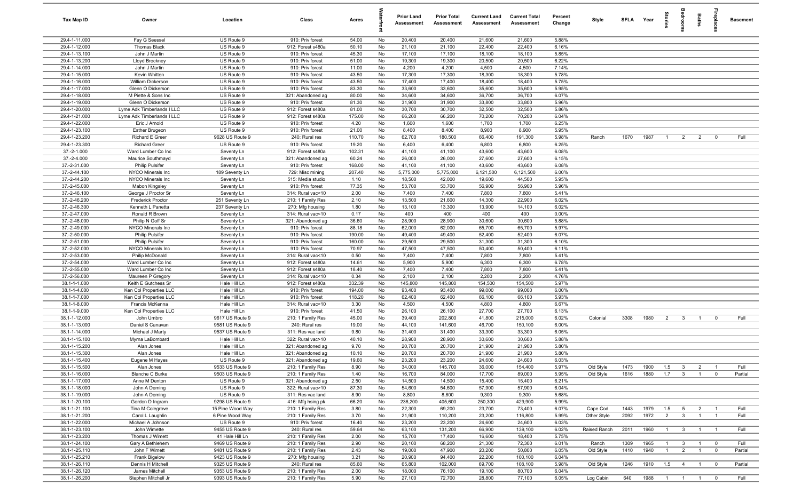| Tax Map ID                     | Owner                                   | Location                        | Class                                  | Acres           |          | <b>Prior Land</b><br>Assessment | <b>Prior Total</b><br>Assessment | <b>Current Land</b><br><b>Assessment</b> | <b>Current Total</b><br>Assessment | Percent<br>Change | Style        | SFLA Year |      | Stories        | droom                   | Baths          | ireplace                | <b>Basement</b> |
|--------------------------------|-----------------------------------------|---------------------------------|----------------------------------------|-----------------|----------|---------------------------------|----------------------------------|------------------------------------------|------------------------------------|-------------------|--------------|-----------|------|----------------|-------------------------|----------------|-------------------------|-----------------|
| 29.4-1-11.000                  | Fay G Seessel                           | US Route 9                      | 910: Priv forest                       | 54.00           | No       | 20,400                          | 20,400                           | 21,600                                   | 21,600                             | 5.88%             |              |           |      |                |                         |                |                         |                 |
| 29.4-1-12.000                  | Thomas Black                            | US Route 9                      | 912: Forest s480a                      | 50.10           | No       | 21,100                          | 21,100                           | 22,400                                   | 22,400                             | 6.16%             |              |           |      |                |                         |                |                         |                 |
| 29.4-1-13.100                  | John J Martin                           | US Route 9                      | 910: Priv forest                       | 45.30           | No       | 17,100                          | 17,100                           | 18,100                                   | 18,100                             | 5.85%             |              |           |      |                |                         |                |                         |                 |
| 29.4-1-13.200                  | Lloyd Brockney                          | US Route 9                      | 910: Priv forest                       | 51.00           | No       | 19,300                          | 19,300                           | 20,500                                   | 20,500                             | 6.22%             |              |           |      |                |                         |                |                         |                 |
| 29.4-1-14.000<br>29.4-1-15.000 | John J Martin<br>Kevin Whitten          | US Route 9<br>US Route 9        | 910: Priv forest<br>910: Priv forest   | 11.00<br>43.50  | No<br>No | 4,200<br>17,300                 | 4,200<br>17,300                  | 4,500<br>18,300                          | 4,500<br>18,300                    | 7.14%<br>5.78%    |              |           |      |                |                         |                |                         |                 |
| 29.4-1-16.000                  | <b>William Dickerson</b>                | US Route 9                      | 910: Priv forest                       | 43.50           | No       | 17,400                          | 17,400                           | 18,400                                   | 18,400                             | 5.75%             |              |           |      |                |                         |                |                         |                 |
| 29.4-1-17.000                  | Glenn O Dickerson                       | US Route 9                      | 910: Priv forest                       | 83.30           | No       | 33,600                          | 33,600                           | 35,600                                   | 35,600                             | 5.95%             |              |           |      |                |                         |                |                         |                 |
| 29.4-1-18.000                  | M Piette & Sons Inc                     | US Route 9                      | 321: Abandoned ag                      | 80.00           | No       | 34,600                          | 34,600                           | 36,700                                   | 36,700                             | 6.07%             |              |           |      |                |                         |                |                         |                 |
| 29.4-1-19.000                  | Glenn O Dickerson                       | US Route 9                      | 910: Priv forest                       | 81.30           | No       | 31,900                          | 31,900                           | 33,800                                   | 33,800                             | 5.96%             |              |           |      |                |                         |                |                         |                 |
| 29.4-1-20.000                  | Lyme Adk Timberlands I LLC              | US Route 9                      | 912: Forest s480a                      | 81.00           | No       | 30,700                          | 30,700                           | 32,500                                   | 32,500                             | 5.86%             |              |           |      |                |                         |                |                         |                 |
| 29.4-1-21.000                  | Lyme Adk Timberlands I LLC              | US Route 9                      | 912: Forest s480a                      | 175.00          | No       | 66,200                          | 66,200                           | 70,200                                   | 70,200                             | 6.04%             |              |           |      |                |                         |                |                         |                 |
| 29.4-1-22.000                  | Eric J Arnold                           | US Route 9                      | 910: Priv forest                       | 4.20            | No       | 1,600                           | 1,600                            | 1,700                                    | 1,700                              | 6.25%             |              |           |      |                |                         |                |                         |                 |
| 29.4-1-23.100                  | <b>Esther Brugeon</b>                   | US Route 9                      | 910: Priv forest                       | 21.00           | No       | 8,400                           | 8,400                            | 8,900                                    | 8,900                              | 5.95%             |              |           |      |                |                         |                |                         |                 |
| 29.4-1-23.200                  | Richard E Greer                         | 9628 US Route 9                 | 240: Rural res                         | 110.70          | No       | 62,700                          | 180,500                          | 66,400                                   | 191,300                            | 5.98%             | Ranch        | 1670      | 1987 | $\overline{1}$ | $\overline{2}$          | $\overline{2}$ | $^{\circ}$              | Full            |
| 29.4-1-23.300                  | <b>Richard Greer</b>                    | US Route 9                      | 910: Priv forest                       | 19.20           | No       | 6,400                           | 6,400                            | 6,800                                    | 6,800                              | 6.25%             |              |           |      |                |                         |                |                         |                 |
| $37.-2-1.000$                  | Ward Lumber Co Inc<br>Maurice Southmayd | Seventy Ln                      | 912: Forest s480a                      | 102.31          | No       | 41,100                          | 41,100                           | 43,600                                   | 43,600                             | 6.08%             |              |           |      |                |                         |                |                         |                 |
| 37.-2-4.000<br>37.-2-31.000    | Philip Pulsifer                         | Seventy Ln<br>Seventy Ln        | 321: Abandoned ag<br>910: Priv forest  | 60.24<br>168.00 | No<br>No | 26,000<br>41,100                | 26,000<br>41,100                 | 27,600<br>43,600                         | 27,600<br>43,600                   | 6.15%<br>6.08%    |              |           |      |                |                         |                |                         |                 |
| 37.-2-44.100                   | NYCO Minerals Inc                       | 189 Seventy Ln                  | 729: Misc mining                       | 207.40          | No       | 5,775,000                       | 5,775,000                        | 6,121,500                                | 6,121,500                          | 6.00%             |              |           |      |                |                         |                |                         |                 |
| 37.-2-44.200                   | NYCO Minerals Inc                       | Seventy Ln                      | 515: Media studio                      | 1.10            | No       | 18,500                          | 42,000                           | 19,600                                   | 44,500                             | 5.95%             |              |           |      |                |                         |                |                         |                 |
| 37.-2-45.000                   | Mabon Kingsley                          | Seventy Ln                      | 910: Priv forest                       | 77.35           | No       | 53,700                          | 53,700                           | 56,900                                   | 56,900                             | 5.96%             |              |           |      |                |                         |                |                         |                 |
| 37.-2-46.100                   | George J Proctor Sr                     | Seventy Ln                      | 314: Rural vac<10                      | 2.00            | No       | 7,400                           | 7,400                            | 7,800                                    | 7,800                              | 5.41%             |              |           |      |                |                         |                |                         |                 |
| 37.-2-46.200                   | <b>Frederick Proctor</b>                | 251 Seventy Ln                  | 210: 1 Family Res                      | 2.10            | No       | 13,500                          | 21,600                           | 14,300                                   | 22,900                             | 6.02%             |              |           |      |                |                         |                |                         |                 |
| 37.-2-46.300                   | Kenneth L Panetta                       | 237 Seventy Ln                  | 270: Mfg housing                       | 1.80            | No       | 13,100                          | 13,300                           | 13,900                                   | 14,100                             | 6.02%             |              |           |      |                |                         |                |                         |                 |
| 37.-2-47.000                   | Ronald R Brown                          | Seventy Ln                      | 314: Rural vac<10                      | 0.17            | No       | 400                             | 400                              | 400                                      | 400                                | 0.00%             |              |           |      |                |                         |                |                         |                 |
| 37.-2-48.000                   | Philip N Goff Sr                        | Seventy Ln                      | 321: Abandoned ag                      | 36.60           | No       | 28,900                          | 28,900                           | 30,600                                   | 30,600                             | 5.88%             |              |           |      |                |                         |                |                         |                 |
| 37.-2-49.000                   | NYCO Minerals Inc                       | Seventy Ln                      | 910: Priv forest                       | 88.18           | No       | 62,000                          | 62,000                           | 65,700                                   | 65,700                             | 5.97%             |              |           |      |                |                         |                |                         |                 |
| 37.-2-50.000                   | Philip Pulsifer                         | Seventy Ln                      | 910: Priv forest                       | 190.00          | No       | 49,400                          | 49,400                           | 52,400                                   | 52,400                             | 6.07%             |              |           |      |                |                         |                |                         |                 |
| 37.-2-51.000                   | <b>Philip Pulsifer</b>                  | Seventy Ln                      | 910: Priv forest                       | 160.00          | No       | 29,500                          | 29,500                           | 31,300                                   | 31,300                             | 6.10%             |              |           |      |                |                         |                |                         |                 |
| 37.-2-52.000<br>37.-2-53.000   | NYCO Minerals Inc<br>Philip McDonald    | Seventy Ln<br>Seventy Ln        | 910: Priv forest<br>314: Rural vac<10  | 70.97<br>0.50   | No<br>No | 47,500<br>7,400                 | 47,500<br>7,400                  | 50,400<br>7,800                          | 50,400<br>7,800                    | 6.11%<br>5.41%    |              |           |      |                |                         |                |                         |                 |
| 37.-2-54.000                   | Ward Lumber Co Inc                      | Seventy Ln                      | 912: Forest s480a                      | 14.61           | No       | 5,900                           | 5,900                            | 6,300                                    | 6,300                              | 6.78%             |              |           |      |                |                         |                |                         |                 |
| 37.-2-55.000                   | Ward Lumber Co Inc                      | Seventy Ln                      | 912: Forest s480a                      | 18.40           | No       | 7,400                           | 7,400                            | 7,800                                    | 7,800                              | 5.41%             |              |           |      |                |                         |                |                         |                 |
| 37.-2-56.000                   | Maureen P Gregory                       | Seventy Ln                      | 314: Rural vac<10                      | 0.34            | No       | 2,100                           | 2,100                            | 2,200                                    | 2,200                              | 4.76%             |              |           |      |                |                         |                |                         |                 |
| 38.1-1-1.000                   | Keith E Gutchess Sr                     | Hale Hill Ln                    | 912: Forest s480a                      | 332.39          | No       | 145,800                         | 145,800                          | 154,500                                  | 154,500                            | 5.97%             |              |           |      |                |                         |                |                         |                 |
| 38.1-1-4.000                   | Ken Col Properties LLC                  | Hale Hill Ln                    | 910: Priv forest                       | 194.00          | No       | 93,400                          | 93,400                           | 99,000                                   | 99,000                             | 6.00%             |              |           |      |                |                         |                |                         |                 |
| 38.1-1-7.000                   | Ken Col Properties LLC                  | Hale Hill Ln                    | 910: Priv forest                       | 118.20          | No       | 62,400                          | 62,400                           | 66,100                                   | 66,100                             | 5.93%             |              |           |      |                |                         |                |                         |                 |
| 38.1-1-8.000                   | Francis McKenna                         | Hale Hill Ln                    | 314: Rural vac<10                      | 3.30            | No       | 4,500                           | 4,500                            | 4,800                                    | 4,800                              | 6.67%             |              |           |      |                |                         |                |                         |                 |
| 38.1-1-9.000                   | Ken Col Properties LLC                  | Hale Hill Ln                    | 910: Priv forest                       | 41.50           | No       | 26,100                          | 26,100                           | 27,700                                   | 27,700                             | 6.13%             |              |           |      |                |                         |                |                         |                 |
| 38.1-1-12.000                  | John Umbro                              | 9617 US Route 9                 | 210: 1 Family Res                      | 45.00           | No       | 39,400                          | 202,800                          | 41,800                                   | 215,000                            | 6.02%             | Colonial     | 3308      | 1980 | $\overline{2}$ | $\overline{\mathbf{3}}$ | $\mathbf{1}$   | $\mathbf 0$             | Full            |
| 38.1-1-13.000                  | Daniel S Canavan                        | 9581 US Route 9                 | 240: Rural res                         | 19.00           | No       | 44,100                          | 141,600                          | 46,700                                   | 150,100                            | 6.00%             |              |           |      |                |                         |                |                         |                 |
| 38.1-1-14.000<br>38.1-1-15.100 | Michael J Marty<br>Myrna LaBombard      | 9537 US Route 9<br>Hale Hill Ln | 311: Res vac land<br>322: Rural vac>10 | 9.80<br>40.10   | No<br>No | 31,400<br>28,900                | 31,400<br>28,900                 | 33,300<br>30,600                         | 33,300<br>30,600                   | 6.05%<br>5.88%    |              |           |      |                |                         |                |                         |                 |
| 38.1-1-15.200                  | Alan Jones                              | Hale Hill Ln                    | 321: Abandoned ag                      | 9.70            | No       | 20,700                          | 20,700                           | 21,900                                   | 21,900                             | 5.80%             |              |           |      |                |                         |                |                         |                 |
| 38.1-1-15.300                  | Alan Jones                              | Hale Hill Ln                    | 321: Abandoned ag                      | 10.10           | No       | 20,700                          | 20,700                           | 21,900                                   | 21,900                             | 5.80%             |              |           |      |                |                         |                |                         |                 |
| 38.1-1-15.400                  | Eugene M Hayes                          | US Route 9                      | 321: Abandoned ag                      | 19.60           | No       | 23,200                          | 23,200                           | 24,600                                   | 24,600                             | 6.03%             |              |           |      |                |                         |                |                         |                 |
| 38.1-1-15.500                  | Alan Jones                              | 9533 US Route 9                 | 210: 1 Family Res                      | 8.90            | No       | 34,000                          | 145,700                          | 36,000                                   | 154,400                            | 5.97%             | Old Style    | 1473      | 1900 | 1.5            | $\mathbf{3}$            | $\overline{2}$ | $\overline{1}$          | Full            |
| 38.1-1-16.000                  | <b>Blanche C Burke</b>                  | 9503 US Route 9                 | 210: 1 Family Res                      | 1.40            | No       | 16,700                          | 84,000                           | 17,700                                   | 89,000                             | 5.95%             | Old Style    | 1616      | 1880 | 1.7            | $\mathbf{3}$            | $\mathbf{1}$   | $\mathbf 0$             | Partial         |
| 38.1-1-17.000                  | Anne M Denton                           | US Route 9                      | 321: Abandoned ag                      | 2.50            | No       | 14,500                          | 14,500                           | 15,400                                   | 15,400                             | 6.21%             |              |           |      |                |                         |                |                         |                 |
| 38.1-1-18.000                  | John A Deming                           | US Route 9                      | 322: Rural vac>10                      | 87.30           | No       | 54,600                          | 54,600                           | 57,900                                   | 57,900                             | 6.04%             |              |           |      |                |                         |                |                         |                 |
| 38.1-1-19.000                  | John A Deming                           | US Route 9                      | 311: Res vac land                      | 8.90            | No       | 8,800                           | 8,800                            | 9,300                                    | 9,300                              | 5.68%             |              |           |      |                |                         |                |                         |                 |
| 38.1-1-20.100                  | Gordon D Ingram                         | 9298 US Route 9                 | 416: Mfg hsing pk                      | 66.20           | No       | 236,200                         | 405,600                          | 250,300                                  | 429,900                            | 5.99%             |              |           |      |                |                         |                |                         |                 |
| 38.1-1-21.100                  | Tina M Colegrove                        | 15 Pine Wood Way                | 210: 1 Family Res                      | 3.80            | No       | 22,300                          | 69,200                           | 23,700                                   | 73,400                             | 6.07%             | Cape Cod     | 1443      | 1979 | 1.5            | 5                       | $\overline{2}$ | $\overline{1}$          | Full            |
| 38.1-1-21.200                  | Carol L Laughlin                        | 6 Pine Wood Way                 | 210: 1 Family Res                      | 3.70            | No       | 21,900                          | 110,200                          | 23,200                                   | 116,800                            | 5.99%             | Other Style  | 2092      | 1972 | $\overline{2}$ | $\mathbf{3}$            | $\mathbf{1}$   | $\overline{1}$          | Full            |
| 38.1-1-22.000                  | Michael A Johnson                       | US Route 9<br>9455 US Route 9   | 910: Priv forest                       | 16.40           | No       | 23,200<br>63,100                | 23,200                           | 24,600                                   | 24,600                             | 6.03%             |              |           |      |                |                         | $\overline{1}$ |                         | Full            |
| 38.1-1-23.100<br>38.1-1-23.200 | John Wimette<br>Thomas J Wimett         | 41 Hale Hill Ln                 | 240: Rural res<br>210: 1 Family Res    | 59.64<br>2.00   | No<br>No | 15,700                          | 131,200<br>17,400                | 66,900<br>16,600                         | 139,100<br>18,400                  | 6.02%<br>5.75%    | Raised Ranch | 2011      | 1960 | $\mathbf{1}$   | $\mathbf{3}$            |                | $\overline{1}$          |                 |
| 38.1-1-24.100                  | Gary A Bethlehem                        | 9469 US Route 9                 | 210: 1 Family Res                      | 2.90            | No       | 20,100                          | 68,200                           | 21,300                                   | 72,300                             | 6.01%             | Ranch        | 1309      | 1965 | $\overline{1}$ | $\mathbf{3}$            | $\overline{1}$ | $\mathbf 0$             | Full            |
| 38.1-1-25.110                  | John F Wimett                           | 9481 US Route 9                 | 210: 1 Family Res                      | 2.43            | No       | 19,000                          | 47,900                           | 20,200                                   | 50,800                             | 6.05%             | Old Style    | 1410      | 1940 | $\overline{1}$ | $\overline{2}$          | $\overline{1}$ | $\mathbf 0$             | Partial         |
| 38.1-1-25.210                  | Frank Bigelow                           | 9423 US Route 9                 | 270: Mfg housing                       | 3.21            | No       | 20,900                          | 94,400                           | 22,200                                   | 100,100                            | 6.04%             |              |           |      |                |                         |                |                         |                 |
| 38.1-1-26.110                  | Dennis H Mitchell                       | 9325 US Route 9                 | 240: Rural res                         | 85.60           | No       | 65,800                          | 102,000                          | 69,700                                   | 108,100                            | 5.98%             | Old Style    | 1246      | 1910 | 1.5            | $\overline{4}$          | $\overline{1}$ | $\overline{\mathbf{0}}$ | Partial         |
| 38.1-1-26.120                  | James Mitchell                          | 9353 US Route 9                 | 210: 1 Family Res                      | 2.00            | No       | 18,000                          | 76,100                           | 19,100                                   | 80,700                             | 6.04%             |              |           |      |                |                         |                |                         |                 |
| 38.1-1-26.200                  | Stephen Mitchell Jr                     | 9393 US Route 9                 | 210: 1 Family Res                      | 5.90            | No       | 27,100                          | 72,700                           | 28,800                                   | 77,100                             | 6.05%             | Log Cabin    | 640       | 1988 |                | $1 \quad 1 \quad 1$     |                | $\overline{\mathbf{0}}$ | Full            |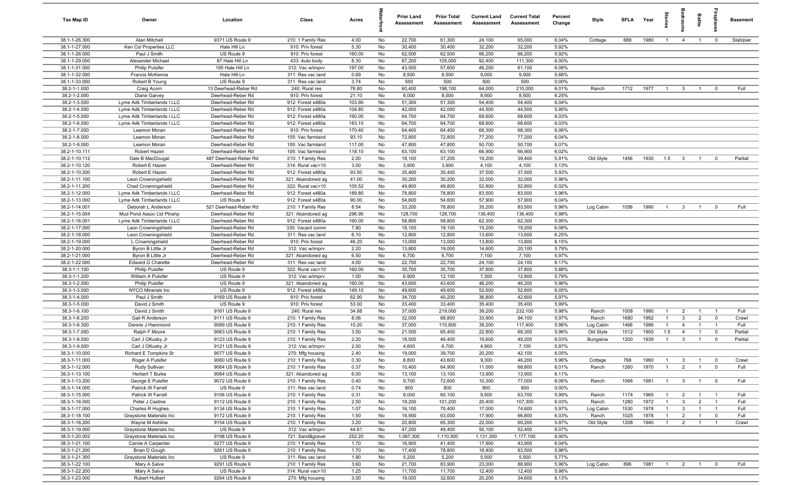| Tax Map ID                     | Owner                                      | Location                               | Class                                  | Acres           |          | <b>Prior Land</b><br>Assessment | <b>Prior Total</b><br>Assessment | <b>Current Land</b><br>Assessment | <b>Current Total</b><br>Assessment | Percent<br>Change | Style                 | <b>SFLA</b>  | Year         | tories                |                                | Baths                            | epla                       | <b>Basement</b>    |
|--------------------------------|--------------------------------------------|----------------------------------------|----------------------------------------|-----------------|----------|---------------------------------|----------------------------------|-----------------------------------|------------------------------------|-------------------|-----------------------|--------------|--------------|-----------------------|--------------------------------|----------------------------------|----------------------------|--------------------|
| 38.1-1-26.300                  | Alan Mitchell                              | 9371 US Route 9                        | 210: 1 Family Res                      | 4.00            | No       | 22,700                          | 61,300                           | 24,100                            | 65,000                             | 6.04%             | Cottage               | 689          | 1980         | $\overline{1}$        | $\overline{4}$                 | $\overline{1}$                   | $\mathbf 0$                | Slab/pier          |
| 38.1-1-27.000                  | Ken Col Properties LLC                     | Hale Hill Ln                           | 910: Priv forest                       | 5.30            | No       | 30,400                          | 30,400                           | 32,200                            | 32,200                             | 5.92%             |                       |              |              |                       |                                |                                  |                            |                    |
| 38.1-1-28.000                  | Paul J Smith                               | US Route 9                             | 910: Priv forest                       | 160.00          | No       | 62,500                          | 62,500                           | 66,200                            | 66,200                             | 5.92%             |                       |              |              |                       |                                |                                  |                            |                    |
| 38.1-1-29.000                  | Alexander Michael                          | 87 Hale Hill Ln                        | 433: Auto body                         | 8.30            | No       | 87,200                          | 105,000                          | 92,400                            | 111,300                            | 6.00%             |                       |              |              |                       |                                |                                  |                            |                    |
| 38.1-1-31.000                  | <b>Philip Pulsifer</b>                     | 195 Hale Hill Ln                       | 312: Vac w/imprv                       | 197.00          | No       | 43,500                          | 57,600                           | 46,200                            | 61,100                             | 6.08%             |                       |              |              |                       |                                |                                  |                            |                    |
| 38.1-1-32.000                  | Francis McKenna                            | Hale Hill Ln                           | 311: Res vac land                      | 0.69            | No       | 8,500                           | 8,500                            | 9,000                             | 9,000                              | 5.88%             |                       |              |              |                       |                                |                                  |                            |                    |
| 38.1-1-33.000                  | Robert B Young                             | US Route 9                             | 311: Res vac land                      | 3.74            | No       | 500                             | 500                              | 500                               | 500                                | 0.00%             |                       |              |              |                       |                                |                                  |                            |                    |
| 38.2-1-1.000                   | Craig Acorn                                | 13 Deerhead-Reber Rd                   | 240: Rural res                         | 76.80           | No       | 60,400                          | 198,100                          | 64,000<br>8,500                   | 210,000                            | 6.01%             | Ranch                 | 1712         | 1977         | $\overline{1}$        | $\mathbf{3}$                   | $\overline{1}$                   | $\mathbf 0$                | Full               |
| 38.2-1-2.000<br>38.2-1-3.000   | Diane Garvey<br>Lyme Adk Timberlands I LLC | Deerhead-Reber Rd<br>Deerhead-Reber Rd | 910: Priv forest<br>912: Forest s480a  | 21.10<br>103.90 | No<br>No | 8,000<br>51,300                 | 8,000<br>51,300                  | 54,400                            | 8,500<br>54,400                    | 6.25%<br>6.04%    |                       |              |              |                       |                                |                                  |                            |                    |
| 38.2-1-4.000                   | Lyme Adk Timberlands I LLC                 | Deerhead-Reber Rd                      | 912: Forest s480a                      | 104.80          | No       | 42,000                          | 42,000                           | 44,500                            | 44,500                             | 5.95%             |                       |              |              |                       |                                |                                  |                            |                    |
| 38.2-1-5.000                   | Lyme Adk Timberlands I LLC                 | Deerhead-Reber Rd                      | 912: Forest s480a                      | 160.00          | No       | 64,700                          | 64,700                           | 68,600                            | 68,600                             | 6.03%             |                       |              |              |                       |                                |                                  |                            |                    |
| 38.2-1-6.000                   | Lyme Adk Timberlands I LLC                 | Deerhead-Reber Rd                      | 912: Forest s480a                      | 183.10          | No       | 64,700                          | 64,700                           | 68,600                            | 68,600                             | 6.03%             |                       |              |              |                       |                                |                                  |                            |                    |
| 38.2-1-7.000                   | Leamon Moran                               | Deerhead-Reber Rd                      | 910: Priv forest                       | 170.40          | No       | 64,400                          | 64,400                           | 68,300                            | 68,300                             | 6.06%             |                       |              |              |                       |                                |                                  |                            |                    |
| 38.2-1-8.000                   | Leamon Moran                               | Deerhead-Reber Rd                      | 105: Vac farmland                      | 93.10           | No       | 72,800                          | 72,800                           | 77,200                            | 77,200                             | 6.04%             |                       |              |              |                       |                                |                                  |                            |                    |
| 38.2-1-9.000                   | Leamon Moran                               | Deerhead-Reber Rd                      | 105: Vac farmland                      | 117.00          | No       | 47,800                          | 47,800                           | 50,700                            | 50,700                             | 6.07%             |                       |              |              |                       |                                |                                  |                            |                    |
| 38.2-1-10.111                  | Robert Hazen                               | Deerhead-Reber Rd                      | 105: Vac farmland                      | 118.10          | No       | 63,100                          | 63,100                           | 66,900                            | 66,900                             | 6.02%             |                       |              |              |                       |                                |                                  |                            |                    |
| 38.2-1-10.112                  | Dale B MacDougal                           | 487 Deerhead-Reber Rd                  | 210: 1 Family Res                      | 2.00            | No       | 18,100                          | 37,200                           | 19,200                            | 39,400                             | 5.91%             | Old Style             | 1456         | 1930         | 1.5                   | $\mathbf{3}$                   | $\overline{1}$                   | $\mathbf 0$                | Partial            |
| 38.2-1-10.120                  | Robert E Hazen                             | Deerhead-Reber Rd                      | 314: Rural vac<10                      | 3.00            | No       | 3,900                           | 3,900                            | 4,100                             | 4,100                              | 5.13%             |                       |              |              |                       |                                |                                  |                            |                    |
| 38.2-1-10.200                  | Robert E Hazen                             | Deerhead-Reber Rd                      | 912: Forest s480a                      | 93.50           | No       | 35,400                          | 35,400                           | 37,500                            | 37,500                             | 5.93%             |                       |              |              |                       |                                |                                  |                            |                    |
| 38.2-1-11.100                  | Leon Crowningshield                        | Deerhead-Reber Rd                      | 321: Abandoned ag                      | 41.00           | No       | 30,200                          | 30,200                           | 32,000                            | 32,000                             | 5.96%             |                       |              |              |                       |                                |                                  |                            |                    |
| 38.2-1-11.200                  | Chad Crowningshield                        | Deerhead-Reber Rd                      | 322: Rural vac>10                      | 105.52          | No       | 49,800                          | 49,800                           | 52,800                            | 52,800                             | 6.02%             |                       |              |              |                       |                                |                                  |                            |                    |
| 38.2-1-12.000                  | Lyme Adk Timberlands I LLC                 | Deerhead-Reber Rd                      | 912: Forest s480a                      | 189.80          | No       | 78,800                          | 78,800                           | 83,500                            | 83,500                             | 5.96%             |                       |              |              |                       |                                |                                  |                            |                    |
| 38.2-1-13.000                  | Lyme Adk Timberlands I LLC                 | US Route 9                             | 912: Forest s480a                      | 90.00           | No       | 54,600                          | 54,600                           | 57,900                            | 57,900                             | 6.04%             |                       |              |              |                       |                                |                                  |                            |                    |
| 38.2-1-14.001                  | Deborah L Anderson                         | 521 Deerhead-Reber Rd                  | 210: 1 Family Res                      | 8.54            | No       | 33,200                          | 78,800                           | 35,200                            | 83,500                             | 5.96%             | Log Cabin             | 1056         | 1990         | $\overline{1}$        | $\mathbf{3}$                   | $\overline{1}$                   | $\mathbf 0$                | Full               |
| 38.2-1-15.004                  | Mud Pond Assoc Ltd Ptnshp                  | Deerhead-Reber Rd                      | 321: Abandoned ag                      | 296.90          | No       | 128,700                         | 128,700                          | 136,400                           | 136,400                            | 5.98%             |                       |              |              |                       |                                |                                  |                            |                    |
| 38.2-1-16.001                  | Lyme Adk Timberlands I LLC                 | Deerhead-Reber Rd<br>Deerhead-Reber Rd | 912: Forest s480a                      | 160.00<br>7.80  | No       | 58,800<br>18,100                | 58,800<br>18,100                 | 62,300<br>19,200                  | 62,300<br>19,200                   | 5.95%<br>6.08%    |                       |              |              |                       |                                |                                  |                            |                    |
| 38.2-1-17.000<br>38.2-1-18.000 | Leon Crowningshield                        | Deerhead-Reber Rd                      | 330: Vacant comm<br>311: Res vac land  | 6.10            | No<br>No | 12,800                          | 12,800                           | 13,600                            | 13,600                             | 6.25%             |                       |              |              |                       |                                |                                  |                            |                    |
| 38.2-1-19.000                  | Leon Crowningshield<br>L Crowningshield    | Deerhead-Reber Rd                      | 910: Priv forest                       | 46.20           | No       | 13,000                          | 13,000                           | 13,800                            | 13,800                             | 6.15%             |                       |              |              |                       |                                |                                  |                            |                    |
| 38.2-1-20.000                  | Byron B Little Jr                          | Deerhead-Reber Rd                      | 312: Vac w/imprv                       | 2.20            | No       | 13,800                          | 19,000                           | 14,600                            | 20,100                             | 5.79%             |                       |              |              |                       |                                |                                  |                            |                    |
| 38.2-1-21.000                  | Byron B Little Jr                          | Deerhead-Reber Rd                      | 321: Abandoned ag                      | 6.50            | No       | 6,700                           | 6,700                            | 7,100                             | 7,100                              | 5.97%             |                       |              |              |                       |                                |                                  |                            |                    |
| 38.2-1-22.000                  | <b>Edward G Charette</b>                   | Deerhead-Reber Rd                      | 311: Res vac land                      | 4.00            | No       | 22,700                          | 22,700                           | 24,100                            | 24,100                             | 6.17%             |                       |              |              |                       |                                |                                  |                            |                    |
| 38.3-1-1.100                   | <b>Philip Pulsifer</b>                     | US Route 9                             | 322: Rural vac>10                      | 160.00          | No       | 35,700                          | 35,700                           | 37,800                            | 37,800                             | 5.88%             |                       |              |              |                       |                                |                                  |                            |                    |
| 38.3-1-1.200                   | William A Pulsifer                         | US Route 9                             | 312: Vac w/imprv                       | 1.00            | No       | 6,900                           | 12,100                           | 7,300                             | 12,800                             | 5.79%             |                       |              |              |                       |                                |                                  |                            |                    |
| 38.3-1-2.000                   | <b>Philip Pulsifer</b>                     | US Route 9                             | 321: Abandoned ag                      | 160.00          | No       | 43,600                          | 43,600                           | 46,200                            | 46,200                             | 5.96%             |                       |              |              |                       |                                |                                  |                            |                    |
| 38.3-1-3.000                   | NYCO Minerals Inc                          | US Route 9                             | 912: Forest s480a                      | 149.10          | No       | 49,600                          | 49,600                           | 52,600                            | 52,600                             | 6.05%             |                       |              |              |                       |                                |                                  |                            |                    |
| 38.3-1-4.000                   | Paul J Smith                               | 9169 US Route 9                        | 910: Priv forest                       | 62.90           | No       | 34,700                          | 40,200                           | 36,800                            | 42,600                             | 5.97%             |                       |              |              |                       |                                |                                  |                            |                    |
| 38.3-1-5.000                   | David J Smith                              | US Route 9                             | 910: Priv forest                       | 53.00           | No       | 33,400                          | 33,400                           | 35,400                            | 35,400                             | 5.99%             |                       |              |              |                       |                                |                                  |                            |                    |
| 38.3-1-6.100                   | David J Smith                              | 9161 US Route 9                        | 240: Rural res                         | 34.88           | No       | 37,000                          | 219,000                          | 39,200                            | 232,100                            | 5.98%             | Ranch                 | 1008         | 1990         | $\overline{1}$        | 2                              | $\overline{1}$                   | $\overline{1}$             | Full               |
| 38.3-1-6.200                   | Gail R Anderson                            | 9111 US Route 9                        | 210: 1 Family Res                      | 8.06            | No       | 32,000                          | 88,800                           | 33,900                            | 94,100                             | 5.97%             | Ranch                 | 1680         | 1992         | $\overline{1}$        | $\mathbf{3}$                   | $\overline{2}$                   | $\mathbf 0$                | Crawl              |
| 38.3-1-6.300                   | Dennis J Hammond                           | 9089 US Route 9                        | 210: 1 Family Res                      | 10.20           | No       | 37,000                          | 110,800                          | 39,200                            | 117,400                            | 5.96%             | Log Cabin             | 1466         | 1986         | $\mathbf{1}$          | $\overline{4}$                 | $\overline{1}$                   | $\overline{1}$             | Full               |
| 38.3-1-7.000<br>38.3-1-8.000   | Ralph F Moore<br>Carl J OKusky Jr          | 9063 US Route 9<br>9123 US Route 9     | 210: 1 Family Res<br>210: 1 Family Res | 3.50<br>2.20    | No<br>No | 21,500<br>18,500                | 65,400<br>46,400                 | 22,800<br>19,600                  | 69,300<br>49,200                   | 5.96%<br>6.03%    | Old Style<br>Bungalow | 1512<br>1200 | 1900<br>1939 | 1.5<br>$\overline{1}$ | $\overline{4}$<br>$\mathbf{3}$ | $\overline{1}$<br>$\overline{1}$ | $\mathbf 0$<br>$\mathbf 0$ | Partial<br>Partial |
| 38.3-1-9.000                   | Carl J OKusky Jr                           | 9121 US Route 9                        | 312: Vac w/imprv                       | 2.00            | No       | 4,600                           | 6,700                            | 4,900                             | 7,100                              | 5.97%             |                       |              |              |                       |                                |                                  |                            |                    |
| 38.3-1-10.000                  | Richard E Tompkins Sr                      | 9077 US Route 9                        | 270: Mfg housing                       | 2.40            | No       | 19,000                          | 39,700                           | 20,200                            | 42,100                             | 6.05%             |                       |              |              |                       |                                |                                  |                            |                    |
| 38.3-1-11.000                  | Roger A Pulsifer                           | 9060 US Route 9                        | 210: 1 Family Res                      | 0.30            | No       | 8,800                           | 43,600                           | 9,300                             | 46,200                             | 5.96%             | Cottage               | 768          | 1960         |                       |                                |                                  |                            | Crawl              |
| 38.3-1-12.000                  | Rudy Sullivan                              | 9064 US Route 9                        | 210: 1 Family Res                      | 0.37            | No       | 10,400                          | 64,900                           | 11,000                            | 68,800                             | 6.01%             | Ranch                 | 1260         | 1970         | $\overline{1}$        | $\overline{2}$                 | $\overline{1}$                   | $\overline{0}$             | Full               |
| 38.3-1-13.100                  | Herbert T Burke                            | 9084 US Route 9                        | 321: Abandoned ag                      | 6.00            | No       | 13,100                          | 13,100                           | 13,900                            | 13,900                             | 6.11%             |                       |              |              |                       |                                |                                  |                            |                    |
| 38.3-1-13.200                  | George E Pulsifer                          | 9072 US Route 9                        | 210: 1 Family Res                      | 0.40            | No       | 9,700                           | 72,600                           | 10,300                            | 77,000                             | 6.06%             | Ranch                 | 1066         | 1981         | $\overline{1}$        | $\mathbf{3}$                   | $\overline{1}$                   | $\mathbf 0$                | Full               |
| 38.3-1-14.000                  | Patrick W Farrell                          | US Route 9                             | 311: Res vac land                      | 0.74            | No       | 800                             | 800                              | 800                               | 800                                | 0.00%             |                       |              |              |                       |                                |                                  |                            |                    |
| 38.3-1-15.000                  | Patrick W Farrell                          | 9106 US Route 9                        | 210: 1 Family Res                      | 0.31            | No       | 9,000                           | 60,100                           | 9,500                             | 63,700                             | 5.99%             | Ranch                 | 1174         | 1965         | $\overline{1}$        | $\overline{2}$                 | $\overline{1}$                   | $\overline{1}$             | Full               |
| 38.3-1-16.000                  | Peter J Castine                            | 9112 US Route 9                        | 210: 1 Family Res                      | 2.50            | No       | 19,200                          | 101,200                          | 20,400                            | 107,300                            | 6.03%             | Ranch                 | 1280         | 1972         |                       | $\mathbf{3}$                   | $\overline{2}$                   | $\mathbf{1}$               | Full               |
| 38.3-1-17.000                  | Charles R Hughes                           | 9134 US Route 9                        | 210: 1 Family Res                      | 1.07            | No       | 16,100                          | 70,400                           | 17,000                            | 74,600                             | 5.97%             | Log Cabin             | 1530         | 1978         | $\overline{1}$        | $\mathbf{3}$                   | $\overline{1}$                   | $\overline{1}$             | Full               |
| 38.3-1-18.100                  | Graystone Materials Inc                    | 9172 US Route 9                        | 210: 1 Family Res                      | 1.50            | No       | 16,900                          | 63,000                           | 17,900                            | 66,800                             | 6.03%             | Ranch                 | 1025         | 1978         | $\mathbf{1}$          | $\overline{2}$                 | $\overline{1}$                   | $\overline{0}$             | Full               |
| 38.3-1-18.200                  | Wayne M Ashline                            | 9154 US Route 9                        | 210: 1 Family Res                      | 3.20            | No       | 20,800                          | 65,300                           | 22,000                            | 69,200                             | 5.97%             | Old Style             | 1208         | 1940         | $\overline{1}$        | $\overline{2}$                 | $\overline{1}$                   | $\overline{1}$             | Crawl              |
| 38.3-1-19.000                  | Graystone Materials Inc                    | US Route 9                             | 312: Vac w/imprv                       | 44.61           | No       | 47,200                          | 49,400                           | 50,100                            | 52,400                             | 6.07%             |                       |              |              |                       |                                |                                  |                            |                    |
| 38.3-1-20.002<br>38.3-1-21.100 | Graystone Materials Inc                    | 9198 US Route 9<br>9277 US Route 9     | 721: Sand&gravel                       | 252.20          | No<br>No | 1,067,300                       | 1,110,500<br>41,400              | 1,131,300                         | 1,177,100<br>43,900                | 6.00%<br>6.04%    |                       |              |              |                       |                                |                                  |                            |                    |
| 38.3-1-21.200                  | Carole A Carpenter<br>Brian D Gough        | 9261 US Route 9                        | 210: 1 Family Res<br>210: 1 Family Res | 1.70<br>1.70    | No       | 16,900<br>17,400                | 78,800                           | 17,900<br>18,400                  | 83,500                             | 5.96%             |                       |              |              |                       |                                |                                  |                            |                    |
| 38.3-1-21.300                  | Graystone Materials Inc                    | US Route 9                             | 311: Res vac land                      | 1.90            | No       | 5,200                           | 5,200                            | 5,500                             | 5,500                              | 5.77%             |                       |              |              |                       |                                |                                  |                            |                    |
| 38.3-1-22.100                  | Mary A Salva                               | 9291 US Route 9                        | 210: 1 Family Res                      | 3.60            | No       | 21,700                          | 83,900                           | 23,000                            | 88,900                             | 5.96%             | Log Cabin             | 896          | 1981         | $\overline{1}$        | $\overline{2}$                 | $\overline{1}$                   | $\mathbf 0$                | Full               |
| 38.3-1-22.200                  | Mary A Salva                               | US Route 9                             | 314: Rural vac<10                      | 1.25            | No       | 11,700                          | 11,700                           | 12,400                            | 12,400                             | 5.98%             |                       |              |              |                       |                                |                                  |                            |                    |
| 38.3-1-23.000                  | Robert Hulbert                             | 9264 US Route 9                        | 270: Mfg housing                       | 3.00            | No       | 19,000                          | 32,600                           | 20,200                            | 34,600                             | 6.13%             |                       |              |              |                       |                                |                                  |                            |                    |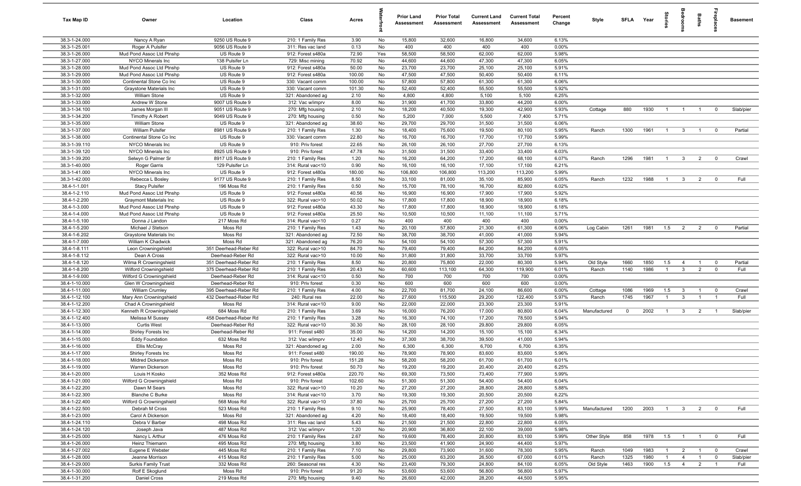| Tax Map ID                     | Owner                                               | Location                                   | Class                                  | Acres            |          | <b>Prior Land</b><br>Assessment | <b>Prior Total</b><br>Assessment | <b>Current Land</b><br>Assessment | <b>Current Total</b><br><b>Assessment</b> | Percent<br>Change | Style        | SFLA Year   |      | Stories        | groo                         | Baths          | repla                   | <b>Basement</b> |
|--------------------------------|-----------------------------------------------------|--------------------------------------------|----------------------------------------|------------------|----------|---------------------------------|----------------------------------|-----------------------------------|-------------------------------------------|-------------------|--------------|-------------|------|----------------|------------------------------|----------------|-------------------------|-----------------|
| 38.3-1-24.000                  | Nancy A Ryan                                        | 9250 US Route 9                            | 210: 1 Family Res                      | 3.90             | No       | 15,800                          | 32,600                           | 16,800                            | 34,600                                    | 6.13%             |              |             |      |                |                              |                |                         |                 |
| 38.3-1-25.001                  | Roger A Pulsifer                                    | 9056 US Route 9                            | 311: Res vac land                      | 0.13             | No       | 400                             | 400                              | 400                               | 400                                       | 0.00%             |              |             |      |                |                              |                |                         |                 |
| 38.3-1-26.000                  | Mud Pond Assoc Ltd Ptnshp                           | US Route 9                                 | 912: Forest s480a                      | 72.90            | Yes      | 58,500                          | 58,500                           | 62,000                            | 62,000                                    | 5.98%             |              |             |      |                |                              |                |                         |                 |
| 38.3-1-27.000                  | NYCO Minerals Inc                                   | 138 Pulsifer Ln                            | 729: Misc mining                       | 70.92            | No       | 44,600                          | 44,600                           | 47,300                            | 47,300                                    | 6.05%             |              |             |      |                |                              |                |                         |                 |
| 38.3-1-28.000                  | Mud Pond Assoc Ltd Ptnshp                           | US Route 9                                 | 912: Forest s480a                      | 50.00            | No       | 23,700                          | 23,700                           | 25,100                            | 25,100                                    | 5.91%             |              |             |      |                |                              |                |                         |                 |
| 38.3-1-29.000<br>38.3-1-30.000 | Mud Pond Assoc Ltd Ptnshp                           | US Route 9<br>US Route 9                   | 912: Forest s480a                      | 100.00           | No<br>No | 47,500<br>57,800                | 47,500<br>57,800                 | 50,400                            | 50,400                                    | 6.11%<br>6.06%    |              |             |      |                |                              |                |                         |                 |
| 38.3-1-31.000                  | Continental Stone Co Inc<br>Graystone Materials Inc | US Route 9                                 | 330: Vacant comm<br>330: Vacant comm   | 100.00<br>101.30 | No       | 52,400                          | 52,400                           | 61,300<br>55,500                  | 61,300<br>55,500                          | 5.92%             |              |             |      |                |                              |                |                         |                 |
| 38.3-1-32.000                  | William Stone                                       | US Route 9                                 | 321: Abandoned ag                      | 2.10             | No       | 4,800                           | 4,800                            | 5,100                             | 5,100                                     | 6.25%             |              |             |      |                |                              |                |                         |                 |
| 38.3-1-33.000                  | Andrew W Stone                                      | 9007 US Route 9                            | 312: Vac w/imprv                       | 8.00             | No       | 31,900                          | 41,700                           | 33,800                            | 44,200                                    | 6.00%             |              |             |      |                |                              |                |                         |                 |
| 38.3-1-34.100                  | James Morgan III                                    | 9051 US Route 9                            | 270: Mfg housing                       | 2.10             | No       | 18,200                          | 40,500                           | 19,300                            | 42,900                                    | 5.93%             | Cottage      | 880         | 1930 | $\overline{1}$ | $\overline{1}$               | $\overline{1}$ | $^{\circ}$              | Slab/pier       |
| 38.3-1-34.200                  | Timothy A Robert                                    | 9049 US Route 9                            | 270: Mfg housing                       | 0.50             | No       | 5,200                           | 7,000                            | 5,500                             | 7,400                                     | 5.71%             |              |             |      |                |                              |                |                         |                 |
| 38.3-1-35.000                  | <b>William Stone</b>                                | US Route 9                                 | 321: Abandoned ag                      | 38.60            | No       | 29,700                          | 29,700                           | 31,500                            | 31,500                                    | 6.06%             |              |             |      |                |                              |                |                         |                 |
| 38.3-1-37.000                  | <b>William Pulsifer</b>                             | 8981 US Route 9                            | 210: 1 Family Res                      | 1.30             | No       | 18,400                          | 75,600                           | 19,500                            | 80,100                                    | 5.95%             | Ranch        | 1300        | 1961 | $\overline{1}$ | $\mathbf{3}$                 | $\overline{1}$ | $\mathbf 0$             | Partial         |
| 38.3-1-38.000                  | Continental Stone Co Inc                            | US Route 9                                 | 330: Vacant comm                       | 22.80            | No       | 16,700                          | 16,700                           | 17,700                            | 17,700                                    | 5.99%             |              |             |      |                |                              |                |                         |                 |
| 38.3-1-39.110                  | NYCO Minerals Inc                                   | US Route 9                                 | 910: Priv forest                       | 22.65            | No       | 26,100                          | 26,100                           | 27,700                            | 27,700                                    | 6.13%             |              |             |      |                |                              |                |                         |                 |
| 38.3-1-39.120                  | NYCO Minerals Inc                                   | 8925 US Route 9                            | 910: Priv forest                       | 47.78            | No       | 31,500                          | 31,500                           | 33,400                            | 33,400                                    | 6.03%             |              |             |      |                |                              |                |                         |                 |
| 38.3-1-39.200                  | Selwyn G Palmer Sr                                  | 8917 US Route 9                            | 210: 1 Family Res                      | 1.20             | No       | 16,200                          | 64,200                           | 17,200                            | 68,100                                    | 6.07%             | Ranch        | 1296        | 1981 | $\overline{1}$ | $\mathbf{3}$                 | $\overline{2}$ | $\overline{0}$          | Crawl           |
| 38.3-1-40.000                  | Roger Garris                                        | 129 Pulsifer Ln                            | 314: Rural vac<10                      | 0.90             | No       | 16,100                          | 16,100                           | 17,100                            | 17,100                                    | 6.21%             |              |             |      |                |                              |                |                         |                 |
| 38.3-1-41.000                  | NYCO Minerals Inc                                   | US Route 9                                 | 912: Forest s480a                      | 180.00           | No       | 106,800                         | 106,800                          | 113,200                           | 113,200                                   | 5.99%             |              |             |      |                |                              |                |                         |                 |
| 38.3-1-42.000<br>38.4-1-1.001  | Rebecca L Bosley                                    | 9177 US Route 9<br>196 Moss Rd             | 210: 1 Family Res                      | 8.50<br>0.50     | No       | 33,100<br>15,700                | 81,000                           | 35,100                            | 85,900<br>82,800                          | 6.05%<br>6.02%    | Ranch        | 1232        | 1988 | $\overline{1}$ | $\overline{3}$               | $\overline{2}$ | $\mathbf 0$             | Full            |
| 38.4-1-2.110                   | <b>Stacy Pulsifer</b><br>Mud Pond Assoc Ltd Ptnshp  | US Route 9                                 | 210: 1 Family Res<br>912: Forest s480a | 40.56            | No<br>No | 16,900                          | 78,100<br>16,900                 | 16,700<br>17,900                  | 17,900                                    | 5.92%             |              |             |      |                |                              |                |                         |                 |
| 38.4-1-2.200                   | <b>Graymont Materials Inc</b>                       | US Route 9                                 | 322: Rural vac>10                      | 50.02            | No       | 17,800                          | 17,800                           | 18,900                            | 18,900                                    | 6.18%             |              |             |      |                |                              |                |                         |                 |
| 38.4-1-3.000                   | Mud Pond Assoc Ltd Ptnshp                           | US Route 9                                 | 912: Forest s480a                      | 43.30            | No       | 17,800                          | 17,800                           | 18,900                            | 18,900                                    | 6.18%             |              |             |      |                |                              |                |                         |                 |
| 38.4-1-4.000                   | Mud Pond Assoc Ltd Ptnshp                           | US Route 9                                 | 912: Forest s480a                      | 25.50            | No       | 10,500                          | 10,500                           | 11,100                            | 11,100                                    | 5.71%             |              |             |      |                |                              |                |                         |                 |
| 38.4-1-5.100                   | Donna J Landon                                      | 217 Moss Rd                                | 314: Rural vac<10                      | 0.27             | No       | 400                             | 400                              | 400                               | 400                                       | 0.00%             |              |             |      |                |                              |                |                         |                 |
| 38.4-1-5.200                   | Michael J Stetson                                   | Moss Rd                                    | 210: 1 Family Res                      | 1.43             | No       | 20,100                          | 57,800                           | 21,300                            | 61,300                                    | 6.06%             | Log Cabin    | 1261        | 1981 | 1.5            | $\overline{2}$               | $\overline{2}$ | $^{\circ}$              | Partial         |
| 38.4-1-6.202                   | Graystone Materials Inc                             | Moss Rd                                    | 321: Abandoned ag                      | 72.50            | No       | 38,700                          | 38,700                           | 41,000                            | 41,000                                    | 5.94%             |              |             |      |                |                              |                |                         |                 |
| 38.4-1-7.000                   | William K Chadwick                                  | Moss Rd                                    | 321: Abandoned ag                      | 76.20            | No       | 54,100                          | 54,100                           | 57,300                            | 57,300                                    | 5.91%             |              |             |      |                |                              |                |                         |                 |
| 38.4-1-8.111                   | Leon Crowningshield                                 | 351 Deerhead-Reber Rd                      | 322: Rural vac>10                      | 84.70            | No       | 79,400                          | 79,400                           | 84,200                            | 84,200                                    | 6.05%             |              |             |      |                |                              |                |                         |                 |
| 38.4-1-8.112                   | Dean A Cross                                        | Deerhead-Reber Rd                          | 322: Rural vac>10                      | 10.00            | No       | 31,800                          | 31,800                           | 33,700                            | 33,700                                    | 5.97%             |              |             |      |                |                              |                |                         |                 |
| 38.4-1-8.120                   | Wilma R Crowningshield                              | 351 Deerhead-Reber Rd                      | 210: 1 Family Res                      | 8.50             | No       | 20,800                          | 75,800                           | 22,000                            | 80,300                                    | 5.94%             | Old Style    | 1660        | 1850 | 1.5            | $\overline{4}$               | $\overline{1}$ | $\overline{0}$          | Partial         |
| 38.4-1-8.200                   | Wilford Crowningshield                              | 375 Deerhead-Reber Rd                      | 210: 1 Family Res                      | 20.43            | No       | 60,600                          | 113,100                          | 64,300                            | 119,900                                   | 6.01%             | Ranch        | 1140        | 1986 | $\overline{1}$ | $\mathbf{3}$                 | $\overline{2}$ | $\mathbf 0$             | Full            |
| 38.4-1-9.000                   | Wilford G Crowningshield                            | Deerhead-Reber Rd                          | 314: Rural vac<10                      | 0.50             | No       | 700                             | 700                              | 700<br>600                        | 700                                       | 0.00%             |              |             |      |                |                              |                |                         |                 |
| 38.4-1-10.000<br>38.4-1-11.000 | Glen W Crowningshield<br><b>William Crumley</b>     | Deerhead-Reber Rd<br>395 Deerhead-Reber Rd | 910: Priv forest<br>210: 1 Family Res  | 0.30<br>4.00     | No<br>No | 600<br>22,700                   | 600<br>81,700                    | 24,100                            | 600<br>86,600                             | 0.00%<br>6.00%    | Cottage      | 1086        | 1969 | 1.5            |                              | $\overline{1}$ | $^{\circ}$              | Crawl           |
| $38.4 - 1 - 12.100$            | Mary Ann Crowningshield                             | 432 Deerhead-Reber Rd                      | 240: Rural res                         | 22.00            | No       | 27,600                          | 115,500                          | 29,200                            | 122,400                                   | 5.97%             | Ranch        | 1745        | 1967 | $\overline{1}$ | $\mathbf{3}$<br>$\mathbf{3}$ | $\mathbf{1}$   | $\overline{1}$          | Full            |
| 38.4-1-12.200                  | Chad A Crowningshield                               | Moss Rd                                    | 314: Rural vac<10                      | 9.00             | No       | 22,000                          | 22,000                           | 23,300                            | 23,300                                    | 5.91%             |              |             |      |                |                              |                |                         |                 |
| 38.4-1-12.300                  | Kenneth R Crowningshield                            | 684 Moss Rd                                | 210: 1 Family Res                      | 3.69             | No       | 16,000                          | 76,200                           | 17,000                            | 80,800                                    | 6.04%             | Manufactured | $\mathbf 0$ | 2002 | $\overline{1}$ | 3 <sup>3</sup>               | $\overline{2}$ | $\overline{1}$          | Slab/pier       |
| 38.4-1-12.400                  | Melissa M Sussey                                    | 458 Deerhead-Reber Rd                      | 210: 1 Family Res                      | 3.28             | No       | 16,300                          | 74,100                           | 17,200                            | 78,500                                    | 5.94%             |              |             |      |                |                              |                |                         |                 |
| 38.4-1-13.000                  | <b>Curtis West</b>                                  | Deerhead-Reber Rd                          | 322: Rural vac>10                      | 30.30            | No       | 28,100                          | 28,100                           | 29,800                            | 29,800                                    | 6.05%             |              |             |      |                |                              |                |                         |                 |
| 38.4-1-14.000                  | Shirley Forests Inc                                 | Deerhead-Reber Rd                          | 911: Forest s480                       | 35.00            | No       | 14,200                          | 14,200                           | 15,100                            | 15,100                                    | 6.34%             |              |             |      |                |                              |                |                         |                 |
| 38.4-1-15.000                  | <b>Eddy Foundation</b>                              | 632 Moss Rd                                | 312: Vac w/imprv                       | 12.40            | No       | 37,300                          | 38,700                           | 39,500                            | 41,000                                    | 5.94%             |              |             |      |                |                              |                |                         |                 |
| 38.4-1-16.000                  | Ellis McCray                                        | Moss Rd                                    | 321: Abandoned ag                      | 2.00             | No       | 6,300                           | 6,300                            | 6,700                             | 6,700                                     | 6.35%             |              |             |      |                |                              |                |                         |                 |
| 38.4-1-17.000                  | Shirley Forests Inc                                 | Moss Rd                                    | 911: Forest s480                       | 190.00           | No       | 78,900                          | 78,900                           | 83,600                            | 83,600                                    | 5.96%             |              |             |      |                |                              |                |                         |                 |
| 38.4-1-18.000                  | Mildred Dickerson                                   | Moss Rd                                    | 910: Priv forest                       | 151.28           | No       | 58,200                          | 58,200                           | 61,700                            | 61,700                                    | 6.01%             |              |             |      |                |                              |                |                         |                 |
| 38.4-1-19.000                  | Warren Dickerson                                    | Moss Rd                                    | 910: Priv forest                       | 50.70            | No       | 19,200                          | 19,200                           | 20,400                            | 20,400                                    | 6.25%             |              |             |      |                |                              |                |                         |                 |
| 38.4-1-20.000                  | Louis H Kosko                                       | 352 Moss Rd                                | 912: Forest s480a                      | 220.70           | No       | 69,300                          | 73,500                           | 73,400                            | 77,900                                    | 5.99%             |              |             |      |                |                              |                |                         |                 |
| 38.4-1-21.000                  | Wilford G Crowningshield                            | Moss Rd                                    | 910: Priv forest                       | 102.60           | No       | 51,300                          | 51,300                           | 54,400                            | 54,400                                    | 6.04%             |              |             |      |                |                              |                |                         |                 |
| 38.4-1-22.200                  | Dawn M Sears                                        | Moss Rd                                    | 322: Rural vac>10                      | 10.20            | No       | 27,200                          | 27,200                           | 28,800                            | 28,800                                    | 5.88%             |              |             |      |                |                              |                |                         |                 |
| 38.4-1-22.300<br>38.4-1-22.400 | <b>Blanche C Burke</b><br>Wilford G Crowningshield  | Moss Rd<br>568 Moss Rd                     | 314: Rural vac<10<br>322: Rural vac>10 | 3.70<br>37.80    | No<br>No | 19,300<br>25,700                | 19,300<br>25,700                 | 20,500<br>27,200                  | 20,500<br>27,200                          | 6.22%<br>5.84%    |              |             |      |                |                              |                |                         |                 |
| 38.4-1-22.500                  | Debrah M Cross                                      | 523 Moss Rd                                | 210: 1 Family Res                      | 9.10             | No       | 25,900                          | 78,400                           | 27,500                            | 83,100                                    | 5.99%             | Manufactured | 1200        | 2003 | $\overline{1}$ | 3 <sup>3</sup>               | $\overline{2}$ | $\overline{0}$          | Full            |
| 38.4-1-23.000                  | Carol A Dickerson                                   | Moss Rd                                    | 321: Abandoned ag                      | 4.20             | No       | 18,400                          | 18,400                           | 19,500                            | 19,500                                    | 5.98%             |              |             |      |                |                              |                |                         |                 |
| 38.4-1-24.110                  | Debra V Barber                                      | 498 Moss Rd                                | 311: Res vac land                      | 5.43             | No       | 21,500                          | 21,500                           | 22,800                            | 22,800                                    | 6.05%             |              |             |      |                |                              |                |                         |                 |
| 38.4-1-24.120                  | Joseph Java                                         | 487 Moss Rd                                | 312: Vac w/imprv                       | 1.20             | No       | 20,900                          | 36,800                           | 22,100                            | 39,000                                    | 5.98%             |              |             |      |                |                              |                |                         |                 |
| 38.4-1-25.000                  | Nancy L Arthur                                      | 476 Moss Rd                                | 210: 1 Family Res                      | 2.67             | No       | 19,600                          | 78,400                           | 20,800                            | 83,100                                    | 5.99%             | Other Style  | 858         | 1978 | 1.5            | $\overline{1}$               | $\overline{1}$ | $\overline{0}$          | Full            |
| 38.4-1-26.000                  | Heinz Thiemann                                      | 495 Moss Rd                                | 270: Mfg housing                       | 3.80             | No       | 23,500                          | 41,900                           | 24,900                            | 44,400                                    | 5.97%             |              |             |      |                |                              |                |                         |                 |
| 38.4-1-27.002                  | Eugene E Webster                                    | 445 Moss Rd                                | 210: 1 Family Res                      | 7.10             | No       | 29,800                          | 73,900                           | 31,600                            | 78,300                                    | 5.95%             | Ranch        | 1049        | 1983 | $\overline{1}$ | $\overline{2}$               | $\overline{1}$ | $\overline{\mathbf{0}}$ | Crawl           |
| 38.4-1-28.000                  | Jeanne Morrison                                     | 415 Moss Rd                                | 210: 1 Family Res                      | 5.00             | No       | 25,000                          | 63,200                           | 26,500                            | 67,000                                    | 6.01%             | Ranch        | 1325        | 1980 | $\overline{1}$ | $\overline{4}$               | $\overline{1}$ | $\overline{0}$          | Slab/pier       |
| 38.4-1-29.000                  | <b>Surkis Family Trust</b>                          | 332 Moss Rd                                | 260: Seasonal res                      | 4.30             | No       | 23,400                          | 79,300                           | 24,800                            | 84,100                                    | 6.05%             | Old Style    | 1463        | 1900 | 1.5            | $\overline{4}$               | $\overline{2}$ | $\overline{1}$          | Full            |
| 38.4-1-30.000                  | Rolf E Skoglund                                     | Moss Rd                                    | 910: Priv forest                       | 91.20            | No       | 53,600                          | 53,600                           | 56,800                            | 56,800                                    | 5.97%             |              |             |      |                |                              |                |                         |                 |
| 38.4-1-31.200                  | Daniel Cross                                        | 219 Moss Rd                                | 270: Mfg housing                       | 9.40             | No       | 26,600                          | 42,000                           | 28,200                            | 44,500                                    | 5.95%             |              |             |      |                |                              |                |                         |                 |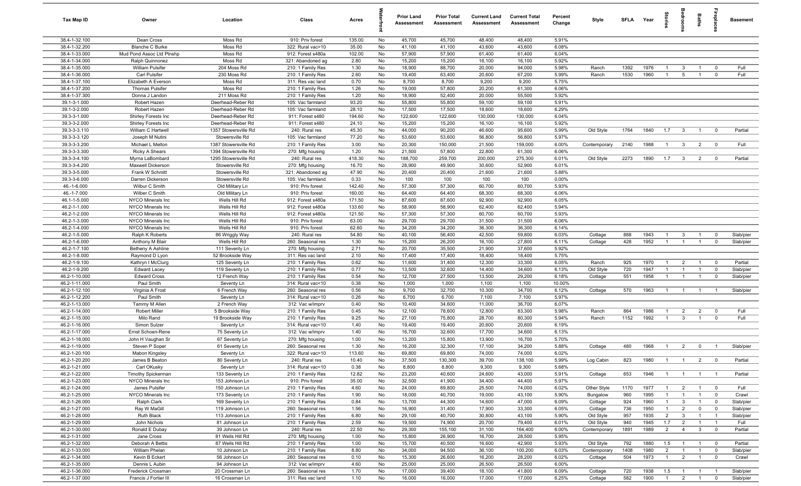| Tax Map ID                     | Owner                                      | Location                           | Class                                  | Acres           |          | <b>Prior Land</b><br>Assessment | <b>Prior Total</b><br>Assessment | <b>Current Land</b><br>Assessment | <b>Current Total</b><br>Assessment | Percent<br>Change | Style                | SFLA Year    |              | itorie                           | groon                            | Baths                            | repla                         | <b>Basement</b>        |
|--------------------------------|--------------------------------------------|------------------------------------|----------------------------------------|-----------------|----------|---------------------------------|----------------------------------|-----------------------------------|------------------------------------|-------------------|----------------------|--------------|--------------|----------------------------------|----------------------------------|----------------------------------|-------------------------------|------------------------|
| 38.4-1-32.100                  | Dean Cross                                 | Moss Rd                            | 910: Priv forest                       | 135.00          | No       | 45,700                          | 45,700                           | 48,400                            | 48,400                             | 5.91%             |                      |              |              |                                  |                                  |                                  |                               |                        |
| 38.4-1-32.200                  | <b>Blanche C Burke</b>                     | Moss Rd                            | 322: Rural vac>10                      | 35.00           | No       | 41,100                          | 41,100                           | 43,600                            | 43,600                             | 6.08%             |                      |              |              |                                  |                                  |                                  |                               |                        |
| 38.4-1-33.000                  | Mud Pond Assoc Ltd Ptnshp                  | Moss Rd                            | 912: Forest s480a                      | 102.00          | No       | 57,900                          | 57,900                           | 61,400                            | 61,400                             | 6.04%             |                      |              |              |                                  |                                  |                                  |                               |                        |
| 38.4-1-34.000                  | Ralph Quinnonez<br>William Pulsifer        | Moss Rd                            | 321: Abandoned ag                      | 2.80            | No       | 15,200                          | 15,200                           | 16,100                            | 16,100                             | 5.92%             |                      |              | 1976         | -1                               |                                  |                                  | $^{\circ}$                    | Full                   |
| 38.4-1-35.000<br>38.4-1-36.000 | Carl Pulsifer                              | 204 Moss Rd<br>230 Moss Rd         | 210: 1 Family Res<br>210: 1 Family Res | 1.30<br>2.60    | No<br>No | 18,900<br>19,400                | 88,700<br>63,400                 | 20,000<br>20,600                  | 94,000<br>67,200                   | 5.98%<br>5.99%    | Ranch<br>Ranch       | 1392<br>1530 | 1960         | $\overline{1}$                   | $\mathbf{3}$<br>5                | $\overline{1}$                   | $^{\circ}$                    | Full                   |
| 38.4-1-37.100                  | Elizabeth A Everson                        | Moss Rd                            | 311: Res vac land                      | 0.70            | No       | 8,700                           | 8,700                            | 9,200                             | 9,200                              | 5.75%             |                      |              |              |                                  |                                  |                                  |                               |                        |
| 38.4-1-37.200                  | <b>Thomas Pulsifer</b>                     | Moss Rd                            | 210: 1 Family Res                      | 1.26            | No       | 19,000                          | 57,800                           | 20,200                            | 61,300                             | 6.06%             |                      |              |              |                                  |                                  |                                  |                               |                        |
| 38.4-1-37.300                  | Donna J Landon                             | 211 Moss Rd                        | 210: 1 Family Res                      | 1.20            | No       | 18,900                          | 52,400                           | 20,000                            | 55,500                             | 5.92%             |                      |              |              |                                  |                                  |                                  |                               |                        |
| 39.1-3-1.000                   | Robert Hazen                               | Deerhead-Reber Rd                  | 105: Vac farmland                      | 93.20           | No       | 55,800                          | 55,800                           | 59,100                            | 59,100                             | 5.91%             |                      |              |              |                                  |                                  |                                  |                               |                        |
| 39.1-3-2.000                   | Robert Hazen                               | Deerhead-Reber Rd                  | 105: Vac farmland                      | 28.10           | No       | 17,500                          | 17,500                           | 18,600                            | 18,600                             | 6.29%             |                      |              |              |                                  |                                  |                                  |                               |                        |
| 39.3-3-1.000                   | Shirley Forests Inc                        | Deerhead-Reber Rd                  | 911: Forest s480                       | 194.60          | No       | 122,600                         | 122,600                          | 130,000                           | 130,000                            | 6.04%             |                      |              |              |                                  |                                  |                                  |                               |                        |
| 39.3-3-2.000                   | Shirley Forests Inc                        | Deerhead-Reber Rd                  | 911: Forest s480                       | 24.10           | No       | 15,200                          | 15,200                           | 16,100                            | 16,100                             | 5.92%             |                      |              |              |                                  |                                  |                                  |                               |                        |
| 39.3-3-3.110                   | William C Hartwell                         | 1357 Stowersville Rd               | 240: Rural res                         | 45.30           | No       | 44,000                          | 90,200                           | 46,600                            | 95,600                             | 5.99%             | Old Style            | 1764         | 1840         | 1.7                              | $\mathbf{3}$                     | $\overline{1}$                   | $\mathbf 0$                   | Partial                |
| 39.3-3-3.120                   | Joseph M Nutini                            | Stowersville Rd                    | 105: Vac farmland                      | 77.20           | No       | 53,600                          | 53,600                           | 56,800                            | 56,800                             | 5.97%             |                      |              |              |                                  |                                  |                                  |                               |                        |
| 39.3-3-3.200                   | Michael L Melton                           | 1387 Stowersville Rd               | 210: 1 Family Res                      | 3.00            | No       | 20,300                          | 150,000                          | 21,500                            | 159,000                            | 6.00%             | Contemporary         | 2140         | 1988         | $\overline{1}$                   | $\mathbf{3}$                     | $\overline{2}$                   | $\overline{0}$                | Full                   |
| 39.3-3-3.300                   | <b>Ricky A Shears</b>                      | 1394 Stowersville Rd               | 270: Mfg housing                       | 1.20            | No       | 21,500                          | 57,800                           | 22,800                            | 61,300                             | 6.06%             |                      |              |              |                                  |                                  |                                  |                               |                        |
| 39.3-3-4.100<br>39.3-3-4.200   | Myrna LaBombard<br>Maxwell Dickerson       | 1295 Stowersville Rd               | 240: Rural res                         | 418.30<br>16.70 | No<br>No | 188,700<br>28,900               | 259,700<br>49,900                | 200,000<br>30,600                 | 275,300<br>52,900                  | 6.01%<br>6.01%    | Old Style            | 2273         | 1890         | 1.7                              | $\mathbf{3}$                     | $\overline{2}$                   | $\overline{0}$                | Partial                |
| 39.3-3-5.000                   | Frank W Schmitt                            | Stowersville Rd<br>Stowersville Rd | 270: Mfg housing<br>321: Abandoned ag  | 47.90           | No       | 20,400                          | 20,400                           | 21,600                            | 21,600                             | 5.88%             |                      |              |              |                                  |                                  |                                  |                               |                        |
| 39.3-3-6.000                   | Darren Dickerson                           | Stowersville Rd                    | 105: Vac farmland                      | 0.33            | No       | 100                             | 100                              | 100                               | 100                                | 0.00%             |                      |              |              |                                  |                                  |                                  |                               |                        |
| 46.-1-6.000                    | Wilbur C Smith                             | Old Military Ln                    | 910: Priv forest                       | 142.40          | No       | 57,300                          | 57,300                           | 60,700                            | 60,700                             | 5.93%             |                      |              |              |                                  |                                  |                                  |                               |                        |
| 46.-1-7.000                    | Wilber C Smith                             | Old Military Ln                    | 910: Priv forest                       | 160.00          | No       | 64,400                          | 64,400                           | 68,300                            | 68,300                             | 6.06%             |                      |              |              |                                  |                                  |                                  |                               |                        |
| 46.1-1-5.000                   | NYCO Minerals Inc                          | Wells Hill Rd                      | 912: Forest s480a                      | 171.50          | No       | 87,600                          | 87,600                           | 92,900                            | 92,900                             | 6.05%             |                      |              |              |                                  |                                  |                                  |                               |                        |
| 46.2-1-1.000                   | <b>NYCO Minerals Inc</b>                   | Wells Hill Rd                      | 912: Forest s480a                      | 133.60          | No       | 58,900                          | 58,900                           | 62,400                            | 62,400                             | 5.94%             |                      |              |              |                                  |                                  |                                  |                               |                        |
| 46.2-1-2.000                   | NYCO Minerals Inc                          | Wells Hill Rd                      | 912: Forest s480a                      | 121.50          | No       | 57,300                          | 57,300                           | 60,700                            | 60,700                             | 5.93%             |                      |              |              |                                  |                                  |                                  |                               |                        |
| 46.2-1-3.000                   | NYCO Minerals Inc                          | Wells Hill Rd                      | 910: Priv forest                       | 63.00           | No       | 29,700                          | 29,700                           | 31,500                            | 31,500                             | 6.06%             |                      |              |              |                                  |                                  |                                  |                               |                        |
| 46.2-1-4.000                   | NYCO Minerals Inc                          | Wells Hill Rd                      | 910: Priv forest                       | 62.60           | No       | 34,200                          | 34,200                           | 36,300                            | 36,300                             | 6.14%             |                      |              |              |                                  |                                  |                                  |                               |                        |
| 46.2-1-5.000                   | Ralph K Roberts                            | 86 Wriggly Way                     | 240: Rural res                         | 54.80           | No       | 40,100                          | 56,400                           | 42,500                            | 59,800                             | 6.03%             | Cottage              | 888          | 1943         | $\overline{1}$                   | $\mathbf{3}$                     | $\overline{1}$                   | $\mathbf 0$                   | Slab/pier              |
| 46.2-1-6.000                   | Anthony M Blair                            | Wells Hill Rd                      | 260: Seasonal res                      | 1.30            | No       | 15,200                          | 26,200                           | 16,100                            | 27,800                             | 6.11%             | Cottage              | 428          | 1952         | $\overline{1}$                   | $\overline{1}$                   |                                  | $\mathbf 0$                   | Slab/pier              |
| 46.2-1-7.100                   | Betheny A Ashline                          | 111 Seventy Ln                     | 270: Mfg housing                       | 2.71            | No       | 20,700                          | 35,500                           | 21,900                            | 37,600                             | 5.92%             |                      |              |              |                                  |                                  |                                  |                               |                        |
| 46.2-1-8.000                   | Raymond D Lyon                             | 52 Brookside Way                   | 311: Res vac land                      | 2.10            | No       | 17,400                          | 17,400                           | 18,400                            | 18,400                             | 5.75%             |                      |              |              |                                  |                                  |                                  |                               |                        |
| 46.2-1-9.100<br>46.2-1-9.200   | Kathryn I McClurg                          | 125 Seventy Ln                     | 210: 1 Family Res                      | 0.62            | No<br>No | 11,600<br>13,500                | 31,400<br>32,600                 | 12,300                            | 33,300                             | 6.05%             | Ranch                | 925<br>720   | 1970<br>1947 | $\overline{1}$<br>$\overline{1}$ | $\overline{2}$<br>$\overline{1}$ | $\overline{1}$<br>$\overline{1}$ | $\overline{0}$<br>$\mathbf 0$ | Partial                |
| 46.2-1-10.000                  | <b>Edward Lacey</b><br><b>Edward Cross</b> | 119 Seventy Ln<br>12 French Way    | 210: 1 Family Res<br>210: 1 Family Res | 0.77<br>0.54    | No       | 12,700                          | 27,500                           | 14,400<br>13,500                  | 34,600<br>29,200                   | 6.13%<br>6.18%    | Old Style<br>Cottage | 551          | 1958         | $\overline{1}$                   | $\overline{1}$                   | $\mathbf{1}$                     | $\overline{0}$                | Slab/pier<br>Slab/pier |
| 46.2-1-11.000                  | Paul Smith                                 | Seventy Ln                         | 314: Rural vac<10                      | 0.38            | No       | 1,000                           | 1,000                            | 1,100                             | 1,100                              | 10.00%            |                      |              |              |                                  |                                  |                                  |                               |                        |
| 46.2-1-12.100                  | Virginia A Frost                           | 6 French Way                       | 260: Seasonal res                      | 0.56            | No       | 9,700                           | 32,700                           | 10,300                            | 34,700                             | 6.12%             | Cottage              | 570          | 1963         | $\overline{1}$                   | $\overline{1}$                   | $\overline{1}$                   | $\overline{1}$                | Slab/pier              |
| 46.2-1-12.200                  | Paul Smith                                 | Seventy Ln                         | 314: Rural vac<10                      | 0.26            | No       | 6,700                           | 6,700                            | 7,100                             | 7,100                              | 5.97%             |                      |              |              |                                  |                                  |                                  |                               |                        |
| 46.2-1-13.000                  | Tammy M Allen                              | 2 French Way                       | 312: Vac w/imprv                       | 0.40            | No       | 10,400                          | 34,600                           | 11,000                            | 36,700                             | 6.07%             |                      |              |              |                                  |                                  |                                  |                               |                        |
| 46.2-1-14.000                  | <b>Robert Miller</b>                       | 5 Brookside Way                    | 210: 1 Family Res                      | 0.45            | No       | 12,100                          | 78,600                           | 12,800                            | 83,300                             | 5.98%             | Ranch                | 864          | 1986         | $\overline{1}$                   | $\overline{2}$                   | $\overline{2}$                   | $\mathbf 0$                   | Full                   |
| 46.2-1-15.000                  | Milo Rand                                  | 19 Brookside Way                   | 210: 1 Family Res                      | 9.25            | No       | 27,100                          | 75,800                           | 28,700                            | 80,300                             | 5.94%             | Ranch                | 1152         | 1992         | $\overline{1}$                   | $\mathbf{3}$                     | $\overline{1}$                   | $\mathbf 0$                   | Full                   |
| 46.2-1-16.000                  | Simon Sulzer                               | Seventy Ln                         | 314: Rural vac<10                      | 1.40            | No       | 19,400                          | 19,400                           | 20,600                            | 20,600                             | 6.19%             |                      |              |              |                                  |                                  |                                  |                               |                        |
| 46.2-1-17.000                  | Ernst Schoen-Rene                          | 75 Seventy Ln                      | 312: Vac w/imprv                       | 1.40            | No       | 16,700                          | 32,600                           | 17,700                            | 34,600                             | 6.13%             |                      |              |              |                                  |                                  |                                  |                               |                        |
| 46.2-1-18.000                  | John H Vaughan Sr                          | 67 Seventy Ln                      | 270: Mfg housing                       | 1.00            | No       | 13,200                          | 15,800                           | 13,900                            | 16,700                             | 5.70%             |                      |              |              |                                  |                                  |                                  |                               |                        |
| 46.2-1-19.000                  | Steven P Soper                             | 61 Seventy Ln                      | 260: Seasonal res                      | 1.30            | No       | 16,200                          | 32,300                           | 17,100                            | 34,200                             | 5.88%             | Cottage              | 480          | 1968         | $\overline{1}$                   | $\overline{2}$                   | $\mathbf 0$                      |                               | Slab/pier              |
| 46.2-1-20.100                  | Mabon Kingsley                             | Seventy Ln                         | 322: Rural vac>10                      | 113.60          | No       | 69,800                          | 69,800                           | 74,000                            | 74,000                             | 6.02%             |                      |              |              | $\overline{1}$                   | $\overline{1}$                   | $\mathcal{P}$                    |                               |                        |
| 46.2-1-20.200<br>46.2-1-21.000 | James B Beaton<br>Carl OKusky              | 80 Seventy Ln                      | 240: Rural res<br>314: Rural vac<10    | 10.40<br>0.38   | No<br>No | 37,500<br>8,800                 | 130,300<br>8,800                 | 39,700<br>9,300                   | 138,100<br>9,300                   | 5.99%<br>5.68%    | Log Cabin            | 823          | 1980         |                                  |                                  |                                  |                               | Partial                |
| 46.2-1-22.000                  | Timothy Spickerman                         | Seventy Ln<br>133 Seventy Ln       | 210: 1 Family Res                      | 12.82           | No       | 23,200                          | 40,600                           | 24,600                            | 43,000                             | 5.91%             | Cottage              | 653          | 1946         | $\overline{1}$                   | $\overline{1}$                   | $\overline{1}$                   | $\overline{1}$                | Partial                |
| 46.2-1-23.000                  | NYCO Minerals Inc                          | 153 Johnson Ln                     | 910: Priv forest                       | 35.00           | No       | 32,500                          | 41,900                           | 34,400                            | 44,400                             | 5.97%             |                      |              |              |                                  |                                  |                                  |                               |                        |
| 46.2-1-24.000                  | James Pulsifer                             | 150 Johnson Ln                     | 210: 1 Family Res                      | 4.60            | No       | 24,000                          | 69,800                           | 25,500                            | 74,000                             | 6.02%             | Other Style          | 1170         | 1977         | $\mathbf{1}$                     | $\overline{2}$                   | $\overline{1}$                   | $\overline{0}$                | Full                   |
| 46.2-1-25.000                  | NYCO Minerals Inc                          | 173 Seventy Ln                     | 210: 1 Family Res                      | 1.90            | No       | 18,000                          | 40,700                           | 19,000                            | 43,100                             | 5.90%             | Bungalow             | 960          | 1995         | $\overline{1}$                   | $\overline{1}$                   | $\mathbf{1}$                     | $\overline{0}$                | Crawl                  |
| 46.2-1-26.000                  | Ralph Clark                                | 169 Seventy Ln                     | 210: 1 Family Res                      | 0.84            | No       | 13,700                          | 44,300                           | 14,600                            | 47,000                             | 6.09%             | Cottage              | 924          | 1960         | $\overline{1}$                   | $\mathbf{3}$                     | $\mathbf{1}$                     | $\mathbf 0$                   | Slab/pier              |
| 46.2-1-27.000                  | Ray W MaGill                               | 119 Johnson Ln                     | 260: Seasonal res                      | 1.56            | No       | 16,900                          | 31,400                           | 17,900                            | 33,300                             | 6.05%             | Cottage              | 736          | 1950         | $\overline{1}$                   | $\overline{2}$                   | $\mathbf 0$                      | $\mathbf 0$                   | Slab/pier              |
| 46.2-1-28.000                  | Ruth Black                                 | 113 Johnson Ln                     | 210: 1 Family Res                      | 6.80            | No       | 29,100                          | 40,700                           | 30,800                            | 43,100                             | 5.90%             | Old Style            | 957          | 1935         | $\overline{2}$                   | $\mathbf{3}$                     | $\overline{1}$                   | $\overline{1}$                | Slab/pier              |
| 46.2-1-29.000                  | John Nichols                               | 81 Johnson Ln                      | 210: 1 Family Res                      | 2.59            | No       | 19,500                          | 74,900                           | 20,700                            | 79,400                             | 6.01%             | Old Style            | 940          | 1945         | 1.7                              | $\overline{2}$                   | $\overline{1}$                   | $\overline{1}$                | Full                   |
| 46.2-1-30.000                  | Ronald E Dubay                             | 39 Johnson Ln                      | 240: Rural res                         | 22.50           | No       | 29,300                          | 155,100                          | 31,100                            | 164,400                            | 6.00%             | Contemporary         | 1891         | 1989         | $\overline{2}$                   | $\overline{4}$                   | $\mathbf{3}$                     | $\overline{\mathbf{0}}$       | Partial                |
| 46.2-1-31.000                  | Jane Cross                                 | 81 Wells Hill Rd                   | 270: Mfg housing                       | 1.00            | No       | 15,800                          | 26,900                           | 16,700                            | 28,500                             | 5.95%             |                      |              |              |                                  |                                  |                                  |                               |                        |
| 46.2-1-32.000                  | Deborah A Bettis                           | 87 Wells Hill Rd                   | 210: 1 Family Res                      | 1.00            | No       | 15,700                          | 40,500                           | 16,600                            | 42,900                             | 5.93%             | Old Style            | 792          | 1880         | 1.5                              | $\overline{1}$                   | $\overline{1}$                   | $\overline{0}$                | Partial                |
| 46.2-1-33.000                  | William Phelan                             | 10 Johnson Ln                      | 210: 1 Family Res                      | 8.80            | No       | 34,000                          | 94,500                           | 36,100                            | 100,200                            | 6.03%             | Contemporary         | 1408         | 1980         | $\overline{2}$                   | $\overline{1}$                   | $\mathbf{1}$                     | $\overline{0}$                | Slab/pier              |
| 46.2-1-34.000                  | Kevin B Eckert                             | 56 Johnson Ln                      | 260: Seasonal res                      | 0.10            | No       | 15,300                          | 26,600                           | 16,200                            | 28,200                             | 6.02%             | Cottage              | 504          | 1973         | $\mathbf{1}$                     | $\overline{2}$                   | $\overline{1}$                   | $\overline{0}$                | Crawl                  |
| 46.2-1-35.000<br>46.2-1-36.000 | Dennis L Aubin<br>Frederick Crossman       | 94 Johnson Ln<br>20 Crossman Ln    | 312: Vac w/imprv<br>260: Seasonal res  | 4.60            | No<br>No | 25,000<br>17,000                | 25,000<br>39,400                 | 26,500<br>18,100                  | 26,500<br>41,800                   | 6.00%<br>6.09%    | Cottage              | 720          |              |                                  |                                  |                                  | $\overline{1}$                | Slab/pier              |
| 46.2-1-37.000                  | Francis J Fortier III                      | 16 Crossman Ln                     | 311: Res vac land                      | 1.70<br>1.10    | No       | 16,000                          | 16,000                           | 17,000                            | 17,000                             | 6.25%             | Cottage              | 582          | 1938<br>1900 | 1.5<br>$\overline{1}$            | $\overline{1}$<br>$\overline{2}$ | $\overline{1}$<br>$\overline{1}$ | $\mathbf 0$                   | Slab/pier              |
|                                |                                            |                                    |                                        |                 |          |                                 |                                  |                                   |                                    |                   |                      |              |              |                                  |                                  |                                  |                               |                        |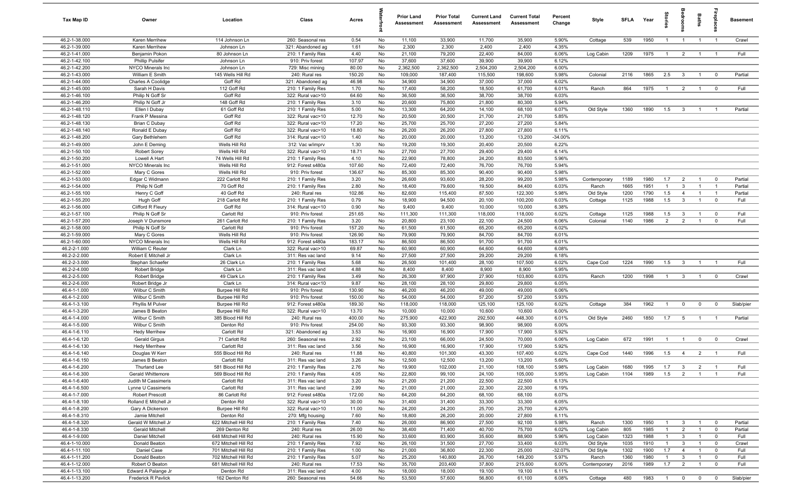| Tax Map ID                     | Owner                                        | Location                    | Class                                  | Acres          |          | <b>Prior Land</b><br>Assessment | <b>Prior Total</b><br>Assessment | <b>Current Land</b><br><b>Assessment</b> | <b>Current Total</b><br><b>Assessment</b> | Percent<br>Change | Style              | <b>SFI A</b> | Year         | tories                | edroo                   | Baths                            | <b>Treplai</b>                   | <b>Basement</b>    |
|--------------------------------|----------------------------------------------|-----------------------------|----------------------------------------|----------------|----------|---------------------------------|----------------------------------|------------------------------------------|-------------------------------------------|-------------------|--------------------|--------------|--------------|-----------------------|-------------------------|----------------------------------|----------------------------------|--------------------|
| 46.2-1-38.000                  | Karen Merrihew                               | 114 Johnson Ln              | 260: Seasonal res                      | 0.54           | No       | 11,100                          | 33,900                           | 11,700                                   | 35,900                                    | 5.90%             | Cottage            | 539          | 1950         | $\overline{1}$        | $\overline{1}$          | $\overline{1}$                   | $\overline{1}$                   | Crawl              |
| 46.2-1-39.000                  | Karen Merrihew                               | Johnson Ln                  | 321: Abandoned ag                      | 1.61           | No       | 2,300                           | 2,300                            | 2,400                                    | 2,400                                     | 4.35%             |                    |              |              |                       |                         |                                  |                                  |                    |
| 46.2-1-41.000                  | Benjamin Pokon                               | 80 Johnson Ln               | 210: 1 Family Res                      | 4.40           | No       | 21,100                          | 79,200                           | 22,400                                   | 84,000                                    | 6.06%             | Log Cabin          | 1209         | 1975         | $\overline{1}$        | $\overline{2}$          | $\overline{1}$                   | $\overline{1}$                   | Full               |
| 46.2-1-42.100                  | <b>Phillip Pulsifer</b>                      | Johnson Ln                  | 910: Priv forest                       | 107.97         | No       | 37,600                          | 37,600                           | 39,900                                   | 39,900                                    | 6.12%             |                    |              |              |                       |                         |                                  |                                  |                    |
| 46.2-1-42.200                  | NYCO Minerals Inc                            | Johnson Ln                  | 729: Misc mining                       | 80.00          | No       | 2,362,500                       | 2,362,500                        | 2,504,200                                | 2,504,200                                 | 6.00%             |                    |              |              |                       |                         |                                  |                                  |                    |
| 46.2-1-43.000                  | William E Smith                              | 145 Wells Hill Rd           | 240: Rural res                         | 150.20         | No       | 109,000                         | 187,400                          | 115,500                                  | 198,600                                   | 5.98%             | Colonial           | 2116         | 1865         | 2.5                   | $\mathbf{3}$            | $\overline{1}$                   | $\mathbf 0$                      | Partial            |
| 46.2-1-44.000<br>46.2-1-45.000 | Charles A Coolidge<br>Sarah H Davis          | Goff Rd<br>112 Goff Rd      | 321: Abandoned ag<br>210: 1 Family Res | 46.98<br>1.70  | No<br>No | 34,900<br>17,400                | 34,900<br>58,200                 | 37,000<br>18,500                         | 37,000<br>61,700                          | 6.02%<br>6.01%    | Ranch              | 864          | 1975         | $\overline{1}$        | $\overline{2}$          | $\overline{1}$                   | $\overline{\mathbf{0}}$          | Full               |
| 46.2-1-46.100                  | Philip N Goff Sr                             | Goff Rd                     | 322: Rural vac>10                      | 64.60          | No       | 36,500                          | 36,500                           | 38,700                                   | 38,700                                    | 6.03%             |                    |              |              |                       |                         |                                  |                                  |                    |
| 46.2-1-46.200                  | Philip N Goff Jr                             | 148 Goff Rd                 | 210: 1 Family Res                      | 3.10           | No       | 20,600                          | 75,800                           | 21,800                                   | 80,300                                    | 5.94%             |                    |              |              |                       |                         |                                  |                                  |                    |
| 46.2-1-48.110                  | Ellen I Dubay                                | 61 Goff Rd                  | 210: 1 Family Res                      | 5.00           | No       | 13,300                          | 64,200                           | 14,100                                   | 68,100                                    | 6.07%             | Old Style          | 1360         | 1890         | 1.5                   | $\overline{\mathbf{3}}$ | $\overline{1}$                   |                                  | Partial            |
| 46.2-1-48.120                  | Frank P Messina                              | Goff Rd                     | 322: Rural vac>10                      | 12.70          | No       | 20,500                          | 20,500                           | 21,700                                   | 21,700                                    | 5.85%             |                    |              |              |                       |                         |                                  |                                  |                    |
| 46.2-1-48.130                  | <b>Brian C Dubay</b>                         | Goff Rd                     | 322: Rural vac>10                      | 17.20          | No       | 25,700                          | 25,700                           | 27,200                                   | 27,200                                    | 5.84%             |                    |              |              |                       |                         |                                  |                                  |                    |
| 46.2-1-48.140                  | Ronald E Dubay                               | Goff Rd                     | 322: Rural vac>10                      | 18.80          | No       | 26,200                          | 26,200                           | 27,800                                   | 27,800                                    | 6.11%             |                    |              |              |                       |                         |                                  |                                  |                    |
| 46.2-1-48.200                  | Gary Bethlehem                               | Goff Rd                     | 314: Rural vac<10                      | 1.40           | No       | 20,000                          | 20,000                           | 13,200                                   | 13,200                                    | $-34.00%$         |                    |              |              |                       |                         |                                  |                                  |                    |
| 46.2-1-49.000                  | John E Deming                                | Wells Hill Rd               | 312: Vac w/imprv                       | 1.30           | No       | 19,200                          | 19,300                           | 20,400                                   | 20,500                                    | 6.22%             |                    |              |              |                       |                         |                                  |                                  |                    |
| 46.2-1-50.100                  | Robert Sorey                                 | Wells Hill Rd               | 322: Rural vac>10                      | 18.71          | No       | 27,700                          | 27,700                           | 29,400                                   | 29,400                                    | 6.14%             |                    |              |              |                       |                         |                                  |                                  |                    |
| 46.2-1-50.200                  | Lowell A Hart                                | 74 Wells Hill Rd            | 210: 1 Family Res                      | 4.10           | No       | 22,900                          | 78,800                           | 24,200                                   | 83,500                                    | 5.96%             |                    |              |              |                       |                         |                                  |                                  |                    |
| 46.2-1-51.000                  | NYCO Minerals Inc                            | Wells Hill Rd               | 912: Forest s480a                      | 107.60         | No       | 72,400                          | 72,400                           | 76,700                                   | 76,700                                    | 5.94%             |                    |              |              |                       |                         |                                  |                                  |                    |
| 46.2-1-52.000                  | Mary C Gores                                 | Wells Hill Rd               | 910: Priv forest                       | 136.67         | No       | 85,300                          | 85,300                           | 90,400                                   | 90,400                                    | 5.98%             |                    |              |              |                       |                         |                                  |                                  |                    |
| 46.2-1-53.000                  | Edgar C Widmann                              | 222 Carlott Rd              | 210: 1 Family Res<br>210: 1 Family Res | 3.20           | No       | 26,600                          | 93,600                           | 28,200                                   | 99,200                                    | 5.98%             | Contemporary       | 1189         | 1980         | 1.7                   | $\overline{2}$          | $\overline{1}$                   | $\overline{\mathbf{0}}$          | Partial            |
| 46.2-1-54.000<br>46.2-1-55.100 | Philip N Goff<br>Henry C Goff                | 70 Goff Rd<br>40 Goff Rd    | 240: Rural res                         | 2.80<br>102.86 | No<br>No | 18,400<br>82,600                | 79,600<br>115,400                | 19,500<br>87,500                         | 84,400<br>122,300                         | 6.03%<br>5.98%    | Ranch<br>Old Style | 1665<br>1200 | 1951<br>1790 | $\overline{1}$<br>1.5 | 3<br>$\overline{4}$     | $\overline{1}$<br>$\overline{1}$ | $\overline{1}$<br>$\overline{1}$ | Partial<br>Partial |
| 46.2-1-55.200                  | <b>Hugh Goff</b>                             | 218 Carlott Rd              | 210: 1 Family Res                      | 0.79           | No       | 18,900                          | 94,500                           | 20,100                                   | 100,200                                   | 6.03%             | Cottage            | 1125         | 1988         | 1.5                   | $\mathbf{3}$            | $\overline{1}$                   | $\mathbf 0$                      | Full               |
| 46.2-1-56.000                  | Clifford R Fleury                            | Goff Rd                     | 314: Rural vac<10                      | 0.90           | No       | 9,400                           | 9,400                            | 10,000                                   | 10,000                                    | 6.38%             |                    |              |              |                       |                         |                                  |                                  |                    |
| 46.2-1-57.100                  | Philip N Goff Sr                             | Carlott Rd                  | 910: Priv forest                       | 251.65         | No       | 111,300                         | 111,300                          | 118,000                                  | 118,000                                   | 6.02%             | Cottage            | 1125         | 1988         | 1.5                   | $\mathbf{3}$            | $\overline{1}$                   | $\mathbf 0$                      | Full               |
| 46.2-1-57.200                  | Joseph V Dunsmore                            | 261 Carlott Rd              | 210: 1 Family Res                      | 3.20           | No       | 20,800                          | 23,100                           | 22,100                                   | 24,500                                    | 6.06%             | Colonial           | 1140         | 1986         | $\overline{2}$        | $\overline{2}$          | $\overline{1}$                   | $\mathbf 0$                      | Full               |
| 46.2-1-58.000                  | Philip N Goff Sr                             | Carlott Rd                  | 910: Priv forest                       | 157.20         | No       | 61,500                          | 61,500                           | 65,200                                   | 65,200                                    | 6.02%             |                    |              |              |                       |                         |                                  |                                  |                    |
| 46.2-1-59.000                  | Mary C Gores                                 | Wells Hill Rd               | 910: Priv forest                       | 126.90         | No       | 79,900                          | 79,900                           | 84,700                                   | 84,700                                    | 6.01%             |                    |              |              |                       |                         |                                  |                                  |                    |
| 46.2-1-60.000                  | NYCO Minerals Inc                            | Wells Hill Rd               | 912: Forest s480a                      | 183.17         | No       | 86,500                          | 86,500                           | 91,700                                   | 91,700                                    | 6.01%             |                    |              |              |                       |                         |                                  |                                  |                    |
| 46.2-2-1.000                   | William C Reuter                             | Clark Ln                    | 322: Rural vac>10                      | 69.87          | No       | 60,900                          | 60,900                           | 64,600                                   | 64,600                                    | 6.08%             |                    |              |              |                       |                         |                                  |                                  |                    |
| 46.2-2-2.000                   | Robert E Mitchell Jr                         | Clark Ln                    | 311: Res vac land                      | 9.14           | No       | 27,500                          | 27,500                           | 29,200                                   | 29,200                                    | 6.18%             |                    |              |              |                       |                         |                                  |                                  |                    |
| 46.2-2-3.000                   | Stephan Schaefer                             | 26 Clark Ln                 | 210: 1 Family Res                      | 5.68           | No       | 26,500                          | 101,400                          | 28,100                                   | 107,500                                   | 6.02%             | Cape Cod           | 1224         | 1990         | 1.5                   | $\overline{\mathbf{3}}$ | $\overline{1}$                   | $\overline{1}$                   | Full               |
| 46.2-2-4.000                   | Robert Bridge                                | Clark Ln                    | 311: Res vac land                      | 4.88           | No       | 8,400                           | 8,400                            | 8,900                                    | 8,900                                     | 5.95%             |                    |              |              |                       |                         |                                  |                                  |                    |
| 46.2-2-5.000                   | Robert Bridge                                | 49 Clark Ln                 | 210: 1 Family Res                      | 3.49           | No       | 26,300                          | 97,900                           | 27,900                                   | 103,800                                   | 6.03%             | Ranch              | 1200         | 1998         | $\overline{1}$        | $\overline{\mathbf{3}}$ | $\overline{1}$                   | $\mathbf 0$                      | Crawl              |
| 46.2-2-6.000<br>46.4-1-1.000   | Robert Bridge Jr                             | Clark Ln<br>Burpee Hill Rd  | 314: Rural vac<10                      | 9.87<br>130.90 | No<br>No | 28,100<br>46,200                | 28,100<br>46,200                 | 29,800<br>49,000                         | 29,800<br>49,000                          | 6.05%<br>6.06%    |                    |              |              |                       |                         |                                  |                                  |                    |
| 46.4-1-2.000                   | Wilbur C Smith<br>Wilbur C Smith             | Burpee Hill Rd              | 910: Priv forest<br>910: Priv forest   | 150.00         | No       | 54,000                          | 54,000                           | 57,200                                   | 57,200                                    | 5.93%             |                    |              |              |                       |                         |                                  |                                  |                    |
| 46.4-1-3.100                   | Phyllis M Pulver                             | Burpee Hill Rd              | 912: Forest s480a                      | 189.30         | No       | 118,000                         | 118,000                          | 125,100                                  | 125,100                                   | 6.02%             | Cottage            | 384          | 1962         | $\overline{1}$        | $\mathbf{0}$            | $\mathbf 0$                      | $\mathbf 0$                      | Slab/pier          |
| 46.4-1-3.200                   | James B Beaton                               | Burpee Hill Rd              | 322: Rural vac>10                      | 13.70          | No       | 10,000                          | 10,000                           | 10,600                                   | 10,600                                    | 6.00%             |                    |              |              |                       |                         |                                  |                                  |                    |
| 46.4-1-4.000                   | Wilbur C Smith                               | 385 Blood Hill Rd           | 240: Rural res                         | 400.00         | No       | 275,900                         | 422,900                          | 292,500                                  | 448,300                                   | 6.01%             | Old Style          | 2460         | 1850         | 1.7                   | 5                       | $\overline{1}$                   | $\overline{1}$                   | Partial            |
| 46.4-1-5.000                   | Wilbur C Smith                               | Denton Rd                   | 910: Priv forest                       | 254.00         | No       | 93,300                          | 93,300                           | 98,900                                   | 98,900                                    | 6.00%             |                    |              |              |                       |                         |                                  |                                  |                    |
| 46.4-1-6.110                   | <b>Hedy Merrihew</b>                         | Carlott Rd                  | 321: Abandoned ag                      | 3.53           | No       | 16,900                          | 16,900                           | 17,900                                   | 17,900                                    | 5.92%             |                    |              |              |                       |                         |                                  |                                  |                    |
| 46.4-1-6.120                   | Gerald Girgus                                | 71 Carlott Rd               | 260: Seasonal res                      | 2.92           | No       | 23,100                          | 66,000                           | 24,500                                   | 70,000                                    | 6.06%             | Log Cabin          | 672          | 1991         | $\overline{1}$        | $\overline{1}$          | $\mathbf 0$                      | $\overline{\mathbf{0}}$          | Crawl              |
| 46.4-1-6.130                   | <b>Hedy Merrihew</b>                         | Carlott Rd                  | 311: Res vac land                      | 3.56           | No       | 16,900                          | 16,900                           | 17,900                                   | 17,900                                    | 5.92%             |                    |              |              |                       |                         |                                  |                                  |                    |
| 46.4-1-6.140                   | Douglas W Kerr                               | 555 Blood Hill Rd           | 240: Rural res                         | 11.88          | No       | 40,800                          | 101,300                          | 43,300                                   | 107,400                                   | 6.02%             | Cape Cod           | 1440         | 1996         | 1.5                   | $\overline{4}$          | $\overline{2}$                   | $\overline{1}$                   | Full               |
| 46.4-1-6.150                   | James B Beaton                               | Carlott Rd                  | 311: Res vac land                      | 3.26           | No       | 12,500                          | 12,500                           | 13,200                                   | 13,200                                    | 5.60%             |                    |              |              |                       |                         |                                  |                                  |                    |
| 46.4-1-6.200                   | Thurland Lee                                 | 581 Blood Hill Rd           | 210: 1 Family Res                      | 2.76           | No       | 19,900                          | 102,000                          | 21,100                                   | 108,100                                   | 5.98%             | Log Cabin          | 1680         | 1995         | 1.7                   | $\overline{\mathbf{3}}$ | $\overline{2}$                   | $\overline{1}$                   | Full               |
| 46.4-1-6.300                   | Gerald Whittemore                            | 569 Blood Hill Rd           | 210: 1 Family Res                      | 4.05           | No       | 22,800                          | 99,100                           | 24,100                                   | 105,000                                   | 5.95%             | Log Cabin          | 1104         | 1989         | 1.5                   | $\overline{2}$          | $\overline{1}$                   | $\overline{1}$                   | Full               |
| 46.4-1-6.400                   | Judith M Cassimeris                          | Carlott Rd                  | 311: Res vac land                      | 3.20           | No       | 21,200<br>21,000                | 21,200                           | 22,500                                   | 22,500                                    | 6.13%<br>6.19%    |                    |              |              |                       |                         |                                  |                                  |                    |
| 46.4-1-6.500<br>46.4-1-7.000   | Lynne U Cassimeris<br><b>Robert Prescott</b> | Carlott Rd<br>86 Carlott Rd | 311: Res vac land<br>912: Forest s480a | 2.99<br>172.00 | No<br>No | 64,200                          | 21,000<br>64,200                 | 22,300<br>68,100                         | 22,300<br>68,100                          | 6.07%             |                    |              |              |                       |                         |                                  |                                  |                    |
| 46.4-1-8.100                   | Rolland E Mitchell Jr                        | Denton Rd                   | 322: Rural vac>10                      | 30.00          | No       | 31,400                          | 31,400                           | 33,300                                   | 33,300                                    | 6.05%             |                    |              |              |                       |                         |                                  |                                  |                    |
| 46.4-1-8.200                   | Gary A Dickerson                             | Burpee Hill Rd              | 322: Rural vac>10                      | 11.00          | No       | 24,200                          | 24,200                           | 25,700                                   | 25,700                                    | 6.20%             |                    |              |              |                       |                         |                                  |                                  |                    |
| 46.4-1-8.310                   | Jamie Mitchell                               | Denton Rd                   | 270: Mfg housing                       | 7.60           | No       | 18,800                          | 26,200                           | 20,000                                   | 27,800                                    | 6.11%             |                    |              |              |                       |                         |                                  |                                  |                    |
| 46.4-1-8.320                   | Gerald W Mitchell Jr                         | 622 Mitchell Hill Rd        | 210: 1 Family Res                      | 7.40           | No       | 26,000                          | 86,900                           | 27,500                                   | 92,100                                    | 5.98%             | Ranch              | 1300         | 1950         | $\overline{1}$        | $\mathbf{3}$            | $\overline{1}$                   | $\overline{\mathbf{0}}$          | Partial            |
| 46.4-1-8.330                   | Gerald Mitchell                              | 269 Denton Rd               | 240: Rural res                         | 26.00          | No       | 38,400                          | 71,400                           | 40,700                                   | 75,700                                    | 6.02%             | Log Cabin          | 805          | 1985         | $\mathbf{1}$          | $\overline{2}$          | $\overline{1}$                   | $\overline{0}$                   | Partial            |
| 46.4-1-9.000                   | Daniel Mitchell                              | 648 Mitchell Hill Rd        | 240: Rural res                         | 15.90          | No       | 33,600                          | 83,900                           | 35,600                                   | 88,900                                    | 5.96%             | Log Cabin          | 1323         | 1988         | $\overline{1}$        | $\mathbf{3}$            | $\overline{1}$                   | $\mathbf 0$                      | Full               |
| 46.4-1-10.000                  | Donald Beaton                                | 672 Mitchell Hill Rd        | 210: 1 Family Res                      | 7.92           | No       | 26,100                          | 31,500                           | 27,700                                   | 33,400                                    | 6.03%             | Old Style          | 1035         | 1910         | $\overline{1}$        | $\overline{\mathbf{3}}$ | $\overline{1}$                   | $\overline{\mathbf{0}}$          | Crawl              |
| 46.4-1-11.100                  | Daniel Case                                  | 701 Mitchell Hill Rd        | 210: 1 Family Res                      | 1.00           | No       | 21,000                          | 36,800                           | 22,300                                   | 25,000                                    | $-32.07%$         | Old Style          | 1302         | 1900         | 1.7                   | $\overline{4}$          | $\overline{1}$                   | $\mathbf 0$                      | Full               |
| 46.4-1-11.200                  | Donald Beaton                                | 702 Mitchell Hill Rd        | 210: 1 Family Res                      | 5.07           | No       | 25,200                          | 140,800                          | 26,700                                   | 149,200                                   | 5.97%             | Ranch              | 1360         | 1980         | $\overline{1}$        | $\mathbf{3}$            | $\overline{1}$                   | $\overline{0}$                   | Full               |
| 46.4-1-12.000                  | Robert O Beaton                              | 681 Mitchell Hill Rd        | 240: Rural res                         | 17.53          | No       | 35,700                          | 203,400                          | 37,800                                   | 215,600                                   | 6.00%             | Contemporary       | 2016         | 1989         | 1.7                   | $\overline{2}$          | $\overline{1}$                   | $\mathbf 0$                      | Full               |
| 46.4-1-13.100                  | Edward A Palange Jr                          | Denton Rd                   | 311: Res vac land                      | 4.00           | No       | 18,000                          | 18,000                           | 19,100                                   | 19,100                                    | 6.11%             |                    |              |              |                       |                         |                                  |                                  |                    |
| 46.4-1-13.200                  | Frederick R Pavlick                          | 162 Denton Rd               | 260: Seasonal res                      | 54.66          | No       | 53,500                          | 57,600                           | 56,800                                   | 61,100                                    | 6.08%             | Cottage            | 480          | 1983         | $\overline{1}$        | $\overline{\mathbf{0}}$ | $\overline{0}$                   | $\overline{0}$                   | Slab/pier          |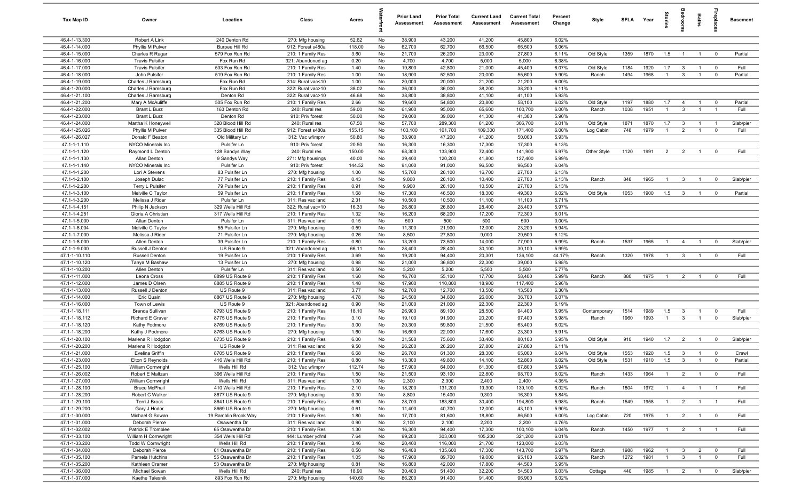| Tax Map ID                     | Owner                                             | Location                           | Class                                  | Acres        |          | <b>Prior Land</b><br>Assessment | <b>Prior Total</b><br>Assessment | <b>Current Land</b><br>Assessment | <b>Current Total</b><br>Assessment | Percent<br>Change | Style        | SFLA Year |      | tories         | droom          | Baths          | ireplace                | <b>Basement</b> |
|--------------------------------|---------------------------------------------------|------------------------------------|----------------------------------------|--------------|----------|---------------------------------|----------------------------------|-----------------------------------|------------------------------------|-------------------|--------------|-----------|------|----------------|----------------|----------------|-------------------------|-----------------|
| 46.4-1-13.300                  | Robert A Link                                     | 240 Denton Rd                      | 270: Mfg housing                       | 52.62        | No       | 38,900                          | 43,200                           | 41,200                            | 45,800                             | 6.02%             |              |           |      |                |                |                |                         |                 |
| 46.4-1-14.000                  | Phyllis M Pulver                                  | Burpee Hill Rd                     | 912: Forest s480a                      | 118.00       | No       | 62,700                          | 62,700                           | 66,500                            | 66,500                             | 6.06%             |              |           |      |                |                |                |                         |                 |
| 46.4-1-15.000                  | Charles R Rugar                                   | 579 Fox Run Rd                     | 210: 1 Family Res                      | 3.60         | No       | 21,700                          | 26,200                           | 23,000                            | 27,800                             | 6.11%             | Old Style    | 1359      | 1870 | 1.5            | $\overline{1}$ | $\overline{1}$ | $\mathbf 0$             | Partial         |
| 46.4-1-16.000                  | <b>Travis Pulsifer</b>                            | Fox Run Rd                         | 321: Abandoned ag                      | 0.20         | No       | 4,700                           | 4,700                            | 5,000                             | 5,000                              | 6.38%             |              |           |      |                |                |                |                         |                 |
| 46.4-1-17.000                  | <b>Travis Pulsifer</b>                            | 533 Fox Run Rd                     | 210: 1 Family Res                      | 1.40         | No       | 19,800                          | 42,800                           | 21,000                            | 45,400                             | 6.07%             | Old Style    | 1184      | 1920 | 1.7            | $\mathbf{3}$   | $\overline{1}$ | $\overline{0}$          | Full            |
| 46.4-1-18.000<br>46.4-1-19.000 | John Pulsifer<br>Charles J Ramsburg               | 519 Fox Run Rd<br>Fox Run Rd       | 210: 1 Family Res                      | 1.00<br>1.00 | No<br>No | 18,900<br>20,000                | 52,500<br>20,000                 | 20,000<br>21,200                  | 55,600<br>21,200                   | 5.90%<br>6.00%    | Ranch        | 1494      | 1968 | -1             | $\mathbf{3}$   |                | $\mathbf 0$             | Partial         |
| 46.4-1-20.000                  | Charles J Ramsburg                                | Fox Run Rd                         | 314: Rural vac<10<br>322: Rural vac>10 | 38.02        | No       | 36,000                          | 36,000                           | 38,200                            | 38,200                             | 6.11%             |              |           |      |                |                |                |                         |                 |
| 46.4-1-21.100                  | Charles J Ramsburg                                | Denton Rd                          | 322: Rural vac>10                      | 46.68        | No       | 38,800                          | 38,800                           | 41,100                            | 41,100                             | 5.93%             |              |           |      |                |                |                |                         |                 |
| 46.4-1-21.200                  | Mary A McAuliffe                                  | 505 Fox Run Rd                     | 210: 1 Family Res                      | 2.66         | No       | 19,600                          | 54,800                           | 20,800                            | 58,100                             | 6.02%             | Old Style    | 1197      | 1880 | 1.7            | $\overline{4}$ | $\overline{1}$ | $\mathbf 0$             | Partial         |
| 46.4-1-22.000                  | Brant L Burz                                      | 163 Denton Rd                      | 240: Rural res                         | 59.00        | No       | 61,900                          | 95,000                           | 65,600                            | 100,700                            | 6.00%             | Ranch        | 1038      | 1951 | $\overline{1}$ | $\mathbf{3}$   | $\overline{1}$ | $\overline{1}$          | Full            |
| 46.4-1-23.000                  | Brant L Burz                                      | Denton Rd                          | 910: Priv forest                       | 50.00        | No       | 39,000                          | 39,000                           | 41,300                            | 41,300                             | 5.90%             |              |           |      |                |                |                |                         |                 |
| 46.4-1-24.000                  | Martha K Honeywell                                | 328 Blood Hill Rd                  | 240: Rural res                         | 67.50        | No       | 57,700                          | 289,300                          | 61,200                            | 306,700                            | 6.01%             | Old Style    | 1871      | 1870 | 1.7            | $\mathbf{3}$   | $\overline{1}$ | $\overline{1}$          | Slab/pier       |
| 46.4-1-25.026                  | Phyllis M Pulver                                  | 335 Blood Hill Rd                  | 912: Forest s480a                      | 155.15       | No       | 103,100                         | 161,700                          | 109,300                           | 171,400                            | 6.00%             | Log Cabin    | 748       | 1979 | $\overline{1}$ | $\overline{2}$ | $\overline{1}$ | $\mathbf 0$             | Full            |
| 46.4-1-26.027                  | Donald F Beaton                                   | Old Military Ln                    | 312: Vac w/imprv                       | 50.80        | No       | 38,900                          | 47,200                           | 41,200                            | 50,000                             | 5.93%             |              |           |      |                |                |                |                         |                 |
| 47.1-1-1.110                   | NYCO Minerals Inc                                 | Pulsifer Ln                        | 910: Priv forest                       | 20.50        | No       | 16,300                          | 16,300                           | 17,300                            | 17,300                             | 6.13%             |              |           |      |                |                |                |                         |                 |
| 47.1-1-1.120                   | Raymond L Denton                                  | 128 Sandys Way                     | 240: Rural res                         | 150.00       | No       | 68,300                          | 133,900                          | 72,400                            | 141,900                            | 5.97%             | Other Style  | 1120      | 1991 | $\overline{2}$ | $\overline{2}$ | $\overline{1}$ | $^{\circ}$              | Full            |
| 47.1-1-1.130                   | Allan Denton                                      | 9 Sandys Way                       | 271: Mfg housings                      | 40.00        | No       | 39,400                          | 120,200                          | 41,800                            | 127,400                            | 5.99%             |              |           |      |                |                |                |                         |                 |
| 47.1-1-1.140                   | NYCO Minerals Inc                                 | Pulsifer Ln                        | 910: Priv forest                       | 144.52       | No       | 91,000                          | 91,000                           | 96,500                            | 96,500                             | 6.04%             |              |           |      |                |                |                |                         |                 |
| 47.1-1-1.200                   | Lori A Stevens                                    | 83 Pulsifer Ln                     | 270: Mfg housing                       | 1.00         | No       | 15,700                          | 26,100                           | 16,700                            | 27,700                             | 6.13%             |              |           |      |                |                |                |                         |                 |
| 47.1-1-2.100<br>47.1-1-2.200   | Joseph Dulac<br>Terry L Pulsifer                  | 77 Pulsifer Ln<br>79 Pulsifer Ln   | 210: 1 Family Res<br>210: 1 Family Res | 0.43<br>0.91 | No<br>No | 9,800<br>9,900                  | 26,100<br>26,100                 | 10,400<br>10,500                  | 27,700<br>27,700                   | 6.13%<br>6.13%    | Ranch        | 848       | 1965 | $\overline{1}$ | $\mathbf{3}$   | $\overline{1}$ | $\overline{0}$          | Slab/pier       |
| 47.1-1-3.100                   | Melville C Taylor                                 | 59 Pulsifer Ln                     | 210: 1 Family Res                      | 1.68         | No       | 17,300                          | 46,500                           | 18,300                            | 49,300                             | 6.02%             | Old Style    | 1053      | 1900 | 1.5            | $\mathbf{3}$   | $\overline{1}$ | $^{\circ}$              | Partial         |
| 47.1-1-3.200                   | Melissa J Rider                                   | Pulsifer Ln                        | 311: Res vac land                      | 2.31         | No       | 10,500                          | 10,500                           | 11,100                            | 11,100                             | 5.71%             |              |           |      |                |                |                |                         |                 |
| 47.1-1-4.151                   | Philip N Jackson                                  | 329 Wells Hill Rd                  | 322: Rural vac>10                      | 16.33        | No       | 26,800                          | 26,800                           | 28,400                            | 28,400                             | 5.97%             |              |           |      |                |                |                |                         |                 |
| 47.1-1-4.251                   | Gloria A Christian                                | 317 Wells Hill Rd                  | 210: 1 Family Res                      | 1.32         | No       | 16,200                          | 68,200                           | 17,200                            | 72,300                             | 6.01%             |              |           |      |                |                |                |                         |                 |
| 47.1-1-5.000                   | Allan Denton                                      | Pulsifer Ln                        | 311: Res vac land                      | 0.15         | No       | 500                             | 500                              | 500                               | 500                                | 0.00%             |              |           |      |                |                |                |                         |                 |
| 47.1-1-6.004                   | Melville C Taylor                                 | 55 Pulsifer Ln                     | 270: Mfg housing                       | 0.59         | No       | 11,300                          | 21,900                           | 12,000                            | 23,200                             | 5.94%             |              |           |      |                |                |                |                         |                 |
| 47.1-1-7.000                   | Melissa J Rider                                   | 71 Pulsifer Ln                     | 270: Mfg housing                       | 0.26         | No       | 8,500                           | 27,800                           | 9,000                             | 29,500                             | 6.12%             |              |           |      |                |                |                |                         |                 |
| 47.1-1-8.000                   | Allen Denton                                      | 39 Pulsifer Ln                     | 210: 1 Family Res                      | 0.80         | No       | 13,200                          | 73,500                           | 14,000                            | 77,900                             | 5.99%             | Ranch        | 1537      | 1965 | -1             | $\overline{4}$ |                | $^{\circ}$              | Slab/pier       |
| 47.1-1-9.000                   | Russell J Denton                                  | US Route 9                         | 321: Abandoned ag                      | 66.11        | No       | 28,400                          | 28,400                           | 30,100                            | 30,100                             | 5.99%             |              |           |      |                |                |                |                         |                 |
| 47.1-1-10.110                  | <b>Russell Denton</b>                             | 19 Pulsifer Ln                     | 210: 1 Family Res                      | 3.69         | No       | 19,200                          | 94,400                           | 20,301                            | 136,100                            | 44.17%            | Ranch        | 1320      | 1978 | $\overline{1}$ | 3              |                | $^{\circ}$              | Full            |
| 47.1-1-10.120                  | Tanya M Bashaw                                    | 13 Pulsifer Ln                     | 270: Mfg housing                       | 0.98         | No       | 21,000                          | 36,800                           | 22,300                            | 39,000                             | 5.98%             |              |           |      |                |                |                |                         |                 |
| 47.1-1-10.200                  | Allen Denton                                      | Pulsifer Ln                        | 311: Res vac land                      | 0.50         | No       | 5,200                           | 5,200                            | 5,500                             | 5,500                              | 5.77%             |              |           |      |                |                |                |                         |                 |
| 47.1-1-11.000<br>47.1-1-12.000 | Leona Cross<br>James D Olsen                      | 8899 US Route 9<br>8885 US Route 9 | 210: 1 Family Res                      | 1.60<br>1.48 | No<br>No | 16,700<br>17,900                | 55,100<br>110,800                | 17,700<br>18,900                  | 58,400<br>117,400                  | 5.99%<br>5.96%    | Ranch        | 880       | 1975 | $\overline{1}$ | $\overline{2}$ | $\overline{1}$ | $^{\circ}$              | Full            |
| 47.1-1-13.000                  | Russell J Denton                                  | US Route 9                         | 210: 1 Family Res<br>311: Res vac land | 3.77         | No       | 12,700                          | 12,700                           | 13,500                            | 13,500                             | 6.30%             |              |           |      |                |                |                |                         |                 |
| 47.1-1-14.000                  | Eric Quain                                        | 8867 US Route 9                    | 270: Mfg housing                       | 4.78         | No       | 24,500                          | 34,600                           | 26,000                            | 36,700                             | 6.07%             |              |           |      |                |                |                |                         |                 |
| 47.1-1-16.000                  | Town of Lewis                                     | US Route 9                         | 321: Abandoned ag                      | 0.90         | No       | 21,000                          | 21,000                           | 22,300                            | 22,300                             | 6.19%             |              |           |      |                |                |                |                         |                 |
| 47.1-1-18.111                  | Brenda Sullivan                                   | 8793 US Route 9                    | 210: 1 Family Res                      | 18.10        | No       | 26,900                          | 89,100                           | 28,500                            | 94,400                             | 5.95%             | Contemporary | 1514      | 1989 | 1.5            | $\mathbf{3}$   | $\overline{1}$ | $\mathbf 0$             | Full            |
| 47.1-1-18.112                  | Richard E Graver                                  | 8775 US Route 9                    | 210: 1 Family Res                      | 3.10         | No       | 19,100                          | 91,900                           | 20,200                            | 97,400                             | 5.98%             | Ranch        | 1960      | 1993 | $\overline{1}$ | $\mathbf{3}$   | $\overline{1}$ | $\mathbf 0$             | Slab/pier       |
| 47.1-1-18.120                  | Kathy Podmore                                     | 8769 US Route 9                    | 210: 1 Family Res                      | 3.00         | No       | 20,300                          | 59,800                           | 21,500                            | 63,400                             | 6.02%             |              |           |      |                |                |                |                         |                 |
| 47.1-1-18.200                  | Kathy J Podmore                                   | 8763 US Route 9                    | 270: Mfg housing                       | 1.60         | No       | 16,600                          | 22,000                           | 17,600                            | 23,300                             | 5.91%             |              |           |      |                |                |                |                         |                 |
| 47.1-1-20.100                  | Marlena R Hodgdon                                 | 8735 US Route 9                    | 210: 1 Family Res                      | 6.00         | No       | 31,500                          | 75,600                           | 33,400                            | 80,100                             | 5.95%             | Old Style    | 910       | 1940 | 1.7            | $\overline{2}$ |                | $^{\circ}$              | Slab/pier       |
| 47.1-1-20.200                  | Marlena R Hodgdon                                 | US Route 9                         | 311: Res vac land                      | 9.50         | No       | 26,200                          | 26,200                           | 27,800                            | 27,800                             | 6.11%             |              |           |      |                |                |                |                         |                 |
| 47.1-1-21.000                  | Evelina Griffin                                   | 8705 US Route 9                    | 210: 1 Family Res                      | 6.68         | No       | 26,700                          | 61,300                           | 28,300                            | 65,000                             | 6.04%             | Old Style    | 1553      | 1920 | 1.5            | $\mathbf{3}$   | $\overline{1}$ | $\Omega$                | Crawl           |
| 47.1-1-23.000                  | Elton S Reynolds                                  | 416 Wells Hill Rd                  | 210: 1 Family Res                      | 0.80         | No       | 13,300                          | 49,800                           | 14,100                            | 52,800                             | 6.02%             | Old Style    | 1531      | 1910 | 1.5            | $\mathbf{3}$   |                |                         | Partial         |
| 47.1-1-25.100                  | <b>William Cornwright</b>                         | Wells Hill Rd                      | 312: Vac w/imprv                       | 112.74       | No       | 57,900                          | 64,000                           | 61,300                            | 67,800                             | 5.94%             |              |           |      |                |                |                |                         |                 |
| 47.1-1-26.002                  | Robert E Maltzan                                  | 396 Wells Hill Rd                  | 210: 1 Family Res                      | 1.50         | No       | 21,500                          | 93,100                           | 22,800                            | 98,700                             | 6.02%             | Ranch        | 1433      | 1964 | $\overline{1}$ | 2              | $\overline{1}$ | $\overline{0}$          | Full            |
| 47.1-1-27.000<br>47.1-1-28.100 | <b>William Cornwright</b><br><b>Bruce McPhail</b> | Wells Hill Rd<br>410 Wells Hill Rd | 311: Res vac land                      | 1.00         | No       | 2,300                           | 2,300                            | 2,400                             | 2,400                              | 4.35%<br>6.02%    | Ranch        | 1804      | 1972 | $\overline{1}$ |                | $\overline{1}$ | $\overline{1}$          | Full            |
| 47.1-1-28.200                  | Robert C Walker                                   | 8677 US Route 9                    | 210: 1 Family Res<br>270: Mfg housing  | 2.10<br>0.30 | No<br>No | 18,200<br>8,800                 | 131,200<br>15,400                | 19,300<br>9,300                   | 139,100<br>16,300                  | 5.84%             |              |           |      |                | $\overline{4}$ |                |                         |                 |
| 47.1-1-29.100                  | Terri J Brock                                     | 8641 US Route 9                    | 210: 1 Family Res                      | 6.60         | No       | 28,700                          | 183,800                          | 30,400                            | 194,800                            | 5.98%             | Ranch        | 1549      | 1958 | $\overline{1}$ | $\overline{2}$ | $\overline{1}$ | $\blacksquare$          | Full            |
| 47.1-1-29.200                  | Gary J Hodor                                      | 8669 US Route 9                    | 270: Mfg housing                       | 0.61         | No       | 11,400                          | 40,700                           | 12,000                            | 43,100                             | 5.90%             |              |           |      |                |                |                |                         |                 |
| 47.1-1-30.000                  | Michael G Sowan                                   | 19 Ramblin Brook Way               | 210: 1 Family Res                      | 1.80         | No       | 17,700                          | 81,600                           | 18,800                            | 86,500                             | 6.00%             | Log Cabin    | 720       | 1975 | $\overline{1}$ | $\overline{2}$ | $\overline{1}$ | $\overline{\mathbf{0}}$ | Full            |
| 47.1-1-31.000                  | Deborah Pierce                                    | Osawentha Dr                       | 311: Res vac land                      | 0.90         | No       | 2,100                           | 2,100                            | 2,200                             | 2,200                              | 4.76%             |              |           |      |                |                |                |                         |                 |
| 47.1-1-32.002                  | Patrick E Tromblee                                | 65 Osawentha Dr                    | 210: 1 Family Res                      | 1.30         | No       | 16,300                          | 94,400                           | 17,300                            | 100,100                            | 6.04%             | Ranch        | 1450      | 1977 | $\overline{1}$ | $\frac{2}{ }$  | $\overline{1}$ | $\overline{1}$          | Full            |
| 47.1-1-33.100                  | William H Cornwright                              | 354 Wells Hill Rd                  | 444: Lumber yd/ml                      | 7.64         | No       | 99,200                          | 303,000                          | 105,200                           | 321,200                            | 6.01%             |              |           |      |                |                |                |                         |                 |
| 47.1-1-33.200                  | <b>Todd W Cornwright</b>                          | Wells Hill Rd                      | 210: 1 Family Res                      | 3.46         | No       | 20,400                          | 116,000                          | 21,700                            | 123,000                            | 6.03%             |              |           |      |                |                |                |                         |                 |
| 47.1-1-34.000                  | Deborah Pierce                                    | 61 Osawentha Dr                    | 210: 1 Family Res                      | 0.50         | No       | 16,400                          | 135,600                          | 17,300                            | 143,700                            | 5.97%             | Ranch        | 1988      | 1962 | $\overline{1}$ | $\mathbf{3}$   | $\overline{2}$ | $\overline{\mathbf{0}}$ | Full            |
| 47.1-1-35.100                  | Pamela Hutchins                                   | 55 Osawentha Dr                    | 210: 1 Family Res                      | 1.05         | No       | 17,900                          | 89,700                           | 19,000                            | 95,100                             | 6.02%             | Ranch        | 1272      | 1981 | $\mathbf{1}$   | $\mathbf{3}$   | $\mathbf{1}$   | $\overline{0}$          | Full            |
| 47.1-1-35.200                  | Kathleen Cramer                                   | 53 Osawentha Dr                    | 270: Mfg housing                       | 0.81         | No       | 16,800                          | 42,000                           | 17,800                            | 44,500                             | 5.95%             |              |           |      |                |                |                |                         |                 |
| 47.1-1-36.000                  | Michael Sowan                                     | Wells Hill Rd                      | 240: Rural res                         | 18.90        | No       | 30,400                          | 51,400                           | 32,200                            | 54,500                             | 6.03%             | Cottage      | 440       | 1985 | $\overline{1}$ | $\overline{2}$ | $\overline{1}$ | $\mathbf 0$             | Slab/pier       |
| 47.1-1-37.000                  | Kaethe Talesnik                                   | 893 Fox Run Rd                     | 270: Mfg housing                       | 140.60       | No       | 86,200                          | 91,400                           | 91,400                            | 96,900                             | 6.02%             |              |           |      |                |                |                |                         |                 |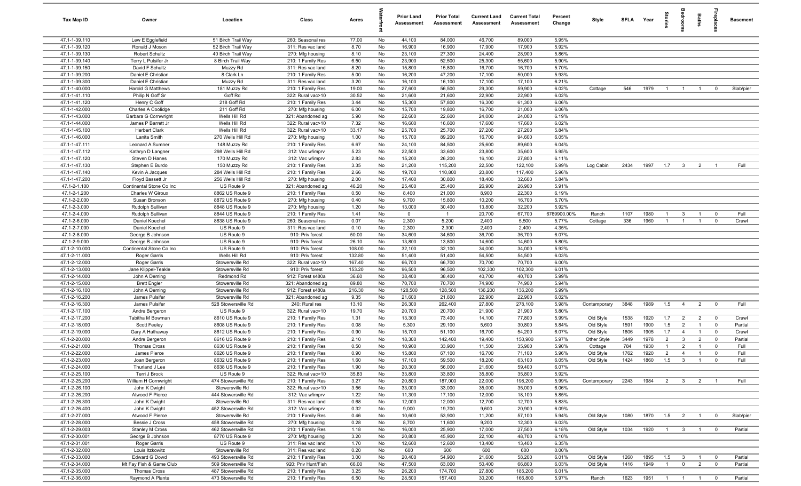| Tax Map ID                     | Owner                                        | Location                               | Class                                  | Acres          |          | <b>Prior Land</b><br>Assessment | <b>Prior Total</b><br>Assessment | <b>Current Land</b><br>Assessment | <b>Current Total</b><br>Assessment | Percent<br>Change | Style        | SFLA Year |      | tories         | droom                   | Baths          | ireplace:               | <b>Basement</b> |
|--------------------------------|----------------------------------------------|----------------------------------------|----------------------------------------|----------------|----------|---------------------------------|----------------------------------|-----------------------------------|------------------------------------|-------------------|--------------|-----------|------|----------------|-------------------------|----------------|-------------------------|-----------------|
| 47.1-1-39.110                  | Lew E Egglefield                             | 51 Birch Trail Way                     | 260: Seasonal res                      | 77.00          | No       | 44,100                          | 84,000                           | 46,700                            | 89,000                             | 5.95%             |              |           |      |                |                         |                |                         |                 |
| 47.1-1-39.120                  | Ronald J Moson                               | 52 Birch Trail Way                     | 311: Res vac land                      | 8.70           | No       | 16,900                          | 16,900                           | 17,900                            | 17,900                             | 5.92%             |              |           |      |                |                         |                |                         |                 |
| 47.1-1-39.130                  | Robert Schultz                               | 40 Birch Trail Way                     | 270: Mfg housing                       | 8.10           | No       | 23,100                          | 27,300                           | 24,400                            | 28,900                             | 5.86%             |              |           |      |                |                         |                |                         |                 |
| 47.1-1-39.140                  | Terry L Pulsifer Jr                          | 8 Birch Trail Way                      | 210: 1 Family Res                      | 6.50           | No       | 23,900                          | 52,500                           | 25,300                            | 55,600                             | 5.90%             |              |           |      |                |                         |                |                         |                 |
| 47.1-1-39.150                  | David F Schultz                              | Muzzy Rd                               | 311: Res vac land                      | 8.20           | No       | 15,800                          | 15,800                           | 16,700                            | 16,700                             | 5.70%             |              |           |      |                |                         |                |                         |                 |
| 47.1-1-39.200                  | Daniel E Christian                           | 8 Clark Ln                             | 210: 1 Family Res                      | 5.00           | No       | 16,200                          | 47,200                           | 17,100                            | 50,000                             | 5.93%             |              |           |      |                |                         |                |                         |                 |
| 47.1-1-39.300                  | Daniel E Christian                           | Muzzy Rd                               | 311: Res vac land                      | 3.20           | No       | 16,100<br>27,600                | 16,100<br>56,500                 | 17,100<br>29,300                  | 17,100<br>59,900                   | 6.21%             |              | 546       |      |                |                         |                |                         |                 |
| 47.1-1-40.000                  | <b>Harold G Matthews</b>                     | 181 Muzzy Rd<br>Goff Rd                | 210: 1 Family Res                      | 19.00<br>30.52 | No<br>No | 21,600                          | 21,600                           | 22,900                            | 22,900                             | 6.02%             | Cottage      |           | 1979 | $\overline{1}$ | $\overline{1}$          | $\overline{1}$ | $^{\circ}$              | Slab/pier       |
| 47.1-1-41.110<br>47.1-1-41.120 | Philip N Goff Sr<br>Henry C Goff             | 218 Goff Rd                            | 322: Rural vac>10<br>210: 1 Family Res | 3.44           | No       | 15,300                          | 57,800                           | 16,300                            | 61,300                             | 6.02%<br>6.06%    |              |           |      |                |                         |                |                         |                 |
| 47.1-1-42.000                  | Charles A Coolidge                           | 211 Goff Rd                            | 270: Mfg housing                       | 6.00           | No       | 15,700                          | 19,800                           | 16,700                            | 21,000                             | 6.06%             |              |           |      |                |                         |                |                         |                 |
| 47.1-1-43.000                  | Barbara G Cornwright                         | Wells Hill Rd                          | 321: Abandoned ag                      | 5.90           | No       | 22,600                          | 22,600                           | 24,000                            | 24,000                             | 6.19%             |              |           |      |                |                         |                |                         |                 |
| 47.1-1-44.000                  | James P Barrett Jr                           | Wells Hill Rd                          | 322: Rural vac>10                      | 7.32           | No       | 16,600                          | 16,600                           | 17,600                            | 17,600                             | 6.02%             |              |           |      |                |                         |                |                         |                 |
| 47.1-1-45.100                  | <b>Herbert Clark</b>                         | Wells Hill Rd                          | 322: Rural vac>10                      | 33.17          | No       | 25,700                          | 25,700                           | 27,200                            | 27,200                             | 5.84%             |              |           |      |                |                         |                |                         |                 |
| 47.1-1-46.000                  | Lanita Smith                                 | 270 Wells Hill Rd                      | 270: Mfg housing                       | 1.00           | No       | 15,700                          | 89,200                           | 16,700                            | 94,600                             | 6.05%             |              |           |      |                |                         |                |                         |                 |
| 47.1-1-47.111                  | Leonard A Sumner                             | 148 Muzzy Rd                           | 210: 1 Family Res                      | 6.67           | No       | 24,100                          | 84,500                           | 25,600                            | 89,600                             | 6.04%             |              |           |      |                |                         |                |                         |                 |
| 47.1-1-47.112                  | Kathryn D Langner                            | 298 Wells Hill Rd                      | 312: Vac w/imprv                       | 5.23           | No       | 22,500                          | 33,600                           | 23,800                            | 35,600                             | 5.95%             |              |           |      |                |                         |                |                         |                 |
| 47.1-1-47.120                  | Steven D Hanes                               | 170 Muzzy Rd                           | 312: Vac w/imprv                       | 2.83           | No       | 15,200                          | 26,200                           | 16,100                            | 27,800                             | 6.11%             |              |           |      |                |                         |                |                         |                 |
| 47.1-1-47.130                  | Stephen E Burdo                              | 150 Muzzy Rd                           | 210: 1 Family Res                      | 3.35           | No       | 21,200                          | 115,200                          | 22,500                            | 122,100                            | 5.99%             | Log Cabin    | 2434      | 1997 | 1.7            | $\mathbf{3}$            | $\overline{2}$ |                         | Full            |
| 47.1-1-47.140                  | Kevin A Jacques                              | 284 Wells Hill Rd                      | 210: 1 Family Res                      | 2.66           | No       | 19,700                          | 110,800                          | 20,800                            | 117,400                            | 5.96%             |              |           |      |                |                         |                |                         |                 |
| 47.1-1-47.200                  | Floyd Bassett Jr                             | 256 Wells Hill Rd                      | 270: Mfg housing                       | 2.00           | No       | 17,400                          | 30,800                           | 18,400                            | 32,600                             | 5.84%             |              |           |      |                |                         |                |                         |                 |
| 47.1-2-1.100                   | Continental Stone Co Inc<br>Charles W Giroux | US Route 9                             | 321: Abandoned ag<br>210: 1 Family Res | 46.20          | No       | 25,400                          | 25,400                           | 26,900                            | 26,900                             | 5.91%             |              |           |      |                |                         |                |                         |                 |
| 47.1-2-1.200<br>47.1-2-2.000   | Susan Bronson                                | 8862 US Route 9<br>8872 US Route 9     | 270: Mfg housing                       | 0.50<br>0.40   | No<br>No | 8,400<br>9,700                  | 21,000<br>15,800                 | 8,900<br>10,200                   | 22,300<br>16,700                   | 6.19%<br>5.70%    |              |           |      |                |                         |                |                         |                 |
| 47.1-2-3.000                   | Rudolph Sullivan                             | 8848 US Route 9                        | 270: Mfg housing                       | 1.20           | No       | 13,000                          | 30,400                           | 13,800                            | 32,200                             | 5.92%             |              |           |      |                |                         |                |                         |                 |
| 47.1-2-4.000                   | Rudolph Sullivan                             | 8844 US Route 9                        | 210: 1 Family Res                      | 1.41           | No       | $\mathbf 0$                     | $\overline{1}$                   | 20,700                            | 67,700                             | 6769900.00%       | Ranch        | 1107      | 1980 | $\overline{1}$ | $\mathbf{3}$            | $\overline{1}$ | $^{\circ}$              | Full            |
| 47.1-2-6.000                   | Daniel Koechel                               | 8838 US Route 9                        | 260: Seasonal res                      | 0.07           | No       | 2,300                           | 5,200                            | 2,400                             | 5,500                              | 5.77%             | Cottage      | 336       | 1960 | $\overline{1}$ | $\overline{1}$          | $\overline{1}$ | $\mathbf 0$             | Crawl           |
| 47.1-2-7.000                   | Daniel Koechel                               | US Route 9                             | 311: Res vac land                      | 0.10           | No       | 2,300                           | 2,300                            | 2,400                             | 2,400                              | 4.35%             |              |           |      |                |                         |                |                         |                 |
| 47.1-2-8.000                   | George B Johnson                             | US Route 9                             | 910: Priv forest                       | 50.00          | No       | 34,600                          | 34,600                           | 36,700                            | 36,700                             | 6.07%             |              |           |      |                |                         |                |                         |                 |
| 47.1-2-9.000                   | George B Johnson                             | US Route 9                             | 910: Priv forest                       | 26.10          | No       | 13,800                          | 13,800                           | 14,600                            | 14,600                             | 5.80%             |              |           |      |                |                         |                |                         |                 |
| 47.1-2-10.000                  | Continental Stone Co Inc                     | US Route 9                             | 910: Priv forest                       | 108.00         | No       | 32,100                          | 32,100                           | 34,000                            | 34,000                             | 5.92%             |              |           |      |                |                         |                |                         |                 |
| 47.1-2-11.000                  | Roger Garris                                 | Wells Hill Rd                          | 910: Priv forest                       | 132.80         | No       | 51,400                          | 51,400                           | 54,500                            | 54,500                             | 6.03%             |              |           |      |                |                         |                |                         |                 |
| 47.1-2-12.000                  | Roger Garris                                 | Stowersville Rd                        | 322: Rural vac>10                      | 167.40         | No       | 66,700                          | 66,700                           | 70,700                            | 70,700                             | 6.00%             |              |           |      |                |                         |                |                         |                 |
| 47.1-2-13.000                  | Jane Klippel-Teakle                          | Stowersville Rd                        | 910: Priv forest                       | 153.20         | No       | 96,500                          | 96,500                           | 102,300                           | 102,300                            | 6.01%             |              |           |      |                |                         |                |                         |                 |
| 47.1-2-14.000                  | John A Deming                                | Redmond Rd                             | 912: Forest s480a                      | 36.60          | No       | 38,400                          | 38,400                           | 40,700                            | 40,700                             | 5.99%             |              |           |      |                |                         |                |                         |                 |
| 47.1-2-15.000                  | <b>Brett Engler</b>                          | Stowersville Rd                        | 321: Abandoned ag                      | 89.80          | No       | 70,700                          | 70,700                           | 74,900                            | 74,900                             | 5.94%             |              |           |      |                |                         |                |                         |                 |
| 47.1-2-16.100<br>47.1-2-16.200 | John A Deming<br>James Pulsifer              | Stowersville Rd<br>Stowersville Rd     | 912: Forest s480a<br>321: Abandoned ag | 216.30<br>9.35 | No<br>No | 128,500<br>21,600               | 128,500<br>21,600                | 136,200<br>22,900                 | 136,200<br>22,900                  | 5.99%<br>6.02%    |              |           |      |                |                         |                |                         |                 |
| 47.1-2-16.300                  | James Pulsifer                               | 528 Stowersville Rd                    | 240: Rural res                         | 13.10          | No       | 26,300                          | 262,400                          | 27,800                            | 278,100                            | 5.98%             | Contemporary | 3848      | 1989 | 1.5            | $\overline{4}$          | $\overline{2}$ | $\overline{0}$          | Full            |
| 47.1-2-17.100                  | Andre Bergeron                               | US Route 9                             | 322: Rural vac>10                      | 19.70          | No       | 20,700                          | 20,700                           | 21,900                            | 21,900                             | 5.80%             |              |           |      |                |                         |                |                         |                 |
| 47.1-2-17.200                  | Tabitha M Bowman                             | 8610 US Route 9                        | 210: 1 Family Res                      | 1.31           | No       | 13,300                          | 73,400                           | 14,100                            | 77,800                             | 5.99%             | Old Style    | 1538      | 1920 | 1.7            | $\overline{2}$          | $\overline{2}$ | $\overline{0}$          | Crawl           |
| 47.1-2-18.000                  | Scott Feeley                                 | 8608 US Route 9                        | 210: 1 Family Res                      | 0.08           | No       | 5,300                           | 29,100                           | 5,600                             | 30,800                             | 5.84%             | Old Style    | 1591      | 1900 | 1.5            | $\overline{2}$          | $\overline{1}$ | $\mathbf 0$             | Partial         |
| 47.1-2-19.000                  | Gary A Hathaway                              | 8612 US Route 9                        | 210: 1 Family Res                      | 0.90           | No       | 15,700                          | 51,100                           | 16,700                            | 54,200                             | 6.07%             | Old Style    | 1606      | 1905 | 1.7            | $\overline{4}$          |                | $^{\circ}$              | Crawl           |
| 47.1-2-20.000                  | Andre Bergeron                               | 8616 US Route 9                        | 210: 1 Family Res                      | 2.10           | No       | 18,300                          | 142,400                          | 19,400                            | 150,900                            | 5.97%             | Other Style  | 3449      | 1978 | $\overline{2}$ | $\mathbf{3}$            | $\overline{2}$ | $^{\circ}$              | Partial         |
| 47.1-2-21.000                  | <b>Thomas Cross</b>                          | 8630 US Route 9                        | 210: 1 Family Res                      | 0.50           | No       | 10,900                          | 33,900                           | 11,500                            | 35,900                             | 5.90%             | Cottage      | 784       | 1930 | $\overline{1}$ | $\overline{2}$          |                | $\Omega$                | Full            |
| 47.1-2-22.000                  | James Pierce                                 | 8626 US Route 9                        | 210: 1 Family Res                      | 0.90           | No       | 15,800                          | 67,100                           | 16,700                            | 71,100                             | 5.96%             | Old Style    | 1762      | 1920 | $\overline{2}$ | $\overline{4}$          | $\overline{1}$ | $\Omega$                | Full            |
| 47.1-2-23.000                  | Joan Bergeron                                | 8632 US Route 9                        | 210: 1 Family Res                      | 1.60           | No       | 17,100                          | 59,500                           | 18,200                            | 63,100                             | 6.05%             | Old Style    | 1424      | 1860 | 1.5            | $\mathbf{3}$            |                |                         | Full            |
| 47.1-2-24.000                  | Thurland J Lee                               | 8638 US Route 9                        | 210: 1 Family Res                      | 1.90           | No       | 20,300                          | 56,000                           | 21,600                            | 59,400                             | 6.07%             |              |           |      |                |                         |                |                         |                 |
| 47.1-2-25.100                  | Terri J Brock                                | US Route 9                             | 322: Rural vac>10                      | 35.83          | No       | 33,800                          | 33,800                           | 35,800                            | 35,800                             | 5.92%             |              |           |      |                |                         |                |                         |                 |
| 47.1-2-25.200                  | William H Cornwright                         | 474 Stowersville Rd                    | 210: 1 Family Res                      | 3.27           | No       | 20,800                          | 187,000                          | 22,000                            | 198,200                            | 5.99%             | Contemporary | 2243      | 1984 | $\overline{2}$ | $\overline{\mathbf{3}}$ | $\overline{2}$ | $\overline{1}$          | Full            |
| 47.1-2-26.100<br>47.1-2-26.200 | John K Dwight<br>Atwood F Pierce             | Stowersville Rd<br>444 Stowersville Rd | 322: Rural vac>10<br>312: Vac w/imprv  | 3.56<br>1.22   | No<br>No | 33,000<br>11,300                | 33,000<br>17,100                 | 35,000<br>12,000                  | 35,000<br>18,100                   | 6.06%<br>5.85%    |              |           |      |                |                         |                |                         |                 |
| 47.1-2-26.300                  | John K Dwight                                | Stowersville Rd                        | 311: Res vac land                      | 0.68           | No       | 12,000                          | 12,000                           | 12,700                            | 12,700                             | 5.83%             |              |           |      |                |                         |                |                         |                 |
| 47.1-2-26.400                  | John K Dwight                                | 452 Stowersville Rd                    | 312: Vac w/imprv                       | 0.32           | No       | 9,000                           | 19,700                           | 9,600                             | 20,900                             | 6.09%             |              |           |      |                |                         |                |                         |                 |
| 47.1-2-27.000                  | Atwood F Pierce                              | Stowersville Rd                        | 210: 1 Family Res                      | 0.46           | No       | 10,600                          | 53,900                           | 11,200                            | 57,100                             | 5.94%             | Old Style    | 1080      | 1870 | 1.5            | $\overline{2}$          | $\mathbf{1}$   | $\overline{0}$          | Slab/pier       |
| 47.1-2-28.000                  | Bessie J Cross                               | 458 Stowersville Rd                    | 270: Mfg housing                       | 0.28           | No       | 8,700                           | 11,600                           | 9,200                             | 12,300                             | 6.03%             |              |           |      |                |                         |                |                         |                 |
| 47.1-2-29.003                  | Stanley M Cross                              | 462 Stowersville Rd                    | 210: 1 Family Res                      | 1.18           | No       | 16,000                          | 25,900                           | 17,000                            | 27,500                             | 6.18%             | Old Style    | 1034      | 1920 | $\overline{1}$ | 3 <sup>3</sup>          | $\overline{1}$ | $\overline{0}$          | Partial         |
| 47.1-2-30.001                  | George B Johnson                             | 8770 US Route 9                        | 270: Mfg housing                       | 3.20           | No       | 20,800                          | 45,900                           | 22,100                            | 48,700                             | 6.10%             |              |           |      |                |                         |                |                         |                 |
| 47.1-2-31.001                  | Roger Garris                                 | US Route 9                             | 311: Res vac land                      | 1.70           | No       | 12,600                          | 12,600                           | 13,400                            | 13,400                             | 6.35%             |              |           |      |                |                         |                |                         |                 |
| 47.1-2-32.000                  | Louis Itzkowitz                              | Stowersville Rd                        | 311: Res vac land                      | 0.20           | No       | 600                             | 600                              | 600                               | 600                                | 0.00%             |              |           |      |                |                         |                |                         |                 |
| 47.1-2-33.000                  | Edward G Dowd                                | 493 Stowersville Rd                    | 210: 1 Family Res                      | 3.00           | No       | 20,400                          | 54,900                           | 21,600                            | 58,200                             | 6.01%             | Old Style    | 1260      | 1895 | 1.5            | $\mathbf{3}$            | $\overline{1}$ | $\overline{0}$          | Partial         |
| 47.1-2-34.000                  | Mt Fay Fish & Game Club                      | 509 Stowersville Rd                    | 920: Priv Hunt/Fish                    | 66.00          | No       | 47,500                          | 63,000                           | 50,400                            | 66,800                             | 6.03%             | Old Style    | 1416      | 1949 | $\overline{1}$ | $\overline{0}$          | $\overline{2}$ | $\mathbf 0$             | Partial         |
| 47.1-2-35.000                  | <b>Thomas Cross</b>                          | 487 Stowersville Rd                    | 210: 1 Family Res                      | 3.25           | No       | 26,200                          | 174,700                          | 27,800                            | 185,200                            | 6.01%             |              |           |      |                |                         |                |                         |                 |
| 47.1-2-36.000                  | Raymond A Plante                             | 473 Stowersville Rd                    | 210: 1 Family Res                      | 6.50           | No       | 28,500                          | 157,400                          | 30,200                            | 166,800                            | 5.97%             | Ranch        | 1623      | 1951 |                | $1 \quad 1$             | $\overline{1}$ | $\overline{\mathbf{0}}$ | Partial         |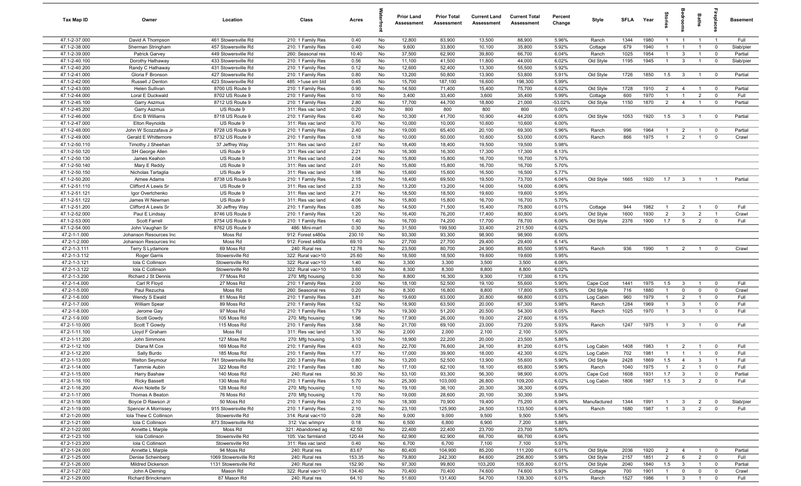| Tax Map ID                     | Owner                                    | Location                                   | Class                                  | Acres          |          | <b>Prior Land</b><br>Assessment | <b>Prior Total</b><br>Assessment | <b>Current Land</b><br>Assessment | <b>Current Total</b><br>Assessment | Percent<br>Change | Style                 | <b>SFLA</b>  | Year         | tories                         |                              | <b>Baths</b>                     | epla                       | <b>Basement</b>   |
|--------------------------------|------------------------------------------|--------------------------------------------|----------------------------------------|----------------|----------|---------------------------------|----------------------------------|-----------------------------------|------------------------------------|-------------------|-----------------------|--------------|--------------|--------------------------------|------------------------------|----------------------------------|----------------------------|-------------------|
| 47.1-2-37.000                  | David A Thompson                         | 461 Stowersville Rd                        | 210: 1 Family Res                      | 0.40           | No       | 12,800                          | 83,900                           | 13,500                            | 88,900                             | 5.96%             | Ranch                 | 1344         | 1980         | $\overline{1}$                 | $\overline{1}$               | $\overline{1}$                   | $\overline{1}$             | Full              |
| 47.1-2-38.000                  | Sherman Stringham                        | 457 Stowersville Rd                        | 210: 1 Family Res                      | 0.40           | No       | 9,600                           | 33,800                           | 10,100                            | 35,800                             | 5.92%             | Cottage               | 679          | 1940         | $\mathbf{1}$                   | $\overline{1}$               | $\overline{1}$                   | $\mathbf 0$                | Slab/pier         |
| 47.1-2-39.000                  | Patrick Garvey                           | 449 Stowersville Rd                        | 260: Seasonal res                      | 10.40          | No       | 37,500                          | 62,900                           | 39,800                            | 66,700                             | 6.04%             | Ranch                 | 1025         | 1954         | $\mathbf{1}$                   | $\mathbf{3}$                 | $\overline{1}$                   | $\mathbf 0$                | Partial           |
| 47.1-2-40.100                  | Dorothy Hathaway                         | 433 Stowersville Rd                        | 210: 1 Family Res                      | 0.56           | No       | 11,100                          | 41,500                           | 11,800                            | 44,000                             | 6.02%             | Old Style             | 1195         | 1945         | $\mathbf{1}$                   | $\mathbf{3}$                 | $\overline{1}$                   | $\mathbf 0$                | Slab/pier         |
| 47.1-2-40.200<br>47.1-2-41.000 | Randy C Hathaway                         | 431 Stowersville Rd                        | 210: 1 Family Res                      | 0.12           | No       | 12,600                          | 52,400                           | 13,300                            | 55,500<br>53,800                   | 5.92%             |                       |              |              |                                |                              |                                  |                            |                   |
| 47.1-2-42.000                  | Gloria F Bronson<br>Russell J Denton     | 427 Stowersville Rd<br>423 Stowersville Rd | 210: 1 Family Res<br>485: >1use sm bld | 0.80<br>0.45   | No<br>No | 13,200<br>15,700                | 50,800<br>187,100                | 13,900<br>16,600                  | 198,300                            | 5.91%<br>5.99%    | Old Style             | 1726         | 1850         | 1.5                            | $\mathbf{3}$                 | $\overline{1}$                   | $\overline{0}$             | Partial           |
| 47.1-2-43.000                  | Helen Sullivan                           | 8700 US Route 9                            | 210: 1 Family Res                      | 0.90           | No       | 14,500                          | 71,400                           | 15,400                            | 75,700                             | 6.02%             | Old Style             | 1728         | 1910         | $\overline{2}$                 | $\overline{4}$               | $\overline{1}$                   | $\overline{\mathbf{0}}$    | Partial           |
| 47.1-2-44.000                  | Loral E Duckwald                         | 8702 US Route 9                            | 210: 1 Family Res                      | 0.10           | No       | 3,400                           | 33,400                           | 3,600                             | 35,400                             | 5.99%             | Cottage               | 600          | 1970         | $\overline{1}$                 | $\overline{1}$               | $\overline{2}$                   | $\mathbf 0$                | Full              |
| 47.1-2-45.100                  | <b>Garry Aszmus</b>                      | 8712 US Route 9                            | 210: 1 Family Res                      | 2.80           | No       | 17,700                          | 44,700                           | 18,800                            | 21,000                             | $-53.02%$         | Old Style             | 1150         | 1870         | $\overline{2}$                 | $\overline{4}$               | $\overline{1}$                   | $\mathbf 0$                | Partial           |
| 47.1-2-45.200                  | <b>Garry Aszmus</b>                      | US Route 9                                 | 311: Res vac land                      | 0.20           | No       | 800                             | 800                              | 800                               | 800                                | 0.00%             |                       |              |              |                                |                              |                                  |                            |                   |
| 47.1-2-46.000                  | Eric B Williams                          | 8718 US Route 9                            | 210: 1 Family Res                      | 0.40           | No       | 10,300                          | 41,700                           | 10,900                            | 44,200                             | 6.00%             | Old Style             | 1053         | 1920         | 1.5                            | $\mathbf{3}$                 | $\overline{1}$                   | $\mathbf 0$                | Partial           |
| 47.1-2-47.000                  | Elton Reynolds                           | US Route 9                                 | 311: Res vac land                      | 0.70           | No       | 10,000                          | 10,000                           | 10,600                            | 10,600                             | 6.00%             |                       |              |              |                                |                              |                                  |                            |                   |
| 47.1-2-48.000                  | John W Scozzafava Jr                     | 8728 US Route 9                            | 210: 1 Family Res                      | 2.40           | No       | 19,000                          | 65,400                           | 20,100                            | 69,300                             | 5.96%             | Ranch                 | 996          | 1964         | $\mathbf{1}$                   | 2                            | $\overline{1}$                   | $\mathbf 0$                | Partial           |
| 47.1-2-49.000                  | Gerald E Whittemore                      | 8732 US Route 9                            | 210: 1 Family Res                      | 0.18           | No       | 10,000                          | 50,000                           | 10,600                            | 53,000                             | 6.00%             | Ranch                 | 866          | 1975         | $\overline{1}$                 | $\overline{2}$               | $\overline{1}$                   | $\mathbf 0$                | Crawl             |
| 47.1-2-50.110                  | Timothy J Sheehan                        | 37 Jeffrey Way                             | 311: Res vac land                      | 2.67           | No       | 18,400                          | 18,400                           | 19,500                            | 19,500                             | 5.98%             |                       |              |              |                                |                              |                                  |                            |                   |
| 47.1-2-50.120                  | SH George Allen                          | US Route 9                                 | 311: Res vac land                      | 2.21           | No       | 16,300                          | 16,300                           | 17,300                            | 17,300                             | 6.13%             |                       |              |              |                                |                              |                                  |                            |                   |
| 47.1-2-50.130<br>47.1-2-50.140 | James Keahon<br>Mary E Reddy             | US Route 9<br>US Route 9                   | 311: Res vac land<br>311: Res vac land | 2.04<br>2.01   | No<br>No | 15,800<br>15,800                | 15,800<br>15,800                 | 16,700<br>16,700                  | 16,700<br>16,700                   | 5.70%<br>5.70%    |                       |              |              |                                |                              |                                  |                            |                   |
| 47.1-2-50.150                  | Nicholas Tartaglia                       | US Route 9                                 | 311: Res vac land                      | 1.98           | No       | 15,600                          | 15,600                           | 16,500                            | 16,500                             | 5.77%             |                       |              |              |                                |                              |                                  |                            |                   |
| 47.1-2-50.200                  | Aimee Adams                              | 8738 US Route 9                            | 210: 1 Family Res                      | 2.15           | No       | 18,400                          | 69,500                           | 19,500                            | 73,700                             | 6.04%             | Old Style             | 1665         | 1920         | 1.7                            | $\overline{3}$               | $\overline{1}$                   | $\overline{1}$             | Partial           |
| 47.1-2-51.110                  | Clifford A Lewis Sr                      | US Route 9                                 | 311: Res vac land                      | 2.33           | No       | 13,200                          | 13,200                           | 14,000                            | 14,000                             | 6.06%             |                       |              |              |                                |                              |                                  |                            |                   |
| 47.1-2-51.121                  | Igor Overtchenko                         | US Route 9                                 | 311: Res vac land                      | 2.71           | No       | 18,500                          | 18,500                           | 19,600                            | 19,600                             | 5.95%             |                       |              |              |                                |                              |                                  |                            |                   |
| 47.1-2-51.122                  | James W Newman                           | US Route 9                                 | 311: Res vac land                      | 4.06           | No       | 15,800                          | 15,800                           | 16,700                            | 16,700                             | 5.70%             |                       |              |              |                                |                              |                                  |                            |                   |
| 47.1-2-51.200                  | Clifford A Lewis Sr                      | 30 Jeffrey Way                             | 210: 1 Family Res                      | 0.85           | No       | 14,500                          | 71,500                           | 15,400                            | 75,800                             | 6.01%             | Cottage               | 944          | 1982         | $\overline{1}$                 | $\overline{2}$               | $\overline{1}$                   | $\mathbf 0$                | Full              |
| 47.1-2-52.000                  | Paul E Lindsay                           | 8746 US Route 9                            | 210: 1 Family Res                      | 1.20           | No       | 16,400                          | 76,200                           | 17,400                            | 80,800                             | 6.04%             | Old Style             | 1600         | 1930         | $\overline{2}$                 | $\mathbf{3}$                 | $\overline{2}$                   | $\overline{1}$             | Crawl             |
| 47.1-2-53.000                  | Scott Farrell                            | 8754 US Route 9                            | 210: 1 Family Res                      | 1.40           | No       | 16,700                          | 74,200                           | 17,700                            | 78,700                             | 6.06%             | Old Style             | 2376         | 1900         | 1.7                            | 5                            | $\overline{2}$                   | $\mathbf 0$                | Full              |
| 47.1-2-54.000                  | John Vaughan Sr                          | 8762 US Route 9                            | 486: Mini-mart                         | 0.30           | No       | 31,500                          | 199,500                          | 33,400                            | 211,500                            | 6.02%             |                       |              |              |                                |                              |                                  |                            |                   |
| 47.2-1-1.000                   | Johanson Resources Inc                   | Moss Rd                                    | 912: Forest s480a                      | 230.10         | No       | 93,300                          | 93,300                           | 98,900                            | 98,900                             | 6.00%             |                       |              |              |                                |                              |                                  |                            |                   |
| 47.2-1-2.000<br>47.2-1-3.111   | Johanson Resources Inc                   | Moss Rd<br>69 Moss Rd                      | 912: Forest s480a<br>240: Rural res    | 69.10<br>12.76 | No<br>No | 27,700<br>23,500                | 27,700<br>80,700                 | 29,400<br>24,900                  | 29,400<br>85,500                   | 6.14%<br>5.95%    | Ranch                 | 936          | 1990         | $\overline{1}$                 | $\overline{2}$               | $\overline{1}$                   | $\mathbf 0$                | Crawl             |
| 47.2-1-3.112                   | Terry S Lydamore<br>Roger Garris         | Stowersville Rd                            | 322: Rural vac>10                      | 25.60          | No       | 18,500                          | 18,500                           | 19,600                            | 19,600                             | 5.95%             |                       |              |              |                                |                              |                                  |                            |                   |
| 47.2-1-3.121                   | Iola C Collinson                         | Stowersville Rd                            | 322: Rural vac>10                      | 1.40           | No       | 3,300                           | 3,300                            | 3,500                             | 3,500                              | 6.06%             |                       |              |              |                                |                              |                                  |                            |                   |
| 47.2-1-3.122                   | Iola C Collinson                         | Stowersville Rd                            | 322: Rural vac>10                      | 3.60           | No       | 8,300                           | 8,300                            | 8,800                             | 8,800                              | 6.02%             |                       |              |              |                                |                              |                                  |                            |                   |
| 47.2-1-3.200                   | Richard J St Dennis                      | 77 Moss Rd                                 | 270: Mfg housing                       | 0.30           | No       | 8,800                           | 16,300                           | 9,300                             | 17,300                             | 6.13%             |                       |              |              |                                |                              |                                  |                            |                   |
| 47.2-1-4.000                   | Carl R Floyd                             | 27 Moss Rd                                 | 210: 1 Family Res                      | 2.00           | No       | 18,100                          | 52,500                           | 19,100                            | 55,600                             | 5.90%             | Cape Cod              | 1441         | 1975         | 1.5                            | $\mathbf{3}$                 | $\overline{1}$                   | $\mathbf 0$                | Full              |
| 47.2-1-5.000                   | Paul Rezucha                             | Moss Rd                                    | 260: Seasonal res                      | 0.20           | No       | 8,300                           | 16,800                           | 8,800                             | 17,800                             | 5.95%             | Old Style             | 716          | 1880         | $\overline{1}$                 | $\mathbf 0$                  | $\mathbf 0$                      | $\mathbf 0$                | Crawl             |
| 47.2-1-6.000                   | Wendy S Ewald                            | 81 Moss Rd                                 | 210: 1 Family Res                      | 3.81           | No       | 19,600                          | 63,000                           | 20,800                            | 66,800                             | 6.03%             | Log Cabin             | 960          | 1979         | $\overline{1}$                 | 2                            | $\overline{1}$                   | $\overline{0}$             | Full              |
| 47.2-1-7.000                   | William Spear                            | 89 Moss Rd                                 | 210: 1 Family Res                      | 1.52           | No       | 18,900                          | 63,500                           | 20,000                            | 67,300                             | 5.98%             | Ranch                 | 1284         | 1969         | $\overline{1}$                 | $\mathbf{3}$                 | $\overline{1}$                   | $\mathbf 0$                | Full              |
| 47.2-1-8.000                   | Jerome Gay                               | 97 Moss Rd                                 | 210: 1 Family Res                      | 1.79           | No       | 19,300                          | 51,200                           | 20,500                            | 54,300                             | 6.05%             | Ranch                 | 1025         | 1970         | $\overline{1}$                 | $\mathbf{3}$                 | $\overline{1}$                   | $\mathbf 0$                | Full              |
| 47.2-1-9.000                   | Scott Gowdy                              | 105 Moss Rd                                | 270: Mfg housing                       | 1.96           | No       | 17,900                          | 26,000                           | 19,000                            | 27,600                             | 6.15%             |                       |              |              |                                |                              |                                  |                            | Full              |
| 47.2-1-10.000<br>47.2-1-11.100 | Scott T Gowdy<br>Lloyd F Graham          | 115 Moss Rd<br>Moss Rd                     | 210: 1 Family Res<br>311: Res vac land | 3.58<br>1.30   | No<br>No | 21,700<br>2,000                 | 69,100<br>2,000                  | 23,000<br>2,100                   | 73,200<br>2,100                    | 5.93%<br>5.00%    | Ranch                 | 1247         | 1975         | $\overline{1}$                 | $\mathbf{3}$                 | $\overline{1}$                   | $\mathbf 0$                |                   |
| 47.2-1-11.200                  | John Simmons                             | 127 Moss Rd                                | 270: Mfg housing                       | 3.10           | No       | 18,900                          | 22,200                           | 20,000                            | 23,500                             | 5.86%             |                       |              |              |                                |                              |                                  |                            |                   |
| 47.2-1-12.100                  | Diana M Cox                              | 169 Moss Rd                                | 210: 1 Family Res                      | 4.03           | No       | 22,700                          | 76,600                           | 24,100                            | 81,200                             | 6.01%             | Log Cabin             | 1408         | 1983         | -1                             | $\overline{2}$               | $\overline{1}$                   | $\mathbf 0$                | Full              |
| 47.2-1-12.200                  | Sally Burdo                              | 185 Moss Rd                                | 210: 1 Family Res                      | 1.77           | No       | 17,000                          | 39,900                           | 18,000                            | 42,300                             | 6.02%             | Log Cabin             | 702          | 1981         | $\overline{1}$                 | $\overline{1}$               | $\overline{1}$                   | $\mathbf 0$                | Full              |
| 47.2-1-13.000                  | Welton Seymour                           | 741 Stowersville Rd                        | 230: 3 Family Res                      | 0.80           | No       | 13,200                          | 52,500                           | 13,900                            | 55,600                             | 5.90%             | Old Style             | 2428         | 1869         | 1.5                            | $\overline{A}$               | 3                                |                            | Full              |
| 47.2-1-14.000                  | Tammie Aubin                             | 322 Moss Rd                                | 210: 1 Family Res                      | 1.80           | No       | 17,100                          | 62,100                           | 18,100                            | 65,800                             | 5.96%             | Ranch                 | 1040         | 1975         | $\overline{1}$                 | $\overline{2}$               | $\overline{1}$                   | $\mathbf 0$                | Full              |
| 47.2-1-15.000                  | Harry Bashaw                             | 140 Moss Rd                                | 240: Rural res                         | 50.30          | No       | 53,100                          | 93,300                           | 56,300                            | 98,900                             | 6.00%             | Cape Cod              | 1608         | 1931         | 1.7                            | $\mathbf{3}$                 | $\overline{1}$                   | $\mathbf 0$                | Partial           |
| 47.2-1-16.100                  | <b>Ricky Bassett</b>                     | 130 Moss Rd                                | 210: 1 Family Res                      | 5.70           | No       | 25,300                          | 103,000                          | 26,800                            | 109,200                            | 6.02%             | Log Cabin             | 1806         | 1987         | 1.5                            | $\mathbf{3}$                 | $\overline{2}$                   | $\mathbf 0$                | Full              |
| 47.2-1-16.200                  | Alvin Nolette Sr                         | 128 Moss Rd                                | 270: Mfg housing                       | 1.10           | No       | 19,100                          | 36,100                           | 20,300                            | 38,300                             | 6.09%             |                       |              |              |                                |                              |                                  |                            |                   |
| 47.2-1-17.000                  | Thomas A Beaton                          | 76 Moss Rd                                 | 270: Mfg housing                       | 1.70           | No       | 19,000                          | 28,600                           | 20,100                            | 30,300                             | 5.94%             |                       |              |              |                                |                              |                                  |                            |                   |
| 47.2-1-18.000<br>47.2-1-19.000 | Boyce D Rawson Jr<br>Spencer A Morrissey | 50 Moss Rd<br>915 Stowersville Rd          | 210: 1 Family Res<br>210: 1 Family Res | 2.10<br>2.10   | No<br>No | 18,300<br>23,100                | 70,900<br>125,900                | 19,400<br>24,500                  | 75,200<br>133,500                  | 6.06%<br>6.04%    | Manufactured<br>Ranch | 1344<br>1680 | 1991<br>1987 | $\mathbf{1}$<br>$\overline{1}$ | $\mathbf{3}$<br>$\mathbf{3}$ | $\overline{2}$<br>$\overline{2}$ | $\mathbf 0$<br>$\mathbf 0$ | Slab/pier<br>Full |
| 47.2-1-20.000                  | Iola Thew C Collinson                    | Stowersville Rd                            | 314: Rural vac<10                      | 0.28           | No       | 9,000                           | 9,000                            | 9,500                             | 9,500                              | 5.56%             |                       |              |              |                                |                              |                                  |                            |                   |
| 47.2-1-21.000                  | Iola C Collinson                         | 873 Stowersville Rd                        | 312: Vac w/imprv                       | 0.18           | No       | 6,500                           | 6,800                            | 6,900                             | 7,200                              | 5.88%             |                       |              |              |                                |                              |                                  |                            |                   |
| 47.2-1-22.000                  | Annette L Marple                         | Moss Rd                                    | 321: Abandoned ag                      | 42.50          | No       | 22,400                          | 22,400                           | 23,700                            | 23,700                             | 5.80%             |                       |              |              |                                |                              |                                  |                            |                   |
| 47.2-1-23.100                  | Iola Collinson                           | Stowersville Rd                            | 105: Vac farmland                      | 120.44         | No       | 62,900                          | 62,900                           | 66,700                            | 66,700                             | 6.04%             |                       |              |              |                                |                              |                                  |                            |                   |
| 47.2-1-23.200                  | Iola C Collinson                         | Stowersville Rd                            | 311: Res vac land                      | 0.40           | No       | 6,700                           | 6,700                            | 7,100                             | 7,100                              | 5.97%             |                       |              |              |                                |                              |                                  |                            |                   |
| 47.2-1-24.000                  | Annette L Marple                         | 94 Moss Rd                                 | 240: Rural res                         | 83.67          | No       | 80,400                          | 104,900                          | 85,200                            | 111,200                            | 6.01%             | Old Style             | 2036         | 1920         | $\overline{2}$                 | $\overline{4}$               | $\overline{1}$                   | $\overline{\mathbf{0}}$    | Partial           |
| 47.2-1-25.000                  | Denise Scheinberg                        | 1069 Stowersville Rd                       | 240: Rural res                         | 153.35         | No       | 79,800                          | 242,300                          | 84,600                            | 256,800                            | 5.98%             | Old Style             | 2157         | 1851         | $\overline{2}$                 | 6                            | $\overline{2}$                   | $\mathbf 0$                | Full              |
| 47.2-1-26.000                  | Mildred Dickerson                        | 1131 Stowersville Rd                       | 240: Rural res                         | 152.90         | No       | 97,300                          | 99,800                           | 103,200                           | 105,800                            | 6.01%             | Old Style             | 2040         | 1840         | 1.5                            | $\mathbf{3}$                 | $\overline{1}$                   | $\mathbf{0}$               | Partial           |
| 47.2-1-27.002                  | John A Deming                            | Mason Rd                                   | 322: Rural vac>10                      | 134.40         | No       | 70,400                          | 70,400                           | 74,600                            | 74,600                             | 5.97%             | Cottage               | 700          | 1901         | $\overline{1}$                 | $\overline{0}$               | $\mathbf 0$                      | $\mathbf 0$                | Crawl             |
| 47.2-1-29.000                  | Richard Brinckmann                       | 87 Mason Rd                                | 240: Rural res                         | 64.10          | No       | 51,600                          | 131,400                          | 54,700                            | 139,300                            | 6.01%             | Ranch                 | 1527         | 1986         | $\overline{1}$                 | $\mathbf{3}$                 | $\overline{1}$                   | $\overline{0}$             | Full              |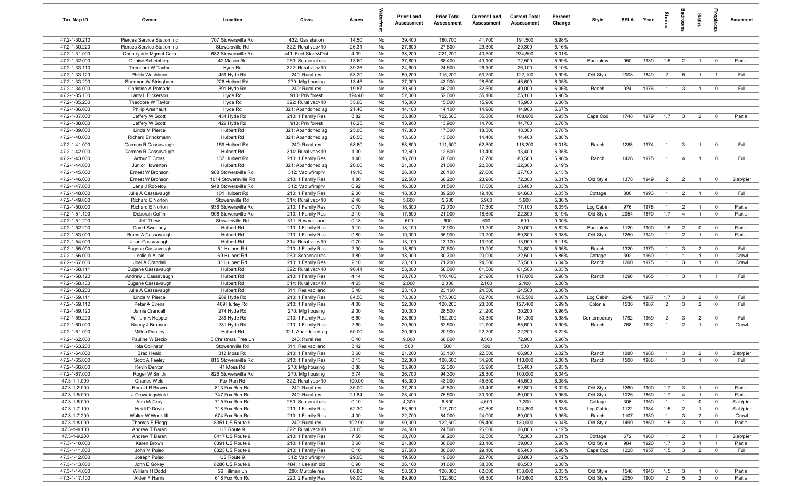| Tax Map ID                     | Owner                                    | Location                                    | Class                                  | Acres          |          | <b>Prior Land</b><br>Assessment | <b>Prior Total</b><br>Assessment | <b>Current Land</b><br>Assessment | <b>Current Total</b><br>Assessment | Percent<br>Change | Style                  | <b>SFLA</b>  | Year         | Stories               | edroom                  | Baths                            | ireplace:                  | <b>Basement</b>    |
|--------------------------------|------------------------------------------|---------------------------------------------|----------------------------------------|----------------|----------|---------------------------------|----------------------------------|-----------------------------------|------------------------------------|-------------------|------------------------|--------------|--------------|-----------------------|-------------------------|----------------------------------|----------------------------|--------------------|
| 47.2-1-30.210                  | Pierces Service Station Inc              | 707 Stowersville Rd                         | 432: Gas station                       | 14.50          | No       | 39,400                          | 180,700                          | 41,700                            | 191,500                            | 5.98%             |                        |              |              |                       |                         |                                  |                            |                    |
| 47.2-1-30.220                  | Pierces Service Station Inc              | Stowersville Rd                             | 322: Rural vac>10                      | 26.31          | No       | 27,600                          | 27,600                           | 29,300                            | 29,300                             | 6.16%             |                        |              |              |                       |                         |                                  |                            |                    |
| 47.2-1-31.000                  | Countryside Mgmnt Corp                   | 682 Stowersville Rd                         | 441: Fuel Store&Dist                   | 4.39           | No       | 38,200                          | 221,200                          | 40,500                            | 234,500                            | 6.01%             |                        |              |              |                       |                         |                                  |                            |                    |
| 47.2-1-32.000                  | Denise Scheinberg                        | 42 Mason Rd                                 | 260: Seasonal res                      | 13.60          | No       | 37,800                          | 68,400                           | 40,100                            | 72,500                             | 5.99%             | Bungalow               | 950          | 1930         | 1.5                   | $\overline{2}$          | $\overline{1}$                   | $^{\circ}$                 | Partial            |
| 47.2-1-33.110<br>47.2-1-33.120 | Theodore W Taylor                        | Hyde Rd                                     | 322: Rural vac>10                      | 39.26          | No<br>No | 24,600                          | 24,600                           | 26,100                            | 26,100                             | 6.10%             |                        | 2008         | 1840         | 2                     |                         |                                  |                            | Full               |
| 47.2-1-33.200                  | Phillis Washburn<br>Sherman W Stringham  | 459 Hyde Rd<br>226 Hulbert Rd               | 240: Rural res<br>270: Mfg housing     | 53.20<br>13.45 | No       | 50,200<br>27,000                | 115,200<br>43,000                | 53,200<br>28,600                  | 122,100<br>45,600                  | 5.99%<br>6.05%    | Old Style              |              |              |                       | 5                       |                                  |                            |                    |
| 47.2-1-34.000                  | Christine A Patnode                      | 391 Hyde Rd                                 | 240: Rural res                         | 19.87          | No       | 30,600                          | 46,200                           | 32,500                            | 49,000                             | 6.06%             | Ranch                  | 924          | 1976         | $\overline{1}$        | $\mathbf{3}$            |                                  | $^{\circ}$                 | Full               |
| 47.2-1-35.100                  | Larry L Dickerson                        | Hyde Rd                                     | 910: Priv forest                       | 124.40         | No       | 52,000                          | 52,000                           | 55,100                            | 55,100                             | 5.96%             |                        |              |              |                       |                         |                                  |                            |                    |
| 47.2-1-35.200                  | Theodore W Taylor                        | Hyde Rd                                     | 322: Rural vac>10                      | 35.60          | No       | 15,000                          | 15,000                           | 15,900                            | 15,900                             | 6.00%             |                        |              |              |                       |                         |                                  |                            |                    |
| 47.2-1-36.000                  | <b>Philip Arsenault</b>                  | Hyde Rd                                     | 321: Abandoned ag                      | 21.40          | No       | 14,100                          | 14,100                           | 14,900                            | 14,900                             | 5.67%             |                        |              |              |                       |                         |                                  |                            |                    |
| 47.2-1-37.000                  | Jeffery W Scott                          | 434 Hyde Rd                                 | 210: 1 Family Res                      | 8.82           | No       | 33,800                          | 102,500                          | 35,800                            | 108,600                            | 5.95%             | Cape Cod               | 1748         | 1979         | 1.7                   | $\overline{\mathbf{3}}$ | $\overline{2}$                   | $^{\circ}$                 | Partial            |
| 47.2-1-38.000                  | Jeffery W Scott                          | 426 Hyde Rd                                 | 910: Priv forest                       | 18.25          | No       | 13,900                          | 13,900                           | 14,700                            | 14,700                             | 5.76%             |                        |              |              |                       |                         |                                  |                            |                    |
| 47.2-1-39.000                  | Linda M Pierce                           | Hulbert Rd                                  | 321: Abandoned ag                      | 25.00          | No       | 17,300                          | 17,300                           | 18,300                            | 18,300                             | 5.78%             |                        |              |              |                       |                         |                                  |                            |                    |
| 47.2-1-40.000                  | Richard Brinckmann                       | Hulbert Rd                                  | 321: Abandoned ag                      | 26.50          | No       | 13,600                          | 13,600                           | 14,400                            | 14,400                             | 5.88%             |                        |              |              |                       |                         |                                  |                            |                    |
| 47.2-1-41.000                  | Carmen R Cassavaugh                      | 159 Hulbert Rd                              | 240: Rural res                         | 58.60          | No       | 58,800                          | 111,500                          | 62,300                            | 118,200                            | 6.01%             | Ranch                  | 1288         | 1974         | $\overline{1}$        | $\mathbf{3}$            | $\overline{1}$                   | $\mathbf 0$                | Full               |
| 47.2-1-42.000                  | Carmen R Cassavaugh                      | Hulbert Rd                                  | 314: Rural vac<10                      | 1.30           | No       | 12,600                          | 12,600                           | 13,400                            | 13,400                             | 6.35%             |                        |              |              |                       |                         |                                  |                            |                    |
| 47.2-1-43.000                  | Arthur T Cross                           | 137 Hulbert Rd                              | 210: 1 Family Res                      | 1.40           | No       | 16,700                          | 78,800                           | 17,700                            | 83,500                             | 5.96%             | Ranch                  | 1426         | 1975         | $\overline{1}$        | $\overline{4}$          | $\overline{1}$                   | $\mathbf 0$                | Full               |
| 47.2-1-44.000                  | Junior Howerton                          | Hulbert Rd                                  | 321: Abandoned ag                      | 20.00          | No       | 21,000                          | 21,000                           | 22,300                            | 22,300                             | 6.19%             |                        |              |              |                       |                         |                                  |                            |                    |
| 47.2-1-45.000<br>47.2-1-46.000 | Ernest W Bronson<br>Ernest W Bronson     | 988 Stowersville Rd                         | 312: Vac w/imprv                       | 19.10          | No       | 26,000                          | 26,100                           | 27,600                            | 27,700<br>72,300                   | 6.13%             |                        |              | 1949         | $\overline{2}$        |                         | $\overline{1}$                   |                            |                    |
| 47.2-1-47.000                  | Lena J Robetoy                           | 1014 Stowersville Rd<br>948 Stowersville Rd | 210: 1 Family Res<br>312: Vac w/imprv  | 1.80<br>0.92   | No<br>No | 22,500<br>16,000                | 68,200<br>31,500                 | 23,900<br>17,000                  | 33,400                             | 6.01%<br>6.03%    | Old Style              | 1378         |              |                       | $\overline{2}$          |                                  | $\overline{\mathbf{0}}$    | Slab/pier          |
| 47.2-1-48.000                  | Julie A Cassavaugh                       | 101 Hulbert Rd                              | 210: 1 Family Res                      | 2.00           | No       | 18,000                          | 89,200                           | 19,100                            | 94,600                             | 6.05%             | Cottage                | 800          | 1993         | $\overline{1}$        | $\overline{2}$          | $\overline{1}$                   | $\overline{0}$             | Full               |
| 47.2-1-49.000                  | Richard E Norton                         | Stowersville Rd                             | 314: Rural vac<10                      | 2.40           | No       | 5,600                           | 5,600                            | 5,900                             | 5,900                              | 5.36%             |                        |              |              |                       |                         |                                  |                            |                    |
| 47.2-1-50.000                  | Richard E Norton                         | 936 Stowersville Rd                         | 210: 1 Family Res                      | 0.70           | No       | 16,300                          | 72,700                           | 17,300                            | 77,100                             | 6.05%             | Log Cabin              | 976          | 1978         | $\overline{1}$        | $\overline{2}$          | $\overline{1}$                   | $\overline{0}$             | Partial            |
| 47.2-1-51.100                  | Deborah Coffin                           | 906 Stowersville Rd                         | 210: 1 Family Res                      | 2.10           | No       | 17,500                          | 21,000                           | 18,600                            | 22,300                             | 6.19%             | Old Style              | 2054         | 1870         | 1.7                   | $\overline{4}$          | $\overline{1}$                   | $\overline{0}$             | Partial            |
| 47.2-1-51.200                  | Jeff Thew                                | Stowersville Rd                             | 311: Res vac land                      | 0.18           | No       | 600                             | 600                              | 600                               | 600                                | 0.00%             |                        |              |              |                       |                         |                                  |                            |                    |
| 47.2-1-52.200                  | David Sweeney                            | Hulbert Rd                                  | 210: 1 Family Res                      | 1.10           | No       | 18,100                          | 18,900                           | 19,200                            | 20,000                             | 5.82%             | Bungalow               | 1120         | 1900         | 1.5                   | $\overline{2}$          | $\mathbf 0$                      | $\mathbf 0$                | Partial            |
| 47.2-1-53.000                  | Bruce A Cassavaugh                       | Hulbert Rd                                  | 210: 1 Family Res                      | 0.80           | No       | 19,000                          | 55,900                           | 20,200                            | 59,300                             | 6.08%             | Old Style              | 1250         | 1940         | $\overline{1}$        | $\overline{2}$          | $\overline{1}$                   | $\mathbf 0$                | Partial            |
| 47.2-1-54.000                  | Joan Cassavaugh                          | Hulbert Rd                                  | 314: Rural vac<10                      | 0.70           | No       | 13,100                          | 13,100                           | 13,900                            | 13,900                             | 6.11%             |                        |              |              |                       |                         |                                  |                            |                    |
| 47.2-1-55.000                  | Eugene Cassavaugh                        | 51 Hulbert Rd                               | 210: 1 Family Res                      | 2.30           | No       | 18,800                          | 70,600                           | 19,900                            | 74,800                             | 5.95%             | Ranch                  | 1320         | 1970         | $\overline{1}$        | $\mathbf{3}$            | $\overline{2}$                   | $\mathbf 0$                | Full               |
| 47.2-1-56.000                  | Leslie A Aubin                           | 69 Hulbert Rd                               | 260: Seasonal res                      | 1.80           | No       | 18,900                          | 30,700                           | 20,000                            | 32,500                             | 5.86%             | Cottage                | 392          | 1960         | $\mathbf{1}$          | $\overline{1}$          |                                  | $\mathbf 0$                | Crawl              |
| 47.2-1-57.000                  | Joel A Crandall                          | 81 Hulbert Rd                               | 210: 1 Family Res                      | 2.10           | No       | 23,100                          | 71,200                           | 24,500                            | 75,500                             | 6.04%             | Ranch                  | 1200         | 1975         | $\overline{1}$        | 3                       | $\overline{1}$                   | $\mathbf 0$                | Crawl              |
| 47.2-1-58.111                  | Eugene Cassavaugh                        | Hulbert Rd                                  | 322: Rural vac>10                      | 90.41          | No       | 58,000<br>20,700                | 58,000                           | 61,500                            | 61,500                             | 6.03%<br>5.98%    |                        | 1296         | 1965         |                       |                         |                                  | $\overline{1}$             | Full               |
| 47.2-1-58.120<br>47.2-1-58.130 | Andrew J Cassavaugh<br>Eugene Cassavaugh | Hulbert Rd<br>Hulbert Rd                    | 210: 1 Family Res<br>314: Rural vac<10 | 4.14<br>4.65   | No<br>No | 2,000                           | 110,400<br>2,000                 | 21,900<br>2,100                   | 117,000<br>2,100                   | 5.00%             | Ranch                  |              |              | $\overline{1}$        | $\overline{3}$          | $\overline{1}$                   |                            |                    |
| 47.2-1-58.200                  | Julie A Cassavaugh                       | Hulbert Rd                                  | 311: Res vac land                      | 5.40           | No       | 23,100                          | 23,100                           | 24,500                            | 24,500                             | 6.06%             |                        |              |              |                       |                         |                                  |                            |                    |
| 47.2-1-59.111                  | Linda M Pierce                           | 289 Hyde Rd                                 | 210: 1 Family Res                      | 84.50          | No       | 78,000                          | 175,000                          | 82,700                            | 185,500                            | 6.00%             | Log Cabin              | 2048         | 1987         | 1.7                   | $\mathbf{3}$            | $\overline{2}$                   | $\overline{\mathbf{0}}$    | Full               |
| 47.2-1-59.112                  | Peter A Evens                            | 469 Hurley Rd                               | 210: 1 Family Res                      | 4.00           | No       | 22,000                          | 120,200                          | 23,300                            | 127,400                            | 5.99%             | Colonial               | 1536         | 1987         | 2                     | $\mathbf{3}$            | $\overline{2}$                   | $\mathbf 0$                | Full               |
| 47.2-1-59.120                  | Jamie Crandall                           | 274 Hyde Rd                                 | 270: Mfg housing                       | 2.00           | No       | 20,000                          | 28,500                           | 21,200                            | 30,200                             | 5.96%             |                        |              |              |                       |                         |                                  |                            |                    |
| 47.2-1-59.200                  | William K Hopper                         | 289 Hyde Rd                                 | 210: 1 Family Res                      | 6.60           | No       | 28,600                          | 152,200                          | 30,300                            | 161,300                            | 5.98%             | Contemporary           | 1792         | 1969         | $\overline{2}$        | $\mathbf{3}$            | $\overline{2}$                   | $\mathbf 0$                | Full               |
| 47.2-1-60.000                  | Nancy J Bronson                          | 281 Hyde Rd                                 | 210: 1 Family Res                      | 2.60           | No       | 20,500                          | 52,500                           | 21,700                            | 55,600                             | 5.90%             | Ranch                  | 768          | 1992         | $\overline{1}$        | $\overline{2}$          | $\overline{1}$                   | $\mathbf 0$                | Crawl              |
| 47.2-1-61.000                  | <b>Milton Duntley</b>                    | Hulbert Rd                                  | 321: Abandoned ag                      | 50.00          | No       | 20,900                          | 20,900                           | 22,200                            | 22,200                             | 6.22%             |                        |              |              |                       |                         |                                  |                            |                    |
| 47.2-1-62.000                  | Pauline W Bezio                          | 8 Christmas Tree Ln                         | 240: Rural res                         | 0.40           | No       | 9,000                           | 68,800                           | 9,500                             | 72,900                             | 5.96%             |                        |              |              |                       |                         |                                  |                            |                    |
| 47.2-1-63.200                  | Iola Collinson                           | Stowersville Rd                             | 311: Res vac land                      | 3.42           | No       | 500                             | 500                              | 500                               | 500                                | 0.00%             |                        |              |              |                       |                         |                                  |                            |                    |
| 47.2-1-64.000                  | <b>Brad Heald</b>                        | 312 Moss Rd                                 | 210: 1 Family Res                      | 3.60           | No       | 21,200                          | 63,100                           | 22,500                            | 66,900                             | 6.02%             | Ranch                  | 1080         | 1988         | $\overline{1}$        | 3<br>$\mathbf{r}$       | $\overline{2}$                   | $^{\circ}$                 | Slab/pier          |
| 47.2-1-65.000                  | Scott A Feeley                           | 815 Stowersville Rd                         | 210: 1 Family Res                      | 8.13           | No       | 32,300                          | 106,600                          | 34,200                            | 113,000<br>55,400                  | 6.00%             | Ranch                  | 1500         | 1988         |                       |                         |                                  |                            | Full               |
| 47.2-1-66.000<br>47.2-1-67.000 | Kevin Denton<br>Roger W Smith            | 41 Moss Rd<br>825 Stowersville Rd           | 270: Mfg housing<br>270: Mfg housing   | 8.88<br>5.74   | No<br>No | 33,900<br>26,700                | 52,300<br>94,300                 | 35,900<br>28,300                  | 100,000                            | 5.93%<br>6.04%    |                        |              |              |                       |                         |                                  |                            |                    |
| 47.3-1-1.000                   | Charles Weld                             | Fox Run Rd                                  | 322: Rural vac>10                      | 100.00         | No       | 43,000                          | 43,000                           | 45,600                            | 45,600                             | 6.05%             |                        |              |              |                       |                         |                                  |                            |                    |
| 47.3-1-2.000                   | Ronald R Brown                           | 813 Fox Run Rd                              | 240: Rural res                         | 35.00          | No       | 37,200                          | 49,800                           | 39,400                            | 52,800                             | 6.02%             | Old Style              | 1260         | 1900         | 1.7                   | $\mathbf{3}$            | $\overline{1}$                   | $\overline{0}$             | Partial            |
| 47.3-1-5.000                   | J Crowningshield                         | 747 Fox Run Rd                              | 240: Rural res                         | 21.84          | No       | 28,400                          | 75,500                           | 30,100                            | 80,000                             | 5.96%             | Old Style              | 1026         | 1850         | 1.7                   | $\overline{4}$          | $\mathbf{1}$                     | $\overline{0}$             | Partial            |
| 47.3-1-6.000                   | Ann McCray                               | 715 Fox Run Rd                              | 260: Seasonal res                      | 0.10           | No       | 4,300                           | 6,800                            | 4,600                             | 7,200                              | 5.88%             | Cottage                | 306          | 1950         | $\mathbf{1}$          | $\overline{1}$          | $\mathbf 0$                      | $\overline{0}$             | Slab/pier          |
| 47.3-1-7.100                   | Heidi D Doyle                            | 718 Fox Run Rd                              | 210: 1 Family Res                      | 62.30          | No       | 63,500                          | 117,700                          | 67,300                            | 124,800                            | 6.03%             | Log Cabin              | 1122         | 1984         | 1.5                   | $\overline{2}$          | $\overline{1}$                   | $\mathbf 0$                | Slab/pier          |
| 47.3-1-7.200                   | Walter W Wnuk III                        | 674 Fox Run Rd                              | 210: 1 Family Res                      | 4.00           | No       | 22,700                          | 84,000                           | 24,000                            | 89,000                             | 5.95%             | Ranch                  | 1107         | 1980         | $\overline{1}$        | $\mathbf{3}$            | $\overline{2}$                   | $\mathbf 0$                | Crawl              |
| 47.3-1-8.000                   | Thomas E Flagg                           | 8351 US Route 9                             | 240: Rural res                         | 102.90         | No       | 90,000                          | 122,600                          | 95,400                            | 130,000                            | 6.04%             | Old Style              | 1499         | 1850         | 1.5                   | $\overline{\mathbf{3}}$ | $\mathbf{1}$                     | $\mathbf 0$                | Partial            |
| 47.3-1-9.100                   | Andrew T Baran                           | US Route 9                                  | 322: Rural vac>10                      | 31.00          | No       | 24,500                          | 24,500                           | 26,000                            | 26,000                             | 6.12%             |                        |              |              |                       |                         |                                  |                            |                    |
| 47.3-1-9.200                   | Andrew T Baran                           | 8417 US Route 9                             | 210: 1 Family Res                      | 7.50           | No       | 30,700                          | 68,200                           | 32,500                            | 72,300                             | 6.01%             | Cottage                | 672          | 1960         | $\mathbf{1}$          | $\overline{2}$          |                                  |                            | Slab/pier          |
| 47.3-1-10.000                  | Karen Brown                              | 8391 US Route 9                             | 210: 1 Family Res                      | 3.60           | No       | 21,800                          | 36,800                           | 23,100                            | 39,000                             | 5.98%             | Old Style              | 984          | 1920         | 1.7                   | $\overline{\mathbf{3}}$ | $\overline{1}$                   | $\overline{1}$             | Partial            |
| 47.3-1-11.000                  | John M Puleo                             | 8323 US Route 9                             | 210: 1 Family Res                      | 6.10           | No       | 27,500                          | 80,600                           | 29,100                            | 85,400                             | 5.96%             | Cape Cod               | 1228         | 1957         | 1.5                   | $\mathbf{3}$            | $\overline{2}$                   | $\overline{0}$             | Full               |
| 47.3-1-12.000                  | Joseph Puleo                             | US Route 9                                  | 312: Vac w/imprv                       | 29.00          | No       | 19,500                          | 19,600                           | 20,700                            | 20,800                             | 6.12%             |                        |              |              |                       |                         |                                  |                            |                    |
| 47.3-1-13.000                  | John E Gokey                             | 8286 US Route 9                             | 484: 1 use sm bld                      | 0.90           | No       | 36,100                          | 81,600                           | 38,300                            | 86,500                             | 6.00%             |                        |              |              |                       |                         |                                  |                            |                    |
| 47.3-1-14.000<br>47.3-1-17.100 | William H Dodd<br>Alden F Harris         | 56 Hillman Ln<br>618 Fox Run Rd             | 280: Multiple res<br>220: 2 Family Res | 68.80<br>98.00 | No<br>No | 58,500<br>89,900                | 126,000<br>132,600               | 62,000<br>95,300                  | 133,600<br>140,600                 | 6.03%<br>6.03%    | Old Style<br>Old Style | 1548<br>2050 | 1940<br>1900 | 1.5<br>$\overline{2}$ | $\mathbf{3}$<br>5       | $\overline{1}$<br>$\overline{2}$ | $\mathbf 0$<br>$\mathbf 0$ | Partial<br>Partial |
|                                |                                          |                                             |                                        |                |          |                                 |                                  |                                   |                                    |                   |                        |              |              |                       |                         |                                  |                            |                    |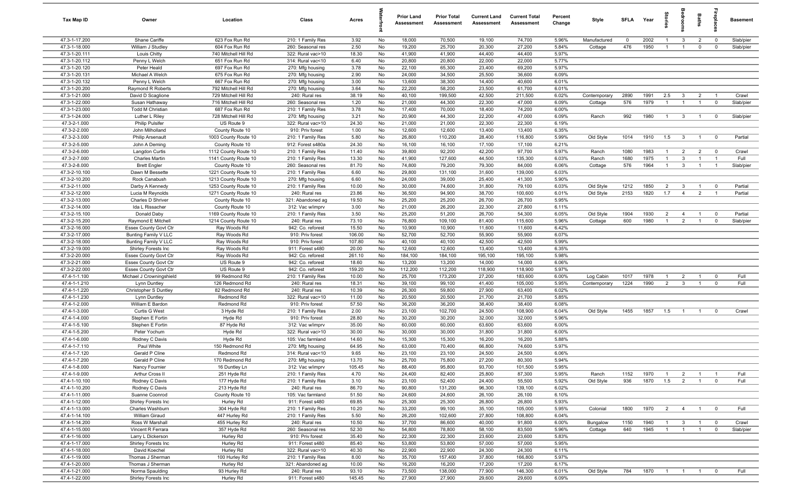| Tax Map ID                     | Owner                                     | Location                               | Class                                 | Acres          |          | <b>Prior Land</b><br>Assessment | <b>Prior Total</b><br>Assessment | <b>Current Land</b><br>Assessment | <b>Current Total</b><br><b>Assessment</b> | Percent<br>Change | Style        | <b>SFI A</b> | Year | tories         | eroo                    | Baths          | ireplac                 | <b>Basement</b> |
|--------------------------------|-------------------------------------------|----------------------------------------|---------------------------------------|----------------|----------|---------------------------------|----------------------------------|-----------------------------------|-------------------------------------------|-------------------|--------------|--------------|------|----------------|-------------------------|----------------|-------------------------|-----------------|
| 47.3-1-17.200                  | Shane Cariffe                             | 623 Fox Run Rd                         | 210: 1 Family Res                     | 3.92           | No       | 18,000                          | 70,500                           | 19,100                            | 74,700                                    | 5.96%             | Manufactured | $\mathbf 0$  | 2002 | $\overline{1}$ | $\mathbf{3}$            | $\overline{2}$ | $\overline{\mathbf{0}}$ | Slab/pier       |
| 47.3-1-18.000                  | William J Studley                         | 604 Fox Run Rd                         | 260: Seasonal res                     | 2.50           | No       | 19,200                          | 25,700                           | 20,300                            | 27,200                                    | 5.84%             | Cottage      | 476          | 1950 | $\overline{1}$ | $\overline{1}$          | $\mathbf 0$    | $\mathbf 0$             | Slab/pier       |
| 47.3-1-20.111                  | Louis Chitty                              | 740 Mitchell Hill Rd                   | 322: Rural vac>10                     | 18.30          | No       | 41,900                          | 41,900                           | 44,400                            | 44,400                                    | 5.97%             |              |              |      |                |                         |                |                         |                 |
| 47.3-1-20.112                  | Penny L Welch                             | 651 Fox Run Rd                         | 314: Rural vac<10                     | 6.40           | No       | 20,800                          | 20,800                           | 22,000                            | 22,000                                    | 5.77%             |              |              |      |                |                         |                |                         |                 |
| 47.3-1-20.120                  | Peter Heald                               | 697 Fox Run Rd                         | 270: Mfg housing                      | 3.78           | No       | 22,100                          | 65,300                           | 23,400                            | 69,200                                    | 5.97%             |              |              |      |                |                         |                |                         |                 |
| 47.3-1-20.131                  | Michael A Welch                           | 675 Fox Run Rd                         | 270: Mfg housing                      | 2.90           | No       | 24,000                          | 34,500                           | 25,500                            | 36,600                                    | 6.09%             |              |              |      |                |                         |                |                         |                 |
| 47.3-1-20.132                  | Penny L Welch                             | 667 Fox Run Rd                         | 270: Mfg housing                      | 3.00           | No       | 13,600                          | 38,300                           | 14,400                            | 40,600                                    | 6.01%             |              |              |      |                |                         |                |                         |                 |
| 47.3-1-20.200                  | Raymond R Roberts                         | 792 Mitchell Hill Rd                   | 270: Mfg housing                      | 3.64           | No       | 22,200                          | 58,200                           | 23,500                            | 61,700                                    | 6.01%             |              |              |      |                |                         |                |                         |                 |
| 47.3-1-21.000                  | David D Scaglione                         | 729 Mitchell Hill Rd                   | 240: Rural res                        | 38.19          | No       | 40,100                          | 199,500                          | 42,500                            | 211,500                                   | 6.02%             | Contemporary | 2890         | 1991 | 2.5            | $\mathbf{3}$            | $\overline{2}$ | $\overline{1}$          | Crawl           |
| 47.3-1-22.000                  | Susan Hathaway                            | 716 Mitchell Hill Rd                   | 260: Seasonal res                     | 1.20           | No       | 21,000                          | 44,300                           | 22,300                            | 47,000                                    | 6.09%             | Cottage      | 576          | 1979 | $\overline{1}$ | $\overline{1}$          | $\overline{1}$ | $\mathbf 0$             | Slab/pier       |
| 47.3-1-23.000<br>47.3-1-24.000 | <b>Todd M Christian</b><br>Luther L Riley | 687 Fox Run Rd<br>728 Mitchell Hill Rd | 210: 1 Family Res                     | 3.78<br>3.21   | No       | 17,400                          | 70,000                           | 18,400                            | 74,200                                    | 6.00%<br>6.09%    | Ranch        |              |      | $\overline{1}$ | $\mathbf{3}$            |                | $\mathbf 0$             | Slab/pier       |
| 47.3-2-1.000                   | <b>Philip Pulsifer</b>                    | US Route 9                             | 270: Mfg housing<br>322: Rural vac>10 | 24.30          | No<br>No | 20,900<br>21,000                | 44,300<br>21,000                 | 22,200<br>22,300                  | 47,000<br>22,300                          | 6.19%             |              | 992          | 1980 |                |                         | $\overline{1}$ |                         |                 |
| 47.3-2-2.000                   | John Milholland                           | County Route 10                        | 910: Priv forest                      | 1.00           | No       | 12,600                          | 12,600                           | 13,400                            | 13,400                                    | 6.35%             |              |              |      |                |                         |                |                         |                 |
| 47.3-2-3.000                   | <b>Philip Arsenault</b>                   | 1003 County Route 10                   | 210: 1 Family Res                     | 5.80           | No       | 26,800                          | 110,200                          | 28,400                            | 116,800                                   | 5.99%             | Old Style    | 1014         | 1910 | 1.5            | $\overline{3}$          | $\overline{1}$ | $\mathbf 0$             | Partial         |
| 47.3-2-5.000                   | John A Deming                             | County Route 10                        | 912: Forest s480a                     | 24.30          | No       | 16,100                          | 16,100                           | 17,100                            | 17,100                                    | 6.21%             |              |              |      |                |                         |                |                         |                 |
| 47.3-2-6.000                   | Langdon Curtis                            | 1112 County Route 10                   | 210: 1 Family Res                     | 11.40          | No       | 39,800                          | 92,200                           | 42,200                            | 97,700                                    | 5.97%             | Ranch        | 1080         | 1983 | $\overline{1}$ | $\overline{2}$          | $\overline{2}$ | $\overline{\mathbf{0}}$ | Crawl           |
| 47.3-2-7.000                   | <b>Charles Martin</b>                     | 1141 County Route 10                   | 210: 1 Family Res                     | 13.30          | No       | 41,900                          | 127,600                          | 44,500                            | 135,300                                   | 6.03%             | Ranch        | 1680         | 1975 | $\overline{1}$ | $\overline{3}$          | $\overline{1}$ | $\overline{1}$          | Full            |
| 47.3-2-8.000                   | <b>Brett Engler</b>                       | County Route 10                        | 260: Seasonal res                     | 81.70          | No       | 74,800                          | 79,200                           | 79,300                            | 84,000                                    | 6.06%             | Cottage      | 576          | 1964 | $\overline{1}$ | $\mathbf{3}$            | $\overline{1}$ |                         | Slab/pier       |
| 47.3-2-10.100                  | Dawn M Bessette                           | 1221 County Route 10                   | 210: 1 Family Res                     | 6.60           | No       | 29,800                          | 131,100                          | 31,600                            | 139,000                                   | 6.03%             |              |              |      |                |                         |                |                         |                 |
| 47.3-2-10.200                  | Rock Canabush                             | 1213 County Route 10                   | 270: Mfg housing                      | 6.60           | No       | 24,000                          | 39,000                           | 25,400                            | 41,300                                    | 5.90%             |              |              |      |                |                         |                |                         |                 |
| 47.3-2-11.000                  | Darby A Kennedy                           | 1253 County Route 10                   | 210: 1 Family Res                     | 10.00          | No       | 30,000                          | 74,600                           | 31,800                            | 79,100                                    | 6.03%             | Old Style    | 1212         | 1850 | $\overline{2}$ | $\overline{\mathbf{3}}$ | $\overline{1}$ | $\mathbf 0$             | Partial         |
| 47.3-2-12.000                  | Lucia M Reynolds                          | 1271 County Route 10                   | 240: Rural res                        | 23.86          | No       | 36,500                          | 94,900                           | 38,700                            | 100,600                                   | 6.01%             | Old Style    | 2153         | 1820 | 1.7            | $\overline{4}$          | $\overline{2}$ | $\overline{1}$          | Partial         |
| 47.3-2-13.000                  | Charles D Shriver                         | County Route 10                        | 321: Abandoned ag                     | 19.50          | No       | 25,200                          | 25,200                           | 26,700                            | 26,700                                    | 5.95%             |              |              |      |                |                         |                |                         |                 |
| 47.3-2-14.000                  | Ida L Rissacher                           | County Route 10                        | 312: Vac w/imprv                      | 3.00           | No       | 21,000                          | 26,200                           | 22,300                            | 27,800                                    | 6.11%             |              |              |      |                |                         |                |                         |                 |
| 47.3-2-15.100                  | Donald Daby                               | 1169 County Route 10                   | 210: 1 Family Res                     | 3.50           | No       | 25,200                          | 51,200                           | 26,700                            | 54,300                                    | 6.05%             | Old Style    | 1904         | 1930 | 2              | $\overline{4}$          | $\overline{1}$ | $\mathbf 0$             | Partial         |
| 47.3-2-15.200                  | Raymond E Mitchell                        | 1214 County Route 10                   | 240: Rural res                        | 73.10          | No       | 76,800                          | 109,100                          | 81,400                            | 115,600                                   | 5.96%             | Cottage      | 600          | 1980 | $\overline{1}$ | $\overline{2}$          | $\overline{1}$ | $\mathbf 0$             | Slab/pier       |
| 47.3-2-16.000                  | <b>Essex County Govt Ctr</b>              | Ray Woods Rd                           | 942: Co. reforest                     | 15.50          | No       | 10,900                          | 10,900                           | 11,600                            | 11,600                                    | 6.42%             |              |              |      |                |                         |                |                         |                 |
| 47.3-2-17.000                  | Bunting Family V LLC                      | Ray Woods Rd                           | 910: Priv forest                      | 106.00         | No       | 52,700                          | 52,700                           | 55,900                            | 55,900                                    | 6.07%             |              |              |      |                |                         |                |                         |                 |
| 47.3-2-18.000                  | Bunting Family V LLC                      | Ray Woods Rd                           | 910: Priv forest                      | 107.80         | No       | 40,100                          | 40,100                           | 42,500                            | 42,500                                    | 5.99%             |              |              |      |                |                         |                |                         |                 |
| 47.3-2-19.000                  | Shirley Forests Inc                       | Ray Woods Rd                           | 911: Forest s480                      | 20.00          | No       | 12,600                          | 12,600                           | 13,400                            | 13,400                                    | 6.35%             |              |              |      |                |                         |                |                         |                 |
| 47.3-2-20.000                  | Essex County Govt Ctr                     | Ray Woods Rd                           | 942: Co. reforest                     | 261.10         | No       | 184,100                         | 184,100                          | 195,100                           | 195,100                                   | 5.98%             |              |              |      |                |                         |                |                         |                 |
| 47.3-2-21.000                  | Essex County Govt Ctr                     | US Route 9                             | 942: Co. reforest                     | 18.60          | No       | 13,200                          | 13,200                           | 14,000                            | 14,000                                    | 6.06%             |              |              |      |                |                         |                |                         |                 |
| 47.3-2-22.000                  | Essex County Govt Ctr                     | US Route 9                             | 942: Co. reforest                     | 159.20         | No       | 112,200                         | 112,200                          | 118,900                           | 118,900                                   | 5.97%             |              |              |      |                |                         |                |                         |                 |
| 47.4-1-1.100                   | Michael J Crowningshield                  | 99 Redmond Rd                          | 210: 1 Family Res                     | 10.00          | No       | 25,700                          | 173,200                          | 27,200                            | 183,600                                   | 6.00%             | Log Cabin    | 1017         | 1978 | $\overline{1}$ | $\overline{2}$          | $\overline{1}$ | $\mathbf 0$             | Full            |
| 47.4-1-1.210                   | Lynn Duntley                              | 126 Redmond Rd                         | 240: Rural res                        | 18.31          | No       | 39,100                          | 99,100                           | 41,400                            | 105,000                                   | 5.95%             | Contemporary | 1224         | 1990 | $\overline{2}$ | $\mathbf{3}$            | $\overline{1}$ | $\mathbf{0}$            | Full            |
| 47.4-1-1.220                   | Christopher S Duntley                     | 82 Redmond Rd                          | 240: Rural res                        | 10.39          | No       | 26,300                          | 59,800                           | 27,900                            | 63,400                                    | 6.02%             |              |              |      |                |                         |                |                         |                 |
| 47.4-1-1.230                   | Lynn Duntley                              | Redmond Rd                             | 322: Rural vac>10                     | 11.00          | No       | 20,500                          | 20,500                           | 21,700                            | 21,700                                    | 5.85%             |              |              |      |                |                         |                |                         |                 |
| 47.4-1-2.000                   | William E Bardon                          | Redmond Rd                             | 910: Priv forest                      | 57.50          | No       | 36,200                          | 36,200                           | 38,400                            | 38,400                                    | 6.08%             |              |              |      |                |                         |                |                         |                 |
| 47.4-1-3.000                   | Curtis G West                             | 3 Hyde Rd                              | 210: 1 Family Res                     | 2.00           | No       | 23,100                          | 102,700                          | 24,500                            | 108,900                                   | 6.04%             | Old Style    | 1455         | 1857 | 1.5            | $\overline{1}$          | $\overline{1}$ | $\mathbf 0$             | Crawl           |
| 47.4-1-4.000<br>47.4-1-5.100   | Stephen E Fortin                          | Hyde Rd                                | 910: Priv forest                      | 28.80<br>35.00 | No<br>No | 30,200<br>60,000                | 30,200<br>60,000                 | 32,000<br>63,600                  | 32,000<br>63,600                          | 5.96%<br>6.00%    |              |              |      |                |                         |                |                         |                 |
| 47.4-1-5.200                   | Stephen E Fortin<br>Peter Yochum          | 87 Hyde Rd<br>Hyde Rd                  | 312: Vac w/imprv<br>322: Rural vac>10 | 30.00          |          | 30,000                          | 30,000                           | 31,800                            | 31,800                                    | 6.00%             |              |              |      |                |                         |                |                         |                 |
| 47.4-1-6.000                   | Rodney C Davis                            | Hyde Rd                                | 105: Vac farmland                     | 14.60          | No<br>No | 15,300                          | 15,300                           | 16,200                            | 16,200                                    | 5.88%             |              |              |      |                |                         |                |                         |                 |
| 47.4-1-7.110                   | Paul White                                | 150 Redmond Rd                         | 270: Mfg housing                      | 64.95          | No       | 63,000                          | 70,400                           | 66,800                            | 74,600                                    | 5.97%             |              |              |      |                |                         |                |                         |                 |
| 47.4-1-7.120                   | Gerald P Cline                            | Redmond Rd                             | 314: Rural vac<10                     | 9.65           | No       | 23,100                          | 23,100                           | 24,500                            | 24,500                                    | 6.06%             |              |              |      |                |                         |                |                         |                 |
| 47.4-1-7.200                   | Gerald P Cline                            | 170 Redmond Rd                         | 270: Mfg housing                      | 13.70          | No       | 25,700                          | 75,800                           | 27,200                            | 80,300                                    | 5.94%             |              |              |      |                |                         |                |                         |                 |
| 47.4-1-8.000                   | Nancy Fournier                            | 16 Duntley Ln                          | 312: Vac w/imprv                      | 105.45         | No       | 88,400                          | 95,800                           | 93,700                            | 101,500                                   | 5.95%             |              |              |      |                |                         |                |                         |                 |
| 47.4-1-9.000                   | Arthur Cross II                           | 251 Hyde Rd                            | 210: 1 Family Res                     | 4.70           | No       | 24,400                          | 82,400                           | 25,800                            | 87,300                                    | 5.95%             | Ranch        | 1152         | 1970 | $\overline{1}$ | $\overline{2}$          | $\overline{1}$ | $\overline{1}$          | Full            |
| 47.4-1-10.100                  | Rodney C Davis                            | 177 Hyde Rd                            | 210: 1 Family Res                     | 3.10           | No       | 23,100                          | 52,400                           | 24,400                            | 55,500                                    | 5.92%             | Old Style    | 936          | 1870 | 1.5            | $\overline{2}$          | $\overline{1}$ | $\mathbf 0$             | Full            |
| 47.4-1-10.200                  | Rodney C Davis                            | 213 Hyde Rd                            | 240: Rural res                        | 86.70          | No       | 90,800                          | 131,200                          | 96,300                            | 139,100                                   | 6.02%             |              |              |      |                |                         |                |                         |                 |
| 47.4-1-11.000                  | Suanne Coonrod                            | County Route 10                        | 105: Vac farmland                     | 51.50          | No       | 24,600                          | 24,600                           | 26,100                            | 26,100                                    | 6.10%             |              |              |      |                |                         |                |                         |                 |
| 47.4-1-12.000                  | Shirley Forests Inc                       | Hurley Rd                              | 911: Forest s480                      | 69.85          | No       | 25,300                          | 25,300                           | 26,800                            | 26,800                                    | 5.93%             |              |              |      |                |                         |                |                         |                 |
| 47.4-1-13.000                  | Charles Washburn                          | 304 Hyde Rd                            | 210: 1 Family Res                     | 10.20          | No       | 33,200                          | 99,100                           | 35,100                            | 105,000                                   | 5.95%             | Colonial     | 1800         | 1970 | $\overline{2}$ | $\overline{4}$          | $\overline{1}$ | $\mathbf 0$             | Full            |
| 47.4-1-14.100                  | William Giraud                            | 447 Hurley Rd                          | 210: 1 Family Res                     | 5.50           | No       | 26,200                          | 102,600                          | 27,800                            | 108,800                                   | 6.04%             |              |              |      |                |                         |                |                         |                 |
| 47.4-1-14.200                  | Ross W Marshall                           | 455 Hurley Rd                          | 240: Rural res                        | 10.50          | No       | 37,700                          | 86,600                           | 40,000                            | 91,800                                    | 6.00%             | Bungalow     | 1150         | 1940 | $\overline{1}$ | $\mathbf{3}$            | $\overline{1}$ | $\overline{0}$          | Crawl           |
| 47.4-1-15.000                  | Vincent R Ferrara                         | 357 Hyde Rd                            | 260: Seasonal res                     | 52.30          | No       | 54,800                          | 78,800                           | 58,100                            | 83,500                                    | 5.96%             | Cottage      | 640          | 1945 | $\overline{1}$ | $\overline{1}$          | $\overline{1}$ | $\mathbf 0$             | Slab/pier       |
| 47.4-1-16.000                  | Larry L Dickerson                         | Hurley Rd                              | 910: Priv forest                      | 35.40          | No       | 22,300                          | 22,300                           | 23,600                            | 23,600                                    | 5.83%             |              |              |      |                |                         |                |                         |                 |
| 47.4-1-17.000                  | Shirley Forests Inc                       | Hurley Rd                              | 911: Forest s480                      | 85.40          | No       | 53,800                          | 53,800                           | 57,000                            | 57,000                                    | 5.95%             |              |              |      |                |                         |                |                         |                 |
| 47.4-1-18.000                  | David Koechel                             | Hurley Rd                              | 322: Rural vac>10                     | 40.30          | No       | 22,900                          | 22,900                           | 24,300                            | 24,300                                    | 6.11%             |              |              |      |                |                         |                |                         |                 |
| 47.4-1-19.000                  | Thomas J Sherman                          | 100 Hurley Rd                          | 210: 1 Family Res                     | 8.00           | No       | 35,700                          | 157,400                          | 37,800                            | 166,800                                   | 5.97%             |              |              |      |                |                         |                |                         |                 |
| 47.4-1-20.000                  | Thomas J Sherman                          | Hurley Rd                              | 321: Abandoned ag                     | 10.00          | No       | 16,200                          | 16,200                           | 17,200                            | 17,200                                    | 6.17%             |              |              |      |                |                         |                |                         |                 |
| 47.4-1-21.000                  | Norma Spaulding                           | 93 Hurley Rd                           | 240: Rural res                        | 93.10          | No       | 73,500                          | 138,000                          | 77,900                            | 146,300                                   | 6.01%             | Old Style    | 784          | 1870 | $\overline{1}$ | $\overline{1}$          | $\overline{1}$ | $\mathbf 0$             | Full            |
| 47.4-1-22.000                  | Shirley Forests Inc                       | Hurley Rd                              | 911: Forest s480                      | 145.45         | No       | 27,900                          | 27,900                           | 29,600                            | 29,600                                    | 6.09%             |              |              |      |                |                         |                |                         |                 |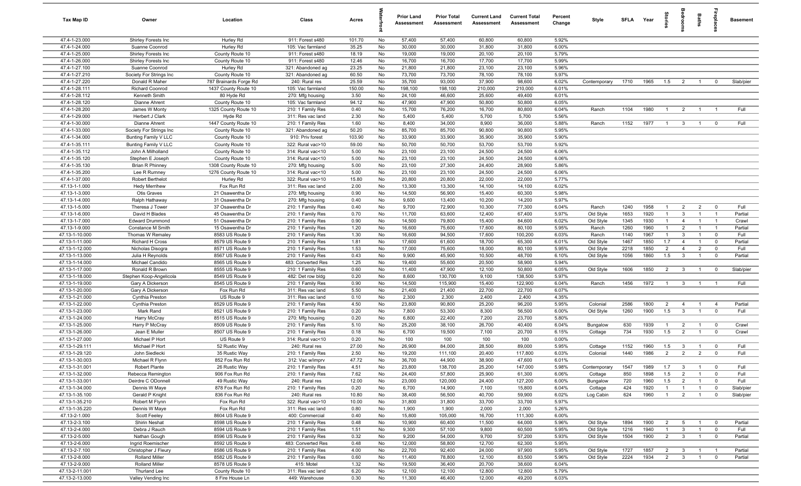| Tax Map ID                       | Owner                             | Location                           | Class                                  | Acres         |          | <b>Prior Land</b><br>Assessment | <b>Prior Total</b><br>Assessment | <b>Current Land</b><br>Assessment | <b>Current Total</b><br>Assessment | Percent<br>Change | Style              | <b>SFI A</b> | Year | tories                           | <b>B</b>                       | Baths          |                         | <b>Basement</b> |
|----------------------------------|-----------------------------------|------------------------------------|----------------------------------------|---------------|----------|---------------------------------|----------------------------------|-----------------------------------|------------------------------------|-------------------|--------------------|--------------|------|----------------------------------|--------------------------------|----------------|-------------------------|-----------------|
| 47.4-1-23.000                    | Shirley Forests Inc               | Hurley Rd                          | 911: Forest s480                       | 101.70        | No       | 57,400                          | 57,400                           | 60,800                            | 60,800                             | 5.92%             |                    |              |      |                                  |                                |                |                         |                 |
| 47.4-1-24.000                    | Suanne Coonrod                    | Hurley Rd                          | 105: Vac farmland                      | 35.25         | No       | 30,000                          | 30,000                           | 31,800                            | 31,800                             | 6.00%             |                    |              |      |                                  |                                |                |                         |                 |
| 47.4-1-25.000                    | Shirley Forests Inc               | County Route 10                    | 911: Forest s480                       | 18.19         | No       | 19,000                          | 19,000                           | 20,100                            | 20,100                             | 5.79%             |                    |              |      |                                  |                                |                |                         |                 |
| 47.4-1-26.000                    | Shirley Forests Inc               | County Route 10                    | 911: Forest s480                       | 12.46         | No       | 16,700                          | 16,700                           | 17,700                            | 17,700                             | 5.99%             |                    |              |      |                                  |                                |                |                         |                 |
| 47.4-1-27.100                    | Suanne Coonrod                    | Hurley Rd                          | 321: Abandoned ag                      | 23.25         | No       | 21,800                          | 21,800                           | 23,100                            | 23,100                             | 5.96%             |                    |              |      |                                  |                                |                |                         |                 |
| 47.4-1-27.210                    | Society For Strings Inc           | County Route 10                    | 321: Abandoned ag                      | 60.50         | No       | 73,700                          | 73,700                           | 78,100                            | 78,100                             | 5.97%             |                    |              |      |                                  |                                |                |                         |                 |
| 47.4-1-27.220                    | Donald R Maher                    | 787 Brainards Forge Rd             | 240: Rural res                         | 25.59         | No       | 35,700                          | 93,000                           | 37,900                            | 98,600                             | 6.02%             | Contemporary       | 1710         | 1965 | 1.5                              | $\overline{2}$                 | $\overline{1}$ | $\mathbf 0$             | Slab/pier       |
| 47.4-1-28.111                    | <b>Richard Coonrod</b>            | 1437 County Route 10               | 105: Vac farmland                      | 150.00        | No       | 198,100                         | 198,100                          | 210,000                           | 210,000                            | 6.01%             |                    |              |      |                                  |                                |                |                         |                 |
| 47.4-1-28.112<br>47.4-1-28.120   | Kenneth Smith<br>Dianne Ahrent    | 80 Hyde Rd<br>County Route 10      | 270: Mfg housing<br>105: Vac farmland  | 3.50<br>94.12 | No<br>No | 24,100<br>47,900                | 46,600<br>47,900                 | 25,600<br>50,800                  | 49,400<br>50,800                   | 6.01%<br>6.05%    |                    |              |      |                                  |                                |                |                         |                 |
| 47.4-1-28.200                    | James W Monty                     | 1325 County Route 10               | 210: 1 Family Res                      | 0.40          | No       | 15,700                          | 76,200                           | 16,700                            | 80,800                             | 6.04%             | Ranch              | 1104         | 1980 | - 1                              | $\overline{2}$                 | $\overline{1}$ |                         | Full            |
| 47.4-1-29.000                    | Herbert J Clark                   | Hyde Rd                            | 311: Res vac land                      | 2.30          | No       | 5,400                           | 5,400                            | 5,700                             | 5,700                              | 5.56%             |                    |              |      |                                  |                                |                |                         |                 |
| 47.4-1-30.000                    | Dianne Ahrent                     | 1447 County Route 10               | 210: 1 Family Res                      | 1.60          | No       | 8,400                           | 34,000                           | 8,900                             | 36,000                             | 5.88%             | Ranch              | 1152         | 1977 | $\overline{1}$                   | $\mathbf{3}$                   | $\overline{1}$ | $\mathbf 0$             | Full            |
| 47.4-1-33.000                    | Society For Strings Inc           | County Route 10                    | 321: Abandoned ag                      | 50.20         | No       | 85,700                          | 85,700                           | 90,800                            | 90,800                             | 5.95%             |                    |              |      |                                  |                                |                |                         |                 |
| 47.4-1-34.000                    | Bunting Family V LLC              | County Route 10                    | 910: Priv forest                       | 103.90        | No       | 33,900                          | 33,900                           | 35,900                            | 35,900                             | 5.90%             |                    |              |      |                                  |                                |                |                         |                 |
| 47.4-1-35.111                    | Bunting Family V LLC              | County Route 10                    | 322: Rural vac>10                      | 59.00         | No       | 50,700                          | 50,700                           | 53,700                            | 53,700                             | 5.92%             |                    |              |      |                                  |                                |                |                         |                 |
| 47.4-1-35.112                    | John A Milholland                 | County Route 10                    | 314: Rural vac<10                      | 5.00          | No       | 23,100                          | 23,100                           | 24,500                            | 24,500                             | 6.06%             |                    |              |      |                                  |                                |                |                         |                 |
| 47.4-1-35.120                    | Stephen E Joseph                  | County Route 10                    | 314: Rural vac<10                      | 5.00          | No       | 23,100                          | 23,100                           | 24,500                            | 24,500                             | 6.06%             |                    |              |      |                                  |                                |                |                         |                 |
| 47.4-1-35.130                    | <b>Brian R Phinney</b>            | 1308 County Route 10               | 270: Mfg housing                       | 5.00          | No       | 23,100                          | 27,300                           | 24,400                            | 28,900                             | 5.86%             |                    |              |      |                                  |                                |                |                         |                 |
| 47.4-1-35.200                    | Lee R Rumney                      | 1276 County Route 10               | 314: Rural vac<10                      | 5.00          | No       | 23,100                          | 23,100                           | 24,500                            | 24,500                             | 6.06%             |                    |              |      |                                  |                                |                |                         |                 |
| 47.4-1-37.000                    | Robert Berthelot                  | Hurley Rd                          | 322: Rural vac>10                      | 15.80         | No       | 20,800                          | 20,800                           | 22,000                            | 22,000                             | 5.77%             |                    |              |      |                                  |                                |                |                         |                 |
| 47.13-1-1.000                    | <b>Hedy Merrihew</b>              | Fox Run Rd                         | 311: Res vac land                      | 2.00          | No       | 13,300                          | 13,300                           | 14,100                            | 14,100                             | 6.02%             |                    |              |      |                                  |                                |                |                         |                 |
| 47.13-1-3.000                    | <b>Otis Graves</b>                | 21 Osawentha Dr                    | 270: Mfg housing                       | 0.90          | No       | 14,500                          | 56,900                           | 15,400                            | 60,300                             | 5.98%             |                    |              |      |                                  |                                |                |                         |                 |
| 47.13-1-4.000<br>47.13-1-5.000   | Ralph Hathaway                    | 31 Osawentha Dr                    | 270: Mfg housing                       | 0.40          | No       | 9,600                           | 13,400                           | 10,200                            | 14,200                             | 5.97%             |                    |              | 1958 |                                  |                                | $\overline{2}$ | $\overline{0}$          |                 |
| 47.13-1-6.000                    | Theresa J Tower<br>David H Blades | 37 Osawentha Dr<br>45 Osawentha Dr | 210: 1 Family Res                      | 0.40<br>0.70  | No<br>No | 9,700<br>11,700                 | 72,900<br>63,600                 | 10,300<br>12,400                  | 77,300<br>67,400                   | 6.04%<br>5.97%    | Ranch<br>Old Style | 1240<br>1653 | 1920 | $\overline{1}$<br>$\overline{1}$ | $\overline{2}$<br>$\mathbf{3}$ | $\overline{1}$ | $\overline{1}$          | Full<br>Partial |
| 47.13-1-7.000                    | <b>Edward Drummond</b>            | 51 Osawentha Dr                    | 210: 1 Family Res<br>210: 1 Family Res | 0.90          | No       | 14,500                          | 79,800                           | 15,400                            | 84,600                             | 6.02%             | Old Style          | 1345         | 1930 | $\overline{1}$                   | $\overline{4}$                 | $\overline{1}$ | $\overline{1}$          | Crawl           |
| 47.13-1-9.000                    | Constance M Smith                 | 15 Osawentha Dr                    | 210: 1 Family Res                      | 1.20          | No       | 16,600                          | 75,600                           | 17,600                            | 80,100                             | 5.95%             | Ranch              | 1260         | 1960 | $\overline{1}$                   | $\overline{2}$                 | $\mathbf{1}$   | $\overline{1}$          | Partial         |
| 47.13-1-10.000                   | Thomas W Remaley                  | 8583 US Route 9                    | 210: 1 Family Res                      | 1.30          | No       | 16,600                          | 94,500                           | 17,600                            | 100,200                            | 6.03%             | Ranch              | 1140         | 1967 | $\overline{1}$                   | $\mathbf{3}$                   | $\overline{1}$ | $\overline{\mathbf{0}}$ | Full            |
| 47.13-1-11.000                   | <b>Richard H Cross</b>            | 8579 US Route 9                    | 210: 1 Family Res                      | 1.81          | No       | 17,600                          | 61,600                           | 18,700                            | 65,300                             | 6.01%             | Old Style          | 1467         | 1850 | 1.7                              | $\overline{4}$                 | $\overline{1}$ | $\mathbf 0$             | Partial         |
| 47.13-1-12.000                   | Nicholas Disogra                  | 8571 US Route 9                    | 210: 1 Family Res                      | 1.53          | No       | 17,000                          | 75,600                           | 18,000                            | 80,100                             | 5.95%             | Old Style          | 2218         | 1850 | $\overline{2}$                   | $\overline{4}$                 | $\overline{2}$ | $\mathbf 0$             | Full            |
| 47.13-1-13.000                   | Julia H Reynolds                  | 8567 US Route 9                    | 210: 1 Family Res                      | 0.43          | No       | 9,900                           | 45,900                           | 10,500                            | 48,700                             | 6.10%             | Old Style          | 1056         | 1860 | 1.5                              | $\mathbf{3}$                   | $\overline{1}$ | $\mathbf 0$             | Partial         |
| 47.13-1-14.000                   | Michael Candido                   | 8565 US Route 9                    | 483: Converted Res                     | 1.25          | No       | 19,400                          | 55,600                           | 20,500                            | 58,900                             | 5.94%             |                    |              |      |                                  |                                |                |                         |                 |
| 47.13-1-17.000                   | Ronald R Brown                    | 8555 US Route 9                    | 210: 1 Family Res                      | 0.60          | No       | 11,400                          | 47,900                           | 12,100                            | 50,800                             | 6.05%             | Old Style          | 1606         | 1850 | $\overline{2}$                   | $\overline{\mathbf{3}}$        | $\overline{1}$ | $\mathbf 0$             | Slab/pier       |
| 47.13-1-18.000                   | Stephen Koop-Angelicola           | 8549 US Route 9                    | 482: Det row bldg                      | 0.20          | No       | 8,600                           | 130,700                          | 9,100                             | 138,500                            | 5.97%             |                    |              |      |                                  |                                |                |                         |                 |
| 47.13-1-19.000                   | Gary A Dickerson                  | 8545 US Route 9                    | 210: 1 Family Res                      | 0.90          | No       | 14,500                          | 115,900                          | 15,400                            | 122,900                            | 6.04%             | Ranch              | 1456         | 1972 | $\overline{1}$                   | $\mathbf{3}$                   | $\overline{1}$ | $\overline{1}$          | Full            |
| 47.13-1-20.000                   | Gary A Dickerson                  | Fox Run Rd                         | 311: Res vac land                      | 5.50          | No       | 21,400                          | 21,400                           | 22,700                            | 22,700                             | 6.07%             |                    |              |      |                                  |                                |                |                         |                 |
| 47.13-1-21.000                   | Cynthia Preston                   | US Route 9                         | 311: Res vac land                      | 0.10          | No       | 2,300                           | 2,300                            | 2,400                             | 2,400                              | 4.35%             |                    |              |      |                                  |                                |                |                         |                 |
| 47.13-1-22.000                   | Cynthia Preston                   | 8529 US Route 9                    | 210: 1 Family Res                      | 4.50          | No       | 23,800                          | 90,800                           | 25,200                            | 96,200                             | 5.95%             | Colonial           | 2586         | 1800 | $\overline{2}$                   | $\overline{4}$                 | $\overline{1}$ | $\overline{4}$          | Partial         |
| 47.13-1-23.000<br>47.13-1-24.000 | Mark Rand                         | 8521 US Route 9<br>8515 US Route 9 | 210: 1 Family Res                      | 0.20<br>0.20  | No       | 7,800<br>6,800                  | 53,300<br>22,400                 | 8,300<br>7,200                    | 56,500<br>23,700                   | 6.00%<br>5.80%    | Old Style          | 1260         | 1900 | 1.5                              | $\overline{3}$                 | $\overline{1}$ | $\mathbf 0$             | Full            |
| 47.13-1-25.000                   | Harry McCray<br>Harry P McCray    | 8509 US Route 9                    | 270: Mfg housing<br>210: 1 Family Res  | 5.10          | No<br>No | 25,200                          | 38,100                           | 26,700                            | 40,400                             | 6.04%             | Bungalow           | 630          | 1939 | $\overline{1}$                   | $\overline{2}$                 | $\overline{1}$ | $\overline{\mathbf{0}}$ | Crawl           |
| 47.13-1-26.000                   | Jean E Muller                     | 8507 US Route 9                    | 210: 1 Family Res                      | 0.18          | No       | 6,700                           | 19,500                           | 7,100                             | 20,700                             | 6.15%             | Cottage            | 734          | 1930 | 1.5                              | $\overline{2}$                 | $\overline{1}$ | $\mathbf 0$             | Crawl           |
| 47.13-1-27.000                   | Michael P Hort                    | US Route 9                         | 314: Rural vac<10                      | 0.20          | No       | 100                             | 100                              | 100                               | 100                                | 0.00%             |                    |              |      |                                  |                                |                |                         |                 |
| 47.13-1-29.111                   | Michael P Hort                    | 52 Rustic Way                      | 240: Rural res                         | 27.00         | No       | 26,900                          | 84,000                           | 28,500                            | 89,000                             | 5.95%             | Cottage            | 1152         | 1960 | 1.5                              | $\mathbf{3}$                   | $\overline{1}$ | $\mathbf 0$             | Full            |
| 47.13-1-29.120                   | John Siedlecki                    | 35 Rustic Way                      | 210: 1 Family Res                      | 2.50          | No       | 19,200                          | 111,100                          | 20,400                            | 117,800                            | 6.03%             | Colonial           | 1440         | 1986 | $\overline{2}$                   | $\overline{2}$                 | $\overline{2}$ | $\overline{0}$          | Full            |
| 47.13-1-30.003                   | Michael R Flynn                   | 852 Fox Run Rd                     | 312: Vac w/imprv                       | 47.72         | No       | 36,700                          | 44,900                           | 38,900                            | 47,600                             | 6.01%             |                    |              |      |                                  |                                |                |                         |                 |
| 47.13-1-31.001                   | Robert Plante                     | 26 Rustic Way                      | 210: 1 Family Res                      | 4.51          | No       | 23,800                          | 138,700                          | 25,200                            | 147,000                            | 5.98%             | Contemporary       | 1547         | 1989 | 1.7                              | $\mathbf{3}$                   | $\overline{1}$ | $\mathbf 0$             | Full            |
| 47.13-1-32.000                   | Rebecca Remington                 | 906 Fox Run Rd                     | 210: 1 Family Res                      | 7.62          | No       | 24,400                          | 57,800                           | 25,900                            | 61,300                             | 6.06%             | Cottage            | 850          | 1898 | 1.5                              | $\overline{2}$                 | $\overline{1}$ | $\mathbf 0$             | Full            |
| 47.13-1-33.001                   | Deirdre C ODonnell                | 49 Rustic Way                      | 240: Rural res                         | 12.00         | No       | 23,000                          | 120,000                          | 24,400                            | 127,200                            | 6.00%             | Bungalow           | 720          | 1960 | 1.5                              | $\overline{2}$                 | $\overline{1}$ | $\mathbf 0$             | Full            |
| 47.13-1-34.000                   | Dennis W Maye                     | 878 Fox Run Rd                     | 210: 1 Family Res                      | 0.20          | No       | 6,700                           | 14,900                           | 7,100                             | 15,800                             | 6.04%             | Cottage            | 424          | 1920 | $\overline{1}$                   | $\overline{1}$                 | $\overline{1}$ | $\overline{0}$          | Slab/pier       |
| 47.13-1-35.100                   | Gerald P Knight                   | 836 Fox Run Rd                     | 240: Rural res                         | 10.80         | No       | 38,400                          | 56,500                           | 40,700                            | 59,900                             | 6.02%             | Log Cabin          | 624          | 1960 | $\overline{1}$                   | $\overline{2}$                 | $\overline{1}$ | $\mathbf 0$             | Slab/pier       |
| 47.13-1-35.210                   | Robert M Flynn                    | Fox Run Rd                         | 322: Rural vac>10                      | 10.00         | No       | 31,800                          | 31,800                           | 33,700                            | 33,700                             | 5.97%             |                    |              |      |                                  |                                |                |                         |                 |
| 47.13-1-35.220                   | Dennis W Maye                     | Fox Run Rd                         | 311: Res vac land<br>400: Commercial   | 0.80          | No       | 1,900                           | 1,900                            | 2,000                             | 2,000                              | 5.26%             |                    |              |      |                                  |                                |                |                         |                 |
| 47.13-2-1.000<br>47.13-2-3.100   | Scott Feeley<br>Shirin Neshat     | 8604 US Route 9<br>8598 US Route 9 | 210: 1 Family Res                      | 0.40<br>0.48  | No<br>No | 15,800<br>10,900                | 105,000<br>60,400                | 16,700<br>11,500                  | 111,300<br>64,000                  | 6.00%<br>5.96%    | Old Style          | 1894         | 1900 | $\overline{2}$                   | $5\overline{5}$                | $\overline{1}$ | $\overline{\mathbf{0}}$ | Partial         |
| 47.13-2-4.000                    | Debra J Rauch                     | 8594 US Route 9                    | 210: 1 Family Res                      | 1.51          | No       | 9,300                           | 57,100                           | 9,800                             | 60,500                             | 5.95%             | Old Style          | 1216         | 1940 | $\overline{1}$                   | $\overline{3}$                 | $\overline{1}$ | $\overline{\mathbf{0}}$ | Full            |
| 47.13-2-5.000                    | Nathan Gough                      | 8596 US Route 9                    | 210: 1 Family Res                      | 0.32          | No       | 9,200                           | 54,000                           | 9,700                             | 57,200                             | 5.93%             | Old Style          | 1504         | 1900 | $\overline{2}$                   | $\mathbf{3}$                   | $\overline{1}$ | $\mathbf 0$             | Partial         |
| 47.13-2-6.000                    | Ingrid Roemischer                 | 8592 US Route 9                    | 483: Converted Res                     | 0.48          | No       | 12,000                          | 58,800                           | 12,700                            | 62,300                             | 5.95%             |                    |              |      |                                  |                                |                |                         |                 |
| 47.13-2-7.100                    | Christopher J Fleury              | 8586 US Route 9                    | 210: 1 Family Res                      | 4.00          | No       | 22,700                          | 92,400                           | 24,000                            | 97,900                             | 5.95%             | Old Style          | 1727         | 1857 | $\overline{2}$                   | $\mathbf{3}$                   | $\overline{1}$ | $\overline{1}$          | Partial         |
| 47.13-2-8.000                    | <b>Rolland Miller</b>             | 8582 US Route 9                    | 210: 1 Family Res                      | 0.60          | No       | 11,400                          | 78,800                           | 12,100                            | 83,500                             | 5.96%             | Old Style          | 2224         | 1934 | $\overline{2}$                   | $\overline{3}$                 | $\overline{1}$ | $\mathbf 0$             | Partial         |
| 47.13-2-9.000                    | <b>Rolland Miller</b>             | 8578 US Route 9                    | 415: Motel                             | 1.32          | No       | 19,500                          | 36,400                           | 20,700                            | 38,600                             | 6.04%             |                    |              |      |                                  |                                |                |                         |                 |
| 47.13-2-11.001                   | Thurland Lee                      | County Route 10                    | 311: Res vac land                      | 6.20          | No       | 12,100                          | 12,100                           | 12,800                            | 12,800                             | 5.79%             |                    |              |      |                                  |                                |                |                         |                 |
| 47.13-2-13.000                   | Valley Vending Inc                | 8 Fire House Ln                    | 449: Warehouse                         | 0.30          | No       | 11,300                          | 46,400                           | 12,000                            | 49,200                             | 6.03%             |                    |              |      |                                  |                                |                |                         |                 |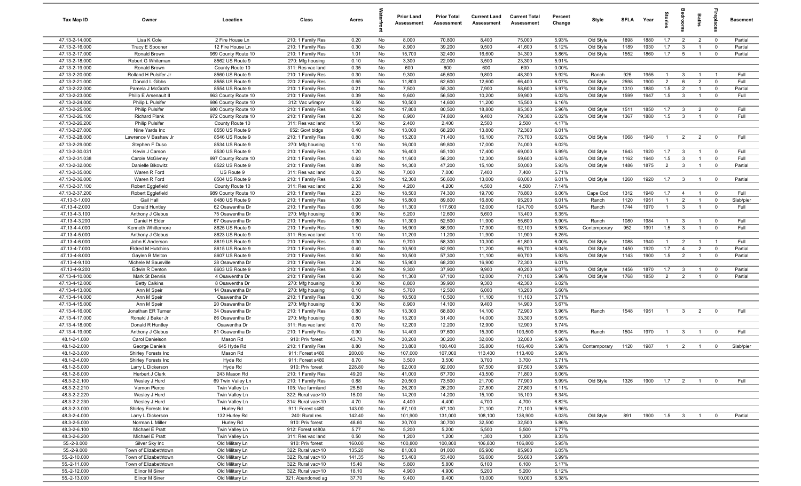| Tax Map ID                       | Owner                                          | Location                           | Class                                  | Acres            |          | <b>Prior Land</b><br>Assessment | <b>Prior Total</b><br>Assessment | <b>Current Land</b><br>Assessment | <b>Current Total</b><br>Assessment | Percent<br>Change | Style                  | <b>SFLA</b>  | Year         | ğ                              | g                              | Baths          | <b>Gebla</b>              | Basement        |
|----------------------------------|------------------------------------------------|------------------------------------|----------------------------------------|------------------|----------|---------------------------------|----------------------------------|-----------------------------------|------------------------------------|-------------------|------------------------|--------------|--------------|--------------------------------|--------------------------------|----------------|---------------------------|-----------------|
| 47.13-2-14.000                   | Lisa K Cole                                    | 2 Fire House Ln                    | 210: 1 Family Res                      | 0.20             | No       | 8,000                           | 70,800                           | 8,400                             | 75,000                             | 5.93%             | Old Style              | 1898         | 1880         | 1.7                            | $\overline{2}$                 | $\overline{2}$ | $\overline{0}$            | Partial         |
| 47.13-2-16.000                   | Tracy E Spooner                                | 12 Fire House Ln                   | 210: 1 Family Res                      | 0.30             | No       | 8,900                           | 39,200                           | 9,500                             | 41,600                             | 6.12%             | Old Style              | 1189         | 1930         | 1.7                            | $\mathbf{3}$                   | $\overline{1}$ | $\mathbf 0$               | Partial         |
| 47.13-2-17.000                   | Ronald Brown                                   | 969 County Route 10                | 210: 1 Family Res                      | 1.01             | No       | 15,700                          | 32,400                           | 16,600                            | 34,300                             | 5.86%             | Old Style              | 1552         | 1860         | 1.7                            | 5                              | $\overline{1}$ | $\mathbf 0$               | Partial         |
| 47.13-2-18.000                   | Robert G Whiteman                              | 8562 US Route 9                    | 270: Mfg housing                       | 0.10             | No       | 3,300                           | 22,000                           | 3,500                             | 23,300                             | 5.91%             |                        |              |              |                                |                                |                |                           |                 |
| 47.13-2-19.000                   | Ronald Brown                                   | County Route 10                    | 311: Res vac land                      | 0.35             | No       | 600                             | 600                              | 600                               | 600                                | 0.00%             |                        |              |              |                                |                                |                |                           |                 |
| 47.13-2-20.000                   | Rolland H Pulsifer Jr                          | 8560 US Route 9                    | 210: 1 Family Res                      | 0.30             | No       | 9,300                           | 45,600                           | 9,800<br>12,600                   | 48,300<br>66,400                   | 5.92%             | Ranch                  | 925          | 1955         | $\mathbf{1}$<br>$\overline{2}$ | $\mathbf{3}$                   | $\overline{2}$ | - 1                       | Full            |
| 47.13-2-21.000<br>47.13-2-22.000 | Donald L Gibbs<br>Pamela J McGrath             | 8558 US Route 9<br>8554 US Route 9 | 220: 2 Family Res<br>210: 1 Family Res | 0.65<br>0.21     | No<br>No | 11,800<br>7,500                 | 62,600<br>55,300                 | 7,900                             | 58,600                             | 6.07%<br>5.97%    | Old Style<br>Old Style | 2598<br>1310 | 1900<br>1880 | 1.5                            | 6<br>$\overline{2}$            | $\overline{1}$ | $^{\circ}$<br>$\mathbf 0$ | Full<br>Partial |
| 47.13-2-23.000                   | Philip E Arsenault I                           | 963 County Route 10                | 210: 1 Family Res                      | 0.39             | No       | 9,600                           | 56,500                           | 10,200                            | 59,900                             | 6.02%             | Old Style              | 1599         | 1947         | 1.5                            | $\overline{3}$                 | $\overline{1}$ | $\overline{0}$            | Full            |
| 47.13-2-24.000                   | Philip L Pulsifer                              | 986 County Route 10                | 312: Vac w/imprv                       | 0.50             | No       | 10,500                          | 14,600                           | 11,200                            | 15,500                             | 6.16%             |                        |              |              |                                |                                |                |                           |                 |
| 47.13-2-25.000                   | <b>Philip Pulsifer</b>                         | 980 County Route 10                | 210: 1 Family Res                      | 1.92             | No       | 17,800                          | 80,500                           | 18,800                            | 85,300                             | 5.96%             | Old Style              | 1511         | 1850         | 1.7                            | 3                              | $\overline{2}$ | $^{\circ}$                | Full            |
| 47.13-2-26.100                   | <b>Richard Plank</b>                           | 972 County Route 10                | 210: 1 Family Res                      | 0.20             | No       | 8,900                           | 74,800                           | 9,400                             | 79,300                             | 6.02%             | Old Style              | 1367         | 1880         | 1.5                            | $\mathbf{3}$                   | $\overline{1}$ | $^{\circ}$                | Full            |
| 47.13-2-26.200                   | <b>Philip Pulsifer</b>                         | County Route 10                    | 311: Res vac land                      | 1.50             | No       | 2,400                           | 2,400                            | 2,500                             | 2,500                              | 4.17%             |                        |              |              |                                |                                |                |                           |                 |
| 47.13-2-27.000                   | Nine Yards Inc                                 | 8550 US Route 9                    | 652: Govt bldgs                        | 0.40             | No       | 13,000                          | 68,200                           | 13,800                            | 72,300                             | 6.01%             |                        |              |              |                                |                                |                |                           |                 |
| 47.13-2-28.000                   | Lawrence V Bashaw Jr                           | 8546 US Route 9                    | 210: 1 Family Res                      | 0.80             | No       | 15,200                          | 71,400                           | 16,100                            | 75,700                             | 6.02%             | Old Style              | 1068         | 1940         | $\overline{1}$                 | $\overline{2}$                 | $\overline{2}$ | $^{\circ}$                | Full            |
| 47.13-2-29.000                   | Stephen F Duso                                 | 8534 US Route 9                    | 270: Mfg housing                       | 1.10             | No       | 16,000                          | 69,800                           | 17,000                            | 74,000                             | 6.02%             |                        |              |              |                                |                                |                |                           |                 |
| 47.13-2-30.031                   | Kevin J Carson                                 | 8530 US Route 9                    | 210: 1 Family Res                      | 1.20             | No       | 16,400                          | 65,100                           | 17,400                            | 69,000                             | 5.99%             | Old Style              | 1643         | 1920         | 1.7                            | $\mathbf{3}$                   |                | $^{\circ}$                | Full            |
| 47.13-2-31.038                   | Carole McGivney                                | 997 County Route 10                | 210: 1 Family Res                      | 0.63             | No       | 11,600                          | 56,200                           | 12,300                            | 59,600                             | 6.05%             | Old Style              | 1162         | 1940         | 1.5                            | $\mathbf{3}$                   | $\overline{1}$ | $^{\circ}$                | Full            |
| 47.13-2-32.000                   | Danielle Bikowitz                              | 8522 US Route 9                    | 210: 1 Family Res                      | 0.89             | No       | 14,300                          | 47,200                           | 15,100                            | 50,000                             | 5.93%             | Old Style              | 1486         | 1875         | 2                              | $\mathbf{3}$                   | $\overline{1}$ | $\mathbf 0$               | Partial         |
| 47.13-2-35.000<br>47.13-2-36.000 | Waren R Ford                                   | US Route 9                         | 311: Res vac land                      | 0.20<br>0.53     | No<br>No | 7,000<br>12,300                 | 7,000<br>56,600                  | 7,400                             | 7,400<br>60,000                    | 5.71%<br>6.01%    |                        | 1260         | 1920         | 1.7                            | $\mathbf{3}$                   | $\overline{1}$ | $\overline{0}$            | Partial         |
| 47.13-2-37.100                   | Waren R Ford<br>Robert Egglefield              | 8504 US Route 9<br>County Route 10 | 210: 1 Family Res<br>311: Res vac land | 2.38             | No       | 4,200                           | 4,200                            | 13,000<br>4,500                   | 4,500                              | 7.14%             | Old Style              |              |              |                                |                                |                |                           |                 |
| 47.13-2-37.200                   | Robert Egglefield                              | 989 County Route 10                | 210: 1 Family Res                      | 2.23             | No       | 18,500                          | 74,300                           | 19,700                            | 78,800                             | 6.06%             | Cape Cod               | 1312         | 1940         | 1.7                            | $\overline{4}$                 | $\overline{1}$ | $\overline{0}$            | Full            |
| 47.13-3-1.000                    | Gail Hall                                      | 8480 US Route 9                    | 210: 1 Family Res                      | 1.00             | No       | 15,800                          | 89,800                           | 16,800                            | 95,200                             | 6.01%             | Ranch                  | 1120         | 1951         | $\overline{1}$                 | $\overline{2}$                 | $\overline{1}$ | $^{\circ}$                | Slab/pier       |
| 47.13-4-2.000                    | Donald Huntley                                 | 62 Osawentha Dr                    | 210: 1 Family Res                      | 0.66             | No       | 11,300                          | 117,600                          | 12,000                            | 124,700                            | 6.04%             | Ranch                  | 1744         | 1970         | $\overline{1}$                 | $\mathbf{3}$                   | $\mathbf{1}$   | $\mathbf 0$               | Full            |
| 47.13-4-3.100                    | Anthony J Glebus                               | 75 Osawentha Dr                    | 270: Mfg housing                       | 0.90             | No       | 5,200                           | 12,600                           | 5,600                             | 13,400                             | 6.35%             |                        |              |              |                                |                                |                |                           |                 |
| 47.13-4-3.200                    | Daniel H Elder                                 | 67 Osawentha Dr                    | 210: 1 Family Res                      | 0.60             | No       | 11,300                          | 52,500                           | 11,900                            | 55,600                             | 5.90%             | Ranch                  | 1080         | 1984         | $\overline{1}$                 | $\mathbf{3}$                   | $\overline{1}$ | $\mathbf 0$               | Full            |
| 47.13-4-4.000                    | Kenneth Whittemore                             | 8625 US Route 9                    | 210: 1 Family Res                      | 1.50             | No       | 16,900                          | 86,900                           | 17,900                            | 92,100                             | 5.98%             | Contemporary           | 952          | 1991         | 1.5                            | $\mathbf{3}$                   |                | $\mathbf 0$               | Full            |
| 47.13-4-5.000                    | Anthony J Glebus                               | 8623 US Route 9                    | 311: Res vac land                      | 1.10             | No       | 11,200                          | 11,200                           | 11,900                            | 11,900                             | 6.25%             |                        |              |              |                                |                                |                |                           |                 |
| 47.13-4-6.000                    | John K Anderson                                | 8619 US Route 9                    | 210: 1 Family Res                      | 0.30             | No       | 9,700                           | 58,300                           | 10,300                            | 61,800                             | 6.00%             | Old Style              | 1088         | 1940         | $\mathbf{1}$                   | $\overline{2}$                 |                | $\overline{1}$            | Full            |
| 47.13-4-7.000                    | <b>Eldred M Hutchins</b>                       | 8615 US Route 9                    | 210: 1 Family Res                      | 0.40             | No       | 10,500                          | 62,900                           | 11,200                            | 66,700                             | 6.04%             | Old Style              | 1450         | 1920         | 1.7                            | $\overline{4}$                 | $\overline{2}$ | $\mathbf 0$               | Partial         |
| 47.13-4-8.000                    | Gaylen B Melton                                | 8607 US Route 9                    | 210: 1 Family Res                      | 0.50             | No       | 10,500                          | 57,300                           | 11,100                            | 60,700                             | 5.93%             | Old Style              | 1143         | 1900         | 1.5                            | $\overline{2}$                 | $\overline{1}$ | $\mathbf 0$               | Partial         |
| 47.13-4-9.100<br>47.13-4-9.200   | Michele M Sausville                            | 28 Osawentha Dr                    | 210: 1 Family Res                      | 2.24<br>0.36     | No<br>No | 15,900<br>9,300                 | 68,200                           | 16,900<br>9,900                   | 72,300<br>40,200                   | 6.01%<br>6.07%    |                        | 1456         | 1870         | 1.7                            |                                | $\overline{1}$ | $\overline{0}$            | Partial         |
| 47.13-4-10.000                   | Edwin R Denton<br>Mark St Dennis               | 8603 US Route 9<br>4 Osawentha Dr  | 210: 1 Family Res<br>210: 1 Family Res | 0.60             | No       | 11,300                          | 37,900<br>67,100                 | 12,000                            | 71,100                             | 5.96%             | Old Style<br>Old Style | 1768         | 1850         | $\overline{2}$                 | $\mathbf{3}$<br>$\overline{2}$ | $\overline{1}$ | $^{\circ}$                | Partial         |
| 47.13-4-12.000                   | <b>Betty Calkins</b>                           | 8 Osawentha Dr                     | 270: Mfg housing                       | 0.30             | No       | 8,800                           | 39,900                           | 9,300                             | 42,300                             | 6.02%             |                        |              |              |                                |                                |                |                           |                 |
| 47.13-4-13.000                   | Ann M Speir                                    | 14 Osawentha Dr                    | 270: Mfg housing                       | 0.10             | No       | 5,700                           | 12,500                           | 6,000                             | 13,200                             | 5.60%             |                        |              |              |                                |                                |                |                           |                 |
| 47.13-4-14.000                   | Ann M Speir                                    | Osawentha Dr                       | 210: 1 Family Res                      | 0.30             | No       | 10,500                          | 10,500                           | 11,100                            | 11,100                             | 5.71%             |                        |              |              |                                |                                |                |                           |                 |
| 47.13-4-15.000                   | Ann M Speir                                    | 20 Osawentha Dr                    | 270: Mfg housing                       | 0.30             | No       | 8,900                           | 14,100                           | 9,400                             | 14,900                             | 5.67%             |                        |              |              |                                |                                |                |                           |                 |
| 47.13-4-16.000                   | Jonathan ER Turner                             | 34 Osawentha Dr                    | 210: 1 Family Res                      | 0.80             | No       | 13,300                          | 68,800                           | 14,100                            | 72,900                             | 5.96%             | Ranch                  | 1548         | 1951         | $\overline{1}$                 | $\mathbf{3}$                   | $\overline{2}$ | $^{\circ}$                | Full            |
| 47.13-4-17.000                   | Ronald J Baker Jr                              | 86 Osawentha Dr                    | 270: Mfg housing                       | 0.80             | No       | 13,200                          | 31,400                           | 14,000                            | 33,300                             | 6.05%             |                        |              |              |                                |                                |                |                           |                 |
| 47.13-4-18.000                   | Donald R Huntley                               | Osawentha Dr                       | 311: Res vac land                      | 0.70             | No       | 12,200                          | 12,200                           | 12,900                            | 12,900                             | 5.74%             |                        |              |              |                                |                                |                |                           |                 |
| 47.13-4-19.000                   | Anthony J Glebus                               | 81 Osawentha Dr                    | 210: 1 Family Res                      | 0.90             | No       | 14,400                          | 97,600                           | 15,300                            | 103,500                            | 6.05%             | Ranch                  | 1504         | 1970         | $\overline{1}$                 | 3                              |                | $^{\circ}$                | Full            |
| 48.1-2-1.000                     | Carol Danielson                                | Mason Rd                           | 910: Priv forest                       | 43.70            | No       | 30,200                          | 30,200                           | 32,000                            | 32,000                             | 5.96%             |                        |              |              |                                |                                |                |                           |                 |
| 48.1-2-2.000                     | George Daniels                                 | 645 Hyde Rd                        | 210: 1 Family Res                      | 8.80             | No       | 33,800                          | 100,400                          | 35,800                            | 106,400                            | 5.98%             | Contemporary           | 1120         | 1987         | $\overline{1}$                 | $\overline{2}$                 | $\overline{1}$ | $^{\circ}$                | Slab/pier       |
| 48.1-2-3.000<br>48.1-2-4.000     | Shirley Forests Inc<br>Shirley Forests Inc     | Mason Rd<br>Hyde Rd                | 911: Forest s480<br>911: Forest s480   | 200.00<br>8.70   | No<br>No | 107,000<br>3,500                | 107,000<br>3,500                 | 113,400<br>3,700                  | 113,400<br>3,700                   | 5.98%<br>5.71%    |                        |              |              |                                |                                |                |                           |                 |
| 48.1-2-5.000                     | Larry L Dickerson                              | Hyde Rd                            | 910: Priv forest                       | 228.80           | No       | 92,000                          | 92,000                           | 97,500                            | 97,500                             | 5.98%             |                        |              |              |                                |                                |                |                           |                 |
| 48.1-2-6.000                     | Herbert J Clark                                | 243 Mason Rd                       | 210: 1 Family Res                      | 49.20            | No       | 41,000                          | 67,700                           | 43,500                            | 71,800                             | 6.06%             |                        |              |              |                                |                                |                |                           |                 |
| 48.3-2-2.100                     | Wesley J Hurd                                  | 69 Twin Valley Ln                  | 210: 1 Family Res                      | 0.88             | No       | 20,500                          | 73,500                           | 21,700                            | 77,900                             | 5.99%             | Old Style              | 1326         | 1900         | 1.7                            | $\overline{2}$                 | $\overline{1}$ | $\mathbf{0}$              | Full            |
| 48.3-2-2.210                     | Vernon Pierce                                  | Twin Valley Ln                     | 105: Vac farmland                      | 25.50            | No       | 26,200                          | 26,200                           | 27,800                            | 27,800                             | 6.11%             |                        |              |              |                                |                                |                |                           |                 |
| 48.3-2-2.220                     | Wesley J Hurd                                  | Twin Valley Ln                     | 322: Rural vac>10                      | 15.00            | No       | 14,200                          | 14,200                           | 15,100                            | 15,100                             | 6.34%             |                        |              |              |                                |                                |                |                           |                 |
| 48.3-2-2.230                     | Wesley J Hurd                                  | Twin Valley Ln                     | 314: Rural vac<10                      | 4.70             | No       | 4,400                           | 4,400                            | 4,700                             | 4,700                              | 6.82%             |                        |              |              |                                |                                |                |                           |                 |
| 48.3-2-3.000                     | Shirley Forests Inc                            | Hurley Rd                          | 911: Forest s480                       | 143.00           | No       | 67,100                          | 67,100                           | 71,100                            | 71,100                             | 5.96%             |                        |              |              |                                |                                |                |                           |                 |
| 48.3-2-4.000                     | Larry L Dickerson                              | 132 Hurley Rd                      | 240: Rural res                         | 142.40           | No       | 101,900                         | 131,000                          | 108,100                           | 138,900                            | 6.03%             | Old Style              | 891          | 1900         | 1.5                            | $\overline{\mathbf{3}}$        | $\mathbf{1}$   | $\overline{0}$            | Partial         |
| 48.3-2-5.000                     | Norman L Miller                                | Hurley Rd                          | 910: Priv forest                       | 48.60            | No       | 30,700                          | 30,700                           | 32,500                            | 32,500                             | 5.86%             |                        |              |              |                                |                                |                |                           |                 |
| 48.3-2-6.100                     | Michael E Pratt                                | Twin Valley Ln                     | 912: Forest s480a                      | 5.77             | No       | 5,200                           | 5,200                            | 5,500                             | 5,500                              | 5.77%             |                        |              |              |                                |                                |                |                           |                 |
| 48.3-2-6.200                     | Michael E Pratt                                | Twin Valley Ln                     | 311: Res vac land                      | 0.50             | No       | 1,200                           | 1,200                            | 1,300                             | 1,300                              | 8.33%             |                        |              |              |                                |                                |                |                           |                 |
| 55.-2-8.000<br>55.-2-9.000       | Silver Sky Inc                                 | Old Military Ln                    | 910: Priv forest                       | 160.00           | No       | 100,800                         | 100,800                          | 106,800                           | 106,800                            | 5.95%<br>6.05%    |                        |              |              |                                |                                |                |                           |                 |
| 55.-2-10.000                     | Town of Elizabethtown<br>Town of Elizabethtown | Old Military Ln<br>Old Military Ln | 322: Rural vac>10<br>322: Rural vac>10 | 135.20<br>141.35 | No<br>No | 81,000<br>53,400                | 81,000<br>53,400                 | 85,900<br>56,600                  | 85,900<br>56,600                   | 5.99%             |                        |              |              |                                |                                |                |                           |                 |
| 55.-2-11.000                     | Town of Elizabethtown                          | Old Military Ln                    | 322: Rural vac>10                      | 15.40            | No       | 5,800                           | 5,800                            | 6,100                             | 6,100                              | 5.17%             |                        |              |              |                                |                                |                |                           |                 |
| 55.-2-12.000                     | Elinor M Siner                                 | Old Military Ln                    | 322: Rural vac>10                      | 18.10            | No       | 4,900                           | 4,900                            | 5,200                             | 5,200                              | 6.12%             |                        |              |              |                                |                                |                |                           |                 |
| 55.-2-13.000                     | Elinor M Siner                                 | Old Military Ln                    | 321: Abandoned ag                      | 37.70            | No       | 9,400                           | 9,400                            | 10,000                            | 10,000                             | 6.38%             |                        |              |              |                                |                                |                |                           |                 |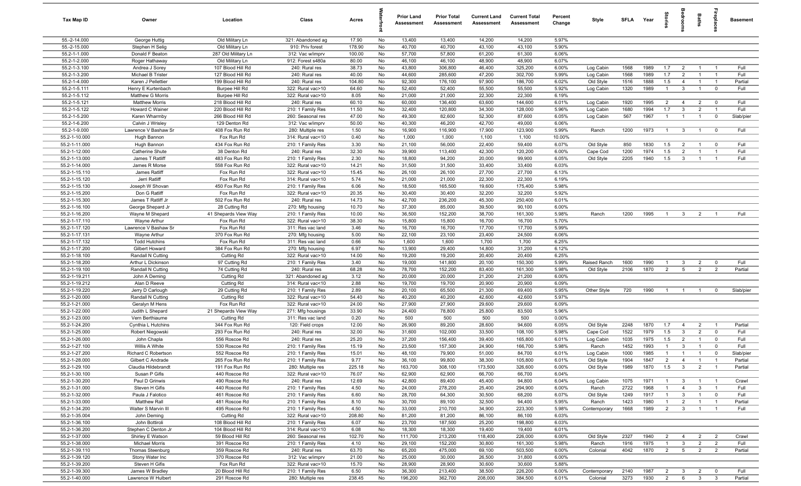| Tax Map ID                     | Owner                                   | Location                               | Class                                  | Acres           |          | <b>Prior Land</b><br>Assessment | <b>Prior Total</b><br><b>Assessment</b> | <b>Current Land</b><br>Assessment | <b>Current Total</b><br><b>Assessment</b> | Percent<br>Change | Style                  | SFLA Year    |              | tories                           |                                  | Baths                          | ireplace                      | <b>Basement</b> |
|--------------------------------|-----------------------------------------|----------------------------------------|----------------------------------------|-----------------|----------|---------------------------------|-----------------------------------------|-----------------------------------|-------------------------------------------|-------------------|------------------------|--------------|--------------|----------------------------------|----------------------------------|--------------------------------|-------------------------------|-----------------|
| 55.-2-14.000                   | George Huttig                           | Old Military Ln                        | 321: Abandoned ag                      | 17.90           | No       | 13,400                          | 13,400                                  | 14,200                            | 14,200                                    | 5.97%             |                        |              |              |                                  |                                  |                                |                               |                 |
| 55.-2-15.000                   | Stephen H Selig                         | Old Military Ln                        | 910: Priv forest                       | 178.90          | No       | 40,700                          | 40,700                                  | 43,100                            | 43,100                                    | 5.90%             |                        |              |              |                                  |                                  |                                |                               |                 |
| 55.2-1-1.000                   | Donald F Beaton                         | 287 Old Military Ln                    | 312: Vac w/imprv                       | 100.00          | No       | 57,700                          | 57,800                                  | 61,200                            | 61,300                                    | 6.06%             |                        |              |              |                                  |                                  |                                |                               |                 |
| 55.2-1-2.000                   | Roger Hathaway                          | Old Military Ln                        | 912: Forest s480a                      | 80.00           | No       | 46,100                          | 46,100                                  | 48,900                            | 48,900                                    | 6.07%             |                        |              |              |                                  |                                  |                                |                               |                 |
| 55.2-1-3.100                   | Andrea J Sorey                          | 107 Blood Hill Rd                      | 240: Rural res                         | 38.73           | No       | 43,800                          | 306,800                                 | 46,400<br>47,200                  | 325,200                                   | 6.00%             | Log Cabin              | 1568         | 1989         | 1.7                              | $\overline{2}$                   | $\overline{1}$                 |                               | Full<br>Full    |
| 55.2-1-3.200<br>55.2-1-4.000   | Michael B Trister<br>Karen J Pellettier | 127 Blood Hill Rd<br>199 Blood Hill Rd | 240: Rural res<br>240: Rural res       | 40.00<br>104.80 | No       | 44,600<br>92,300                | 285,600<br>176,100                      | 97,900                            | 302,700<br>186,700                        | 5.99%<br>6.02%    | Log Cabin              | 1568<br>1516 | 1989<br>1888 | 1.7<br>1.5                       | $\overline{2}$<br>$\overline{4}$ | $\overline{1}$                 | $\overline{1}$                | Partial         |
| 55.2-1-5.111                   | Henry E Kurtenbach                      | Burpee Hill Rd                         | 322: Rural vac>10                      | 64.60           | No<br>No | 52,400                          | 52,400                                  | 55,500                            | 55,500                                    | 5.92%             | Old Style<br>Log Cabin | 1320         | 1989         | $\overline{1}$                   | $\mathbf{3}$                     | $\overline{1}$                 | $\mathbf 0$                   | Full            |
| 55.2-1-5.112                   | Matthew G Morris                        | Burpee Hill Rd                         | 322: Rural vac>10                      | 8.05            | No       | 21,000                          | 21,000                                  | 22,300                            | 22,300                                    | 6.19%             |                        |              |              |                                  |                                  |                                |                               |                 |
| 55.2-1-5.121                   | <b>Matthew Morris</b>                   | 218 Blood Hill Rd                      | 240: Rural res                         | 60.10           | No       | 60,000                          | 136,400                                 | 63,600                            | 144,600                                   | 6.01%             | Log Cabin              | 1920         | 1995         | $\overline{2}$                   | $\overline{4}$                   | $\overline{2}$                 | $\mathbf 0$                   | Full            |
| 55.2-1-5.122                   | Howard C Wainer                         | 220 Blood Hill Rd                      | 210: 1 Family Res                      | 11.50           | No       | 32,400                          | 120,800                                 | 34,300                            | 128,000                                   | 5.96%             | Log Cabin              | 1680         | 1994         | 1.7                              | $\mathbf{3}$                     | $\overline{2}$                 | $\overline{1}$                | Full            |
| 55.2-1-5.200                   | Karen Wharmby                           | 266 Blood Hill Rd                      | 260: Seasonal res                      | 47.00           | No       | 49,300                          | 82,600                                  | 52,300                            | 87,600                                    | 6.05%             | Log Cabin              | 567          | 1967         | $\overline{1}$                   | $\overline{1}$                   | $\overline{1}$                 | $\mathbf 0$                   | Slab/pier       |
| 55.2-1-6.200                   | Calvin J Wrisley                        | 129 Denton Rd                          | 312: Vac w/imprv                       | 50.00           | No       | 40,300                          | 46,200                                  | 42,700                            | 49,000                                    | 6.06%             |                        |              |              |                                  |                                  |                                |                               |                 |
| 55.2-1-9.000                   | Lawrence V Bashaw Sr                    | 408 Fox Run Rd                         | 280: Multiple res                      | 1.50            | No       | 16,900                          | 116,900                                 | 17,900                            | 123,900                                   | 5.99%             | Ranch                  | 1200         | 1973         | $\overline{1}$                   | $\mathbf{3}$                     | $\overline{1}$                 | $\mathbf 0$                   | Full            |
| 55.2-1-10.000                  | Hugh Bannon                             | Fox Run Rd                             | 314: Rural vac<10                      | 0.40            | No       | 1,000                           | 1,000                                   | 1,100                             | 1,100                                     | 10.00%            |                        |              |              |                                  |                                  |                                |                               |                 |
| 55.2-1-11.000                  | Hugh Bannon                             | 434 Fox Run Rd                         | 210: 1 Family Res                      | 3.30            | No       | 21,100                          | 56,000                                  | 22,400                            | 59,400                                    | 6.07%             | Old Style              | 850          | 1830         | 1.5                              | $\overline{2}$                   | $\overline{1}$                 | $\mathbf 0$                   | Full            |
| 55.2-1-12.000                  | Catherine Shute                         | 38 Denton Rd                           | 240: Rural res                         | 32.30           | No       | 39,900                          | 113,400                                 | 42,300                            | 120,200                                   | 6.00%             | Cape Cod               | 1200         | 1974         | 1.5                              | $\overline{2}$                   | $\overline{1}$                 |                               | Full            |
| 55.2-1-13.000                  | James T Ratliff                         | 483 Fox Run Rd                         | 210: 1 Family Res                      | 2.30            | No       | 18,800                          | 94,200                                  | 20,000                            | 99,900                                    | 6.05%             | Old Style              | 2205         | 1940         | 1.5                              | $\mathbf{3}$                     | $\overline{1}$                 |                               | Full            |
| 55.2-1-14.000                  | James R Morse                           | 558 Fox Run Rd                         | 322: Rural vac>10                      | 14.21           | No       | 31,500                          | 31,500                                  | 33,400                            | 33,400                                    | 6.03%             |                        |              |              |                                  |                                  |                                |                               |                 |
| 55.2-1-15.110                  | James Ratliff                           | Fox Run Rd                             | 322: Rural vac>10                      | 15.45           | No       | 26,100                          | 26,100                                  | 27,700                            | 27,700                                    | 6.13%             |                        |              |              |                                  |                                  |                                |                               |                 |
| 55.2-1-15.120<br>55.2-1-15.130 | Jerri Ratliff<br>Joseph W Shovan        | Fox Run Rd<br>450 Fox Run Rd           | 314: Rural vac<10                      | 5.74<br>6.06    | No<br>No | 21,000<br>18,500                | 21,000<br>165,500                       | 22,300<br>19,600                  | 22,300<br>175,400                         | 6.19%<br>5.98%    |                        |              |              |                                  |                                  |                                |                               |                 |
| 55.2-1-15.200                  | Don G Ratliff                           | Fox Run Rd                             | 210: 1 Family Res<br>322: Rural vac>10 | 20.35           | No       | 30,400                          | 30,400                                  | 32,200                            | 32,200                                    | 5.92%             |                        |              |              |                                  |                                  |                                |                               |                 |
| 55.2-1-15.300                  | James T Ratliff Jr                      | 502 Fox Run Rd                         | 240: Rural res                         | 14.73           | No       | 42,700                          | 236,200                                 | 45,300                            | 250,400                                   | 6.01%             |                        |              |              |                                  |                                  |                                |                               |                 |
| 55.2-1-16.100                  | George Shepard Jr                       | 28 Cutting Rd                          | 270: Mfg housing                       | 10.70           | No       | 37,300                          | 85,000                                  | 39,500                            | 90,100                                    | 6.00%             |                        |              |              |                                  |                                  |                                |                               |                 |
| 55.2-1-16.200                  | Wayne M Shepard                         | 41 Shepards View Way                   | 210: 1 Family Res                      | 10.00           | No       | 36,500                          | 152,200                                 | 38,700                            | 161,300                                   | 5.98%             | Ranch                  | 1200         | 1995         | $\overline{1}$                   | $\mathbf{3}$                     | $\overline{2}$                 |                               | Full            |
| 55.2-1-17.110                  | Wayne Arthur                            | Fox Run Rd                             | 322: Rural vac>10                      | 38.30           | No       | 15,800                          | 15,800                                  | 16,700                            | 16,700                                    | 5.70%             |                        |              |              |                                  |                                  |                                |                               |                 |
| 55.2-1-17.120                  | Lawrence V Bashaw Sr                    | Fox Run Rd                             | 311: Res vac land                      | 3.46            | No       | 16,700                          | 16,700                                  | 17,700                            | 17,700                                    | 5.99%             |                        |              |              |                                  |                                  |                                |                               |                 |
| 55.2-1-17.131                  | Wayne Arthur                            | 370 Fox Run Rd                         | 270: Mfg housing                       | 5.00            | No       | 22,100                          | 23,100                                  | 23,400                            | 24,500                                    | 6.06%             |                        |              |              |                                  |                                  |                                |                               |                 |
| 55.2-1-17.132                  | <b>Todd Hutchins</b>                    | Fox Run Rd                             | 311: Res vac land                      | 0.66            | No       | 1,600                           | 1,600                                   | 1,700                             | 1,700                                     | 6.25%             |                        |              |              |                                  |                                  |                                |                               |                 |
| 55.2-1-17.200                  | Gilbert Howard                          | 384 Fox Run Rd                         | 270: Mfg housing                       | 6.97            | No       | 13,900                          | 29,400                                  | 14,800                            | 31,200                                    | 6.12%             |                        |              |              |                                  |                                  |                                |                               |                 |
| 55.2-1-18.100                  | Randall N Cutting                       | Cutting Rd                             | 322: Rural vac>10                      | 14.00           | No       | 19,200                          | 19,200                                  | 20,400                            | 20,400                                    | 6.25%             |                        |              |              |                                  |                                  |                                |                               |                 |
| 55.2-1-18.200                  | Arthur L Dickinson                      | 97 Cutting Rd                          | 210: 1 Family Res                      | 3.40            | No       | 19,000                          | 141,800                                 | 20,100                            | 150,300                                   | 5.99%             | Raised Ranch           | 1600         | 1990         | $\mathbf{1}$                     | $\mathbf{3}$                     | $\overline{2}$                 | $\overline{0}$                | Full            |
| 55.2-1-19.100                  | Randall N Cutting                       | 74 Cutting Rd                          | 240: Rural res                         | 68.28           | No       | 78,700                          | 152,200                                 | 83,400                            | 161,300                                   | 5.98%             | Old Style              | 2106         | 1870         | 2                                | 5                                | $\overline{2}$                 | $\overline{2}$                | Partial         |
| 55.2-1-19.211<br>55.2-1-19.212 | John A Deming<br>Alan D Reeve           | Cutting Rd                             | 321: Abandoned ag                      | 3.12<br>2.88    | No<br>No | 20,000                          | 20,000                                  | 21,200                            | 21,200                                    | 6.00%             |                        |              |              |                                  |                                  |                                |                               |                 |
| 55.2-1-19.220                  | Jerry D Carlough                        | Cutting Rd<br>29 Cutting Rd            | 314: Rural vac<10<br>210: 1 Family Res | 2.89            | No       | 19,700<br>20,100                | 19,700<br>65,500                        | 20,900<br>21,300                  | 20,900<br>69,400                          | 6.09%<br>5.95%    | Other Style            | 720          | 1990         | $\overline{1}$                   | $\overline{1}$                   | $\overline{1}$                 | $\Omega$                      | Slab/pier       |
| 55.2-1-20.000                  | Randall N Cutting                       | Cutting Rd                             | 322: Rural vac>10                      | 54.40           | No       | 40,200                          | 40,200                                  | 42,600                            | 42,600                                    | 5.97%             |                        |              |              |                                  |                                  |                                |                               |                 |
| 55.2-1-21.000                  | Geralyn M Hens                          | Fox Run Rd                             | 322: Rural vac>10                      | 24.00           | No       | 27,900                          | 27,900                                  | 29,600                            | 29,600                                    | 6.09%             |                        |              |              |                                  |                                  |                                |                               |                 |
| 55.2-1-22.000                  | Judith L Shepard                        | 21 Shepards View Way                   | 271: Mfg housings                      | 33.90           | No       | 24,400                          | 78,800                                  | 25,800                            | 83,500                                    | 5.96%             |                        |              |              |                                  |                                  |                                |                               |                 |
| 55.2-1-23.000                  | Vern Berthiaume                         | Cutting Rd                             | 311: Res vac land                      | 0.20            | No       | 500                             | 500                                     | 500                               | 500                                       | 0.00%             |                        |              |              |                                  |                                  |                                |                               |                 |
| 55.2-1-24.200                  | Cynthia L Hutchins                      | 344 Fox Run Rd                         | 120: Field crops                       | 12.00           | No       | 26,900                          | 89,200                                  | 28,600                            | 94,600                                    | 6.05%             | Old Style              | 2248         | 1870         | 1.7                              | $\overline{4}$                   | $\overline{2}$                 | $\overline{1}$                | Partial         |
| 55.2-1-25.000                  | Robert Niegowski                        | 293 Fox Run Rd                         | 240: Rural res                         | 32.00           | No       | 31,600                          | 102,000                                 | 33,500                            | 108,100                                   | 5.98%             | Cape Cod               | 1522         | 1979         | 1.5                              | $\mathbf{3}$                     | $\overline{2}$                 | $\mathbf 0$                   | Full            |
| 55.2-1-26.000                  | John Chapla                             | 556 Roscoe Rd                          | 240: Rural res                         | 25.20           | No       | 37,200                          | 156,400                                 | 39,400                            | 165,800                                   | 6.01%             | Log Cabin              | 1035         | 1975         | 1.5                              | $\overline{2}$                   | $\overline{1}$                 | $\mathbf 0$                   | Full            |
| 55.2-1-27.100                  | Willis A White                          | 530 Roscoe Rd                          | 210: 1 Family Res                      | 15.19           | No       | 23,500                          | 157,300                                 | 24,900                            | 166,700                                   | 5.98%             | Ranch                  | 1452         | 1993         | -1                               | 3                                |                                | $\Omega$                      | Full            |
| 55.2-1-27.200                  | Richard C Robertson                     | 552 Roscoe Rd                          | 210: 1 Family Res                      | 15.01           | No       | 48,100                          | 79,900                                  | 51,000                            | 84,700                                    | 6.01%             | Log Cabin              | 1000         | 1985         | $\mathbf{1}$                     | $\overline{1}$                   | $\overline{1}$                 | $\mathbf 0$                   | Slab/pier       |
| 55.2-1-28.000                  | Gilbert C Andrade                       | 265 Fox Run Rd                         | 210: 1 Family Res                      | 9.77            | No       | 36,100                          | 99,800                                  | 38,300                            | 105,800                                   | 6.01%             | Old Style              | 1904         | 1847         | $\overline{2}$                   | 4                                |                                |                               | Partial         |
| 55.2-1-29.100                  | Claudia Hildebrandt                     | 191 Fox Run Rd                         | 280: Multiple res                      | 225.18          | No       | 163,700                         | 308,100                                 | 173,500                           | 326,600                                   | 6.00%             | Old Style              | 1989         | 1870         | 1.5                              | $\overline{\mathbf{3}}$          | 2                              | $\overline{1}$                | Partial         |
| 55.2-1-30.100                  | Susan P Gifis                           | 440 Roscoe Rd                          | 322: Rural vac>10                      | 76.07           | No       | 62,900                          | 62,900                                  | 66,700                            | 66,700                                    | 6.04%             |                        |              |              |                                  |                                  |                                |                               |                 |
| 55.2-1-30.200                  | Paul D Grinwis                          | 490 Roscoe Rd                          | 240: Rural res                         | 12.69           | No       | 42,800                          | 89,400                                  | 45,400                            | 94,800                                    | 6.04%             | Log Cabin              | 1075         | 1971         | $\overline{1}$                   | $\mathbf{3}$                     | $\overline{1}$                 | - 1                           | Crawl           |
| 55.2-1-31.000<br>55.2-1-32.000 | Steven H Gifis<br>Paula J Falotico      | 440 Roscoe Rd<br>461 Roscoe Rd         | 210: 1 Family Res<br>210: 1 Family Res | 4.50<br>6.60    | No<br>No | 24,000<br>28,700                | 278,200<br>64,300                       | 25,400<br>30,500                  | 294,900<br>68,200                         | 6.00%<br>6.07%    | Ranch<br>Old Style     | 2722<br>1249 | 1968<br>1917 | $\overline{1}$<br>$\overline{1}$ | $\overline{4}$<br>$\mathbf{3}$   | $\mathbf{3}$<br>$\overline{1}$ | $\overline{1}$<br>$\mathbf 0$ | Full<br>Full    |
| 55.2-1-33.000                  | Matthew Rall                            | 481 Roscoe Rd                          | 210: 1 Family Res                      | 8.10            | No       | 30,700                          | 89,100                                  | 32,500                            | 94,400                                    | 5.95%             | Ranch                  | 1423         | 1980         | $\overline{1}$                   | $\overline{2}$                   | $\overline{1}$                 | $\overline{1}$                | Partial         |
| 55.2-1-34.200                  | Walter S Marvin III                     | 495 Roscoe Rd                          | 210: 1 Family Res                      | 4.50            | No       | 33,000                          | 210,700                                 | 34,900                            | 223,300                                   | 5.98%             | Contemporary           | 1668         | 1989         | $\overline{2}$                   | $\mathbf{3}$                     | $\overline{1}$                 |                               | Full            |
| 55.2-1-35.004                  | John Deming                             | Cutting Rd                             | 322: Rural vac>10                      | 208.80          | No       | 81,200                          | 81,200                                  | 86,100                            | 86,100                                    | 6.03%             |                        |              |              |                                  |                                  |                                |                               |                 |
| 55.2-1-36.100                  | John Bottiroli                          | 108 Blood Hill Rd                      | 210: 1 Family Res                      | 6.07            | No       | 23,700                          | 187,500                                 | 25,200                            | 198,800                                   | 6.03%             |                        |              |              |                                  |                                  |                                |                               |                 |
| 55.2-1-36.200                  | Stephen C Denton Jr                     | 104 Blood Hill Rd                      | 314: Rural vac<10                      | 6.08            | No       | 18,300                          | 18,300                                  | 19,400                            | 19,400                                    | 6.01%             |                        |              |              |                                  |                                  |                                |                               |                 |
| 55.2-1-37.000                  | Shirley E Watson                        | 59 Blood Hill Rd                       | 260: Seasonal res                      | 102.70          | No       | 111,700                         | 213,200                                 | 118,400                           | 226,000                                   | 6.00%             | Old Style              | 2327         | 1940         | $\overline{2}$                   | $\overline{4}$                   | $\overline{2}$                 | $\overline{2}$                | Crawl           |
| 55.2-1-38.000                  | <b>Michael Morris</b>                   | 391 Roscoe Rd                          | 210: 1 Family Res                      | 4.10            | No       | 29,100                          | 152,200                                 | 30,800                            | 161,300                                   | 5.98%             | Ranch                  | 1916         | 1975         | $\overline{1}$                   | $\mathbf{3}$                     | $\overline{2}$                 | $\overline{2}$                | Full            |
| 55.2-1-39.110                  | Thomas Steenburg                        | 359 Roscoe Rd                          | 240: Rural res                         | 63.70           | No       | 65,200                          | 475,000                                 | 69,100                            | 503,500                                   | 6.00%             | Colonial               | 4042         | 1870         | $\overline{2}$                   | $5\overline{)}$                  | $\overline{2}$                 | $\overline{2}$                | Partial         |
| 55.2-1-39.120                  | Stony Water Inc                         | 370 Roscoe Rd                          | 312: Vac w/imprv                       | 21.00           | No       | 25,000                          | 30,000                                  | 26,500                            | 31,800                                    | 6.00%             |                        |              |              |                                  |                                  |                                |                               |                 |
| 55.2-1-39.200                  | Steven H Gifis                          | Fox Run Rd                             | 322: Rural vac>10                      | 15.70           | No       | 28,900                          | 28,900                                  | 30,600                            | 30,600                                    | 5.88%             |                        |              |              |                                  |                                  |                                |                               |                 |
| 55.2-1-39.300                  | James W Bradley                         | 20 Blood Hill Rd                       | 210: 1 Family Res                      | 6.50            | No       | 36,300                          | 213,400                                 | 38,500                            | 226,200                                   | 6.00%             | Contemporary           | 2140         | 1987         | $\overline{2}$                   | $\overline{\mathbf{3}}$          | $\overline{2}$                 | $\mathbf 0$                   | Full            |
| 55.2-1-40.000                  | Lawrence W Hulbert                      | 291 Roscoe Rd                          | 280: Multiple res                      | 238.45          | No       | 196,200                         | 362,700                                 | 208,000                           | 384,500                                   | 6.01%             | Colonial               | 3273         | 1930         | $\overline{2}$                   | $6\overline{6}$                  | 3 <sup>3</sup>                 | $\overline{3}$                | Partial         |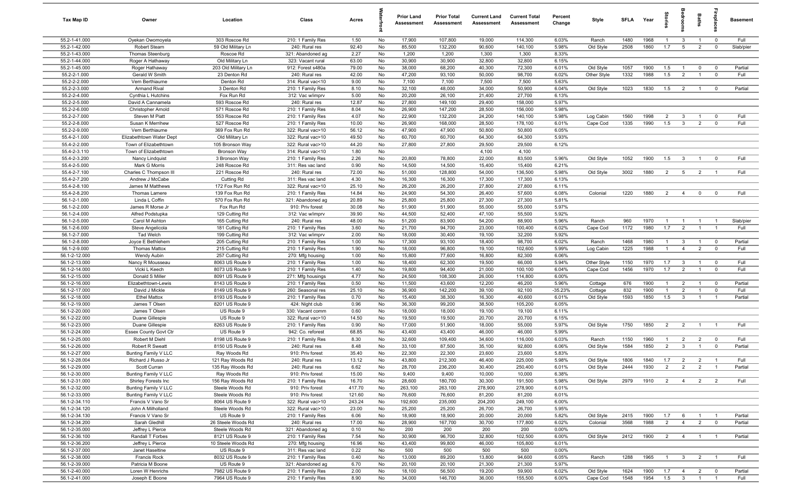| Tax Map ID                     | Owner                                   | Location                           | Class                                  | Acres          |          | <b>Prior Land</b><br>Assessment | <b>Prior Total</b><br>Assessment | <b>Current Land</b><br>Assessment | <b>Current Total</b><br>Assessment | Percent<br>Change | Style       | <b>SFLA</b> | Year | Stories        | edroom                    | Baths          | ireplace       | <b>Basement</b> |
|--------------------------------|-----------------------------------------|------------------------------------|----------------------------------------|----------------|----------|---------------------------------|----------------------------------|-----------------------------------|------------------------------------|-------------------|-------------|-------------|------|----------------|---------------------------|----------------|----------------|-----------------|
| 55.2-1-41.000                  | Oyekan Owomoyela                        | 303 Roscoe Rd                      | 210: 1 Family Res                      | 1.50           | No       | 17,900                          | 107,800                          | 19,000                            | 114,300                            | 6.03%             | Ranch       | 1480        | 1968 | $\overline{1}$ | $\mathbf{3}$              | $\overline{1}$ | $\overline{0}$ | Full            |
| 55.2-1-42.000                  | <b>Robert Stearn</b>                    | 59 Old Military Ln                 | 240: Rural res                         | 92.40          | No       | 85,500                          | 132,200                          | 90,600                            | 140,100                            | 5.98%             | Old Style   | 2508        | 1860 | 1.7            | 5                         | $\overline{2}$ | $\overline{0}$ | Slab/pier       |
| 55.2-1-43.000                  | Thomas Steenburg                        | Roscoe Rd                          | 321: Abandoned ag                      | 2.27           | No       | 1,200                           | 1,200                            | 1,300                             | 1,300                              | 8.33%             |             |             |      |                |                           |                |                |                 |
| 55.2-1-44.000                  | Roger A Hathaway                        | Old Military Ln                    | 323: Vacant rural                      | 63.00          | No       | 30,900                          | 30,900                           | 32,800                            | 32,800                             | 6.15%             |             |             |      |                |                           |                |                |                 |
| 55.2-1-45.000                  | Roger Hathaway                          | 203 Old Military Ln                | 912: Forest s480a                      | 79.00          | No       | 38,000                          | 68,200                           | 40,300                            | 72,300                             | 6.01%             | Old Style   | 1057        | 1900 | 1.5            | $\overline{1}$            | $\mathbf 0$    | $\mathbf 0$    | Partial         |
| 55.2-2-1.000                   | Gerald W Smith                          | 23 Denton Rd                       | 240: Rural res                         | 42.00          | No       | 47,200                          | 93,100                           | 50,000                            | 98,700                             | 6.02%             | Other Style | 1332        | 1988 | 1.5            | $\overline{2}$            |                | $\mathbf 0$    | Full            |
| 55.2-2-2.000<br>55.2-2-3.000   | Vern Berthiaume<br><b>Armand Rival</b>  | Denton Rd<br>3 Denton Rd           | 314: Rural vac<10                      | 9.00<br>8.10   | No<br>No | 7,100<br>32,100                 | 7,100<br>48,000                  | 7,500<br>34,000                   | 7,500<br>50,900                    | 5.63%<br>6.04%    | Old Style   | 1023        | 1830 | 1.5            | $\overline{2}$            |                | $^{\circ}$     | Partial         |
| 55.2-2-4.000                   | Cynthia L Hutchins                      | Fox Run Rd                         | 210: 1 Family Res<br>312: Vac w/imprv  | 5.00           | No       | 20,200                          | 26,100                           | 21,400                            | 27,700                             | 6.13%             |             |             |      |                |                           |                |                |                 |
| 55.2-2-5.000                   | David A Cannamela                       | 593 Roscoe Rd                      | 240: Rural res                         | 12.87          | No       | 27,800                          | 149,100                          | 29,400                            | 158,000                            | 5.97%             |             |             |      |                |                           |                |                |                 |
| 55.2-2-6.000                   | Christopher Arnold                      | 571 Roscoe Rd                      | 210: 1 Family Res                      | 8.04           | No       | 26,900                          | 147,200                          | 28,500                            | 156,000                            | 5.98%             |             |             |      |                |                           |                |                |                 |
| 55.2-2-7.000                   | Steven M Piatt                          | 553 Roscoe Rd                      | 210: 1 Family Res                      | 4.07           | No       | 22,900                          | 132,200                          | 24,200                            | 140,100                            | 5.98%             | Log Cabin   | 1560        | 1998 | $\overline{2}$ | $\mathbf{3}$              |                | $^{\circ}$     | Full            |
| 55.2-2-8.000                   | Susan K Merrihew                        | 527 Roscoe Rd                      | 210: 1 Family Res                      | 10.00          | No       | 26,900                          | 168,000                          | 28,500                            | 178,100                            | 6.01%             | Cape Cod    | 1335        | 1990 | 1.5            | $\mathbf{3}$              | $\overline{2}$ | $\mathbf 0$    | Full            |
| 55.2-2-9.000                   | Vern Berthiaume                         | 369 Fox Run Rd                     | 322: Rural vac>10                      | 56.12          | No       | 47,900                          | 47,900                           | 50,800                            | 50,800                             | 6.05%             |             |             |      |                |                           |                |                |                 |
| 55.4-2-1.000                   | Elizabethtown Water Dept                | Old Military Ln                    | 322: Rural vac>10                      | 49.50          | No       | 60,700                          | 60,700                           | 64,300                            | 64,300                             | 5.93%             |             |             |      |                |                           |                |                |                 |
| 55.4-2-2.000                   | Town of Elizabethtown                   | 105 Bronson Way                    | 322: Rural vac>10                      | 44.20          | No       | 27,800                          | 27,800                           | 29,500                            | 29,500                             | 6.12%             |             |             |      |                |                           |                |                |                 |
| 55.4-2-3.110                   | Town of Elizabethtown                   | <b>Bronson Way</b>                 | 314: Rural vac<10                      | 1.80           | No       |                                 |                                  | 4,100                             | 4,100                              |                   |             |             |      |                |                           |                |                |                 |
| 55.4-2-3.200                   | Nancy Lindquist                         | 3 Bronson Way                      | 210: 1 Family Res                      | 2.26           | No       | 20,800                          | 78,800                           | 22,000                            | 83,500                             | 5.96%             | Old Style   | 1052        | 1900 | 1.5            | $\mathbf{3}$              | $\overline{1}$ | $\mathbf 0$    | Full            |
| 55.4-2-5.000                   | Mark G Morris                           | 248 Roscoe Rd                      | 311: Res vac land                      | 0.90           | No       | 14,500                          | 14,500                           | 15,400                            | 15,400                             | 6.21%             |             |             |      |                |                           |                |                |                 |
| 55.4-2-7.100                   | Charles C Thompson III                  | 221 Roscoe Rd                      | 240: Rural res                         | 72.00          | No       | 51,000                          | 128,800                          | 54,000                            | 136,500                            | 5.98%             | Old Style   | 3002        | 1880 | $\overline{2}$ | $5\overline{)}$           | $\overline{2}$ |                | Full            |
| 55.4-2-7.200                   | Andrew J McCabe                         | Cutting Rd                         | 311: Res vac land                      | 4.30           | No       | 16,300                          | 16,300                           | 17,300                            | 17,300                             | 6.13%             |             |             |      |                |                           |                |                |                 |
| 55.4-2-8.100                   | James M Matthews                        | 172 Fox Run Rd                     | 322: Rural vac>10                      | 25.10          | No       | 26,200                          | 26,200                           | 27,800                            | 27,800                             | 6.11%             |             |             |      |                |                           |                |                |                 |
| 55.4-2-8.200                   | Thomas Lamere                           | 139 Fox Run Rd                     | 210: 1 Family Res                      | 14.84          | No       | 24,900                          | 54,300                           | 26,400                            | 57,600                             | 6.08%             | Colonial    | 1220        | 1880 | 2              | $\overline{4}$            | $\mathbf 0$    | $^{\circ}$     | Full            |
| 56.1-2-1.000                   | Linda L Coffin                          | 570 Fox Run Rd                     | 321: Abandoned ag                      | 20.89          | No       | 25,800                          | 25,800                           | 27,300                            | 27,300                             | 5.81%             |             |             |      |                |                           |                |                |                 |
| 56.1-2-2.000                   | James R Morse Jr                        | Fox Run Rd                         | 910: Priv forest                       | 30.08          | No       | 51,900                          | 51,900                           | 55,000                            | 55,000                             | 5.97%             |             |             |      |                |                           |                |                |                 |
| 56.1-2-4.000<br>56.1-2-5.000   | Alfred Podstupka<br>Carol M Ashton      | 129 Cutting Rd<br>165 Cutting Rd   | 312: Vac w/imprv<br>240: Rural res     | 39.90<br>48.00 | No<br>No | 44,500<br>51,200                | 52,400<br>83,900                 | 47,100<br>54,200                  | 55,500<br>88,900                   | 5.92%<br>5.96%    | Ranch       | 960         | 1970 | $\overline{1}$ | $\overline{1}$            | $\overline{1}$ | $\overline{1}$ | Slab/pier       |
| 56.1-2-6.000                   | Steve Angelicola                        | 181 Cutting Rd                     | 210: 1 Family Res                      | 3.60           | No       | 21,700                          | 94,700                           | 23,000                            | 100,400                            | 6.02%             | Cape Cod    | 1172        | 1980 | 1.7            | $\overline{2}$            | $\overline{1}$ | $\overline{1}$ | Full            |
| 56.1-2-7.000                   | Tad Welch                               | 199 Cutting Rd                     | 312: Vac w/imprv                       | 2.00           | No       | 18,000                          | 30,400                           | 19,100                            | 32,200                             | 5.92%             |             |             |      |                |                           |                |                |                 |
| 56.1-2-8.000                   | Joyce E Bethlehem                       | 205 Cutting Rd                     | 210: 1 Family Res                      | 1.00           | No       | 17,300                          | 93,100                           | 18,400                            | 98,700                             | 6.02%             | Ranch       | 1468        | 1980 | $\overline{1}$ | $\mathbf{3}$              | $\overline{1}$ | $\mathbf 0$    | Partial         |
| 56.1-2-9.000                   | <b>Thomas Mattox</b>                    | 215 Cutting Rd                     | 210: 1 Family Res                      | 1.90           | No       | 18,000                          | 96,800                           | 19,100                            | 102,600                            | 5.99%             | Log Cabin   | 1225        | 1988 | $\mathbf{1}$   | $\overline{4}$            | $\overline{2}$ | $\mathbf 0$    | Full            |
| 56.1-2-12.000                  | Wendy Aubin                             | 257 Cutting Rd                     | 270: Mfg housing                       | 1.00           | No       | 15,800                          | 77,600                           | 16,800                            | 82,300                             | 6.06%             |             |             |      |                |                           |                |                |                 |
| 56.1-2-13.000                  | Nancy R Mousseau                        | 8063 US Route 9                    | 210: 1 Family Res                      | 1.00           | No       | 18,400                          | 62,300                           | 19,500                            | 66,000                             | 5.94%             | Other Style | 1150        | 1970 | 1.7            | $\mathbf{3}$              | $\overline{1}$ | $\overline{0}$ | Full            |
| 56.1-2-14.000                  | Vicki L Keech                           | 8073 US Route 9                    | 210: 1 Family Res                      | 1.40           | No       | 19,800                          | 94,400                           | 21,000                            | 100,100                            | 6.04%             | Cape Cod    | 1456        | 1970 | 1.7            | $\overline{2}$            |                | $\mathbf 0$    | Full            |
| 56.1-2-15.000                  | Donald S Miller                         | 8091 US Route 9                    | 271: Mfg housings                      | 4.77           | No       | 24,500                          | 108,300                          | 26,000                            | 114,800                            | 6.00%             |             |             |      |                |                           |                |                |                 |
| 56.1-2-16.000                  | Elizabethtown-Lewis                     | 8143 US Route 9                    | 210: 1 Family Res                      | 0.50           | No       | 11,500                          | 43,600                           | 12,200                            | 46,200                             | 5.96%             | Cottage     | 676         | 1900 | $\overline{1}$ | $\overline{2}$            | $\overline{1}$ | $\overline{0}$ | Partial         |
| 56.1-2-17.000                  | David J Mickle                          | 8149 US Route 9                    | 260: Seasonal res                      | 25.10          | No       | 36,900                          | 142,200                          | 39,100                            | 92,100                             | $-35.23%$         | Cottage     | 832         | 1900 | $\overline{1}$ | $\overline{2}$            | $\overline{1}$ | $\mathbf 0$    | Full            |
| 56.1-2-18.000                  | <b>Ethel Mattox</b>                     | 8193 US Route 9                    | 210: 1 Family Res                      | 0.70           | No       | 15,400                          | 38,300                           | 16,300                            | 40,600                             | 6.01%             | Old Style   | 1593        | 1850 | 1.5            | $\mathbf{3}$              | $\overline{1}$ | $\overline{1}$ | Partial         |
| 56.1-2-19.000                  | James T Olsen                           | 8201 US Route 9                    | 424: Night club                        | 0.96           | No       | 36,300                          | 99,200                           | 38,500                            | 105,200                            | 6.05%             |             |             |      |                |                           |                |                |                 |
| 56.1-2-20.000                  | James T Olsen                           | US Route 9                         | 330: Vacant comm                       | 0.60           | No       | 18,000                          | 18,000                           | 19,100                            | 19,100                             | 6.11%             |             |             |      |                |                           |                |                |                 |
| 56.1-2-22.000                  | Duane Gillespie                         | US Route 9                         | 322: Rural vac>10                      | 14.50          | No       | 19,500                          | 19,500                           | 20,700                            | 20,700                             | 6.15%             |             |             |      |                |                           |                |                | Full            |
| 56.1-2-23.000<br>56.1-2-24.000 | Duane Gillespie                         | 8263 US Route 9<br>US Route 9      | 210: 1 Family Res<br>942: Co. reforest | 0.90<br>68.85  | No<br>No | 17,000<br>43,400                | 51,900<br>43,400                 | 18,000<br>46,000                  | 55,000<br>46,000                   | 5.97%<br>5.99%    | Old Style   | 1750        | 1850 | $\overline{2}$ | $\overline{2}$            | $\overline{1}$ | $\overline{1}$ |                 |
| 56.1-2-25.000                  | Essex County Govt Ctr<br>Robert M Diehl | 8198 US Route 9                    | 210: 1 Family Res                      | 8.30           | No       | 32,600                          | 109,400                          | 34,600                            | 116,000                            | 6.03%             | Ranch       | 1150        | 1960 | $\mathbf{1}$   | $\overline{2}$            | $\overline{2}$ | $\mathbf 0$    | Full            |
| 56.1-2-26.000                  | Robert R Sweatt                         | 8150 US Route 9                    | 240: Rural res                         | 8.48           | No       | 33,100                          | 87,500                           | 35,100                            | 92,800                             | 6.06%             | Old Style   | 1584        | 1850 | $\overline{2}$ | $\mathbf{3}$              |                | $\Omega$       | Partial         |
| 56.1-2-27.000                  | Bunting Family V LLC                    | Ray Woods Rd                       | 910: Priv forest                       | 35.40          | No       | 22,300                          | 22,300                           | 23,600                            | 23,600                             | 5.83%             |             |             |      |                |                           |                |                |                 |
| 56.1-2-28.004                  | Richard J Russo Jr                      | 121 Ray Woods Rd                   | 240: Rural res                         | 13.12          | No       | 43,800                          | 212,300                          | 46,400                            | 225,000                            | 5.98%             | Old Style   | 1806        | 1840 | 1.7            | $\overline{2}$            | $\overline{2}$ |                | Full            |
| 56.1-2-29.000                  | Scott Curran                            | 135 Ray Woods Rd                   | 240: Rural res                         | 6.62           | No       | 28,700                          | 236,200                          | 30,400                            | 250,400                            | 6.01%             | Old Style   | 2444        | 1930 | $\overline{2}$ | $\overline{2}$            | $\overline{2}$ | $\blacksquare$ | Partial         |
| 56.1-2-30.000                  | Bunting Family V LLC                    | Ray Woods Rd                       | 910: Priv forest                       | 15.00          | No       | 9,400                           | 9,400                            | 10,000                            | 10,000                             | 6.38%             |             |             |      |                |                           |                |                |                 |
| 56.1-2-31.000                  | Shirley Forests Inc                     | 156 Ray Woods Rd                   | 210: 1 Family Res                      | 16.70          | No       | 28,600                          | 180,700                          | 30,300                            | 191,500                            | 5.98%             | Old Style   | 2979        | 1910 | $\overline{2}$ | $\overline{4}$            | $\overline{2}$ | $\overline{2}$ | Full            |
| 56.1-2-32.000                  | Bunting Family V LLC                    | Steele Woods Rd                    | 910: Priv forest                       | 417.70         | No       | 263,100                         | 263,100                          | 278,900                           | 278,900                            | 6.01%             |             |             |      |                |                           |                |                |                 |
| 56.1-2-33.000                  | <b>Bunting Family V LLC</b>             | Steele Woods Rd                    | 910: Priv forest                       | 121.60         | No       | 76,600                          | 76,600                           | 81,200                            | 81,200                             | 6.01%             |             |             |      |                |                           |                |                |                 |
| 56.1-2-34.110                  | Francis V Vano Sr                       | 8064 US Route 9                    | 322: Rural vac>10                      | 243.24         | No       | 192,600                         | 235,000                          | 204,200                           | 249,100                            | 6.00%             |             |             |      |                |                           |                |                |                 |
| 56.1-2-34.120                  | John A Milholland                       | Steele Woods Rd                    | 322: Rural vac>10                      | 23.00          | No       | 25,200                          | 25,200                           | 26,700                            | 26,700                             | 5.95%             |             |             |      |                |                           |                |                |                 |
| 56.1-2-34.130                  | Francis V Vano Sr                       | US Route 9                         | 210: 1 Family Res                      | 6.06           | No       | 18,900                          | 18,900                           | 20,000                            | 20,000                             | 5.82%             | Old Style   | 2415        | 1900 | 1.7            | 6                         | $\overline{1}$ | $\overline{1}$ | Partial         |
| 56.1-2-34.200                  | Sarah Gledhill                          | 26 Steele Woods Rd                 | 240: Rural res                         | 17.00          | No       | 28,900                          | 167,700                          | 30,700                            | 177,800                            | 6.02%             | Colonial    | 3568        | 1988 | $\overline{2}$ | $\overline{4}$            | $\overline{2}$ | $\overline{0}$ | Partial         |
| 56.1-2-35.000<br>56.1-2-36.100 | Jeffrey L Pierce<br>Randall T Forbes    | Steele Woods Rd<br>8121 US Route 9 | 321: Abandoned ag<br>210: 1 Family Res | 0.10<br>7.54   | No<br>No | 200<br>30,900                   | 200<br>96,700                    | 200<br>32,800                     | 200<br>102,500                     | 0.00%<br>6.00%    | Old Style   | 2412        | 1900 | $\overline{2}$ | $\overline{4}$            |                |                | Partial         |
| 56.1-2-36.200                  | Jeffrey L Pierce                        | 10 Steele Woods Rd                 | 270: Mfg housing                       | 16.96          | No       | 43,400                          | 99,800                           | 46,000                            | 105,800                            | 6.01%             |             |             |      |                |                           |                |                |                 |
| 56.1-2-37.000                  | Janet Haseltine                         | US Route 9                         | 311: Res vac land                      | 0.22           | No       | 500                             | 500                              | 500                               | 500                                | 0.00%             |             |             |      |                |                           |                |                |                 |
| 56.1-2-38.000                  | Francis Rock                            | 8032 US Route 9                    | 210: 1 Family Res                      | 0.40           | No       | 13,000                          | 89,200                           | 13,800                            | 94,600                             | 6.05%             | Ranch       | 1288        | 1965 | $\overline{1}$ | $\overline{\mathbf{3}}$   | $\overline{2}$ | $\overline{1}$ | Full            |
| 56.1-2-39.000                  | Patricia M Boone                        | US Route 9                         | 321: Abandoned ag                      | 6.70           | No       | 20,100                          | 20,100                           | 21,300                            | 21,300                             | 5.97%             |             |             |      |                |                           |                |                |                 |
| 56.1-2-40.000                  | Loren W Henrichs                        | 7982 US Route 9                    | 210: 1 Family Res                      | 2.00           | No       | 18,100                          | 56,500                           | 19,200                            | 59,900                             | 6.02%             | Old Style   | 1624        | 1900 | 1.7            | $\overline{4}$            | $\overline{2}$ | $\mathbf 0$    | Partial         |
| 56.1-2-41.000                  | Joseph E Boone                          | 7964 US Route 9                    | 210: 1 Family Res                      | 8.90           | No       | 34,000                          | 146,700                          | 36,000                            | 155,500                            | 6.00%             | Cape Cod    | 1548        | 1954 | 1.5            | $\overline{\phantom{0}3}$ | $\overline{1}$ | $\overline{1}$ | Full            |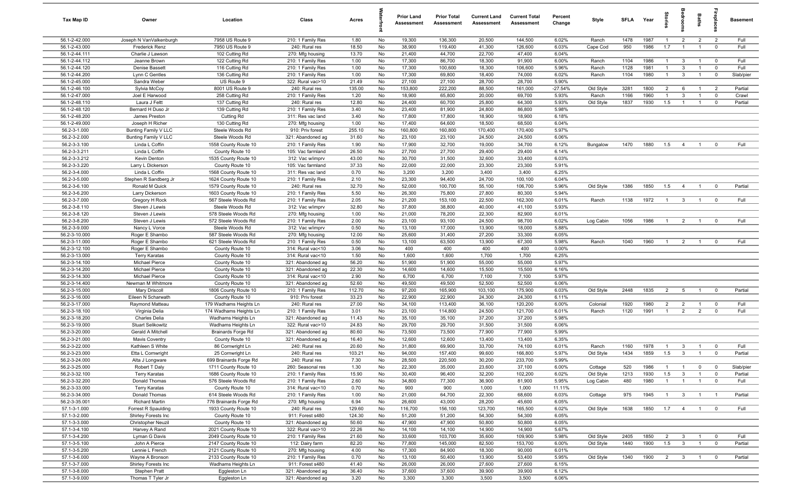| Tax Map ID                     | Owner                                      | Location                                     | Class                                  | Acres           |          | <b>Prior Land</b><br>Assessment | <b>Prior Total</b><br>Assessment | <b>Current Land</b><br>Assessment | <b>Current Total</b><br>Assessment | Percent<br>Change | Style          | <b>SFI A</b> | Year         | Stories                        | droom                        | Baths          | <b>Lepla</b>              | <b>Basement</b> |
|--------------------------------|--------------------------------------------|----------------------------------------------|----------------------------------------|-----------------|----------|---------------------------------|----------------------------------|-----------------------------------|------------------------------------|-------------------|----------------|--------------|--------------|--------------------------------|------------------------------|----------------|---------------------------|-----------------|
| 56.1-2-42.000                  | Joseph N VanValkenburgh                    | 7958 US Route 9                              | 210: 1 Family Res                      | 1.80            | No       | 19,300                          | 136,300                          | 20,500                            | 144,500                            | 6.02%             | Ranch          | 1478         | 1987         | $\overline{1}$                 | $\overline{2}$               | $\overline{2}$ | $\overline{2}$            | Full            |
| 56.1-2-43.000                  | <b>Frederick Renz</b>                      | 7950 US Route 9                              | 240: Rural res                         | 18.50           | No       | 38,900                          | 119,400                          | 41,300                            | 126,600                            | 6.03%             | Cape Cod       | 950          | 1986         | 1.7                            | $\overline{1}$               | $\overline{1}$ | $\mathbf 0$               | Full            |
| 56.1-2-44.111                  | Charlie J Lawson                           | 102 Cutting Rd                               | 270: Mfg housing                       | 13.70           | No       | 21,400                          | 44,700                           | 22,700                            | 47,400                             | 6.04%             |                |              |              |                                |                              |                |                           |                 |
| 56.1-2-44.112<br>56.1-2-44.120 | Jeanne Brown<br>Denise Bassett             | 122 Cutting Rd                               | 210: 1 Family Res                      | 1.00<br>1.00    | No<br>No | 17,300<br>17,300                | 86,700<br>100,600                | 18,300<br>18,300                  | 91,900<br>106,600                  | 6.00%<br>5.96%    | Ranch          | 1104<br>1128 | 1986<br>1981 | $\overline{1}$<br>$\mathbf{1}$ | $\mathbf{3}$<br>$\mathbf{3}$ |                | $\mathbf 0$<br>$^{\circ}$ | Full<br>Full    |
| 56.1-2-44.200                  | Lynn C Gentles                             | 116 Cutting Rd<br>136 Cutting Rd             | 210: 1 Family Res<br>210: 1 Family Res | 1.00            | No       | 17,300                          | 69,800                           | 18,400                            | 74,000                             | 6.02%             | Ranch<br>Ranch | 1104         | 1980         | $\overline{1}$                 | $\mathbf{3}$                 |                | $\mathbf 0$               | Slab/pier       |
| 56.1-2-45.000                  | Sandra Weber                               | US Route 9                                   | 322: Rural vac>10                      | 21.49           | No       | 27,100                          | 27,100                           | 28,700                            | 28,700                             | 5.90%             |                |              |              |                                |                              |                |                           |                 |
| 56.1-2-46.100                  | Sylvia McCoy                               | 8001 US Route 9                              | 240: Rural res                         | 135.00          | No       | 153,800                         | 222,200                          | 88,500                            | 161,000                            | $-27.54%$         | Old Style      | 3281         | 1800         | $\overline{2}$                 | 6                            | $\overline{1}$ | $\overline{2}$            | Partial         |
| 56.1-2-47.000                  | Joel E Harwood                             | 258 Cutting Rd                               | 210: 1 Family Res                      | 1.20            | No       | 18,900                          | 65,800                           | 20,000                            | 69,700                             | 5.93%             | Ranch          | 1166         | 1960         | $\overline{1}$                 | $\mathbf{3}$                 | $\overline{1}$ | $\mathbf 0$               | Crawl           |
| 56.1-2-48.110                  | Laura J Feltt                              | 137 Cutting Rd                               | 240: Rural res                         | 12.80           | No       | 24,400                          | 60,700                           | 25,800                            | 64,300                             | 5.93%             | Old Style      | 1837         | 1930         | 1.5                            | $\overline{1}$               | $\overline{1}$ | $\mathbf 0$               | Partial         |
| 56.1-2-48.120                  | Bernard H Duso Jr                          | 139 Cutting Rd                               | 210: 1 Family Res                      | 3.40            | No       | 23,400                          | 81,900                           | 24,800                            | 86,800                             | 5.98%             |                |              |              |                                |                              |                |                           |                 |
| 56.1-2-48.200                  | James Preston                              | Cutting Rd                                   | 311: Res vac land                      | 3.40            | No       | 17,800                          | 17,800                           | 18,900                            | 18,900                             | 6.18%             |                |              |              |                                |                              |                |                           |                 |
| 56.1-2-49.000                  | Joseph H Richer                            | 130 Cutting Rd                               | 270: Mfg housing                       | 1.00            | No       | 17,400                          | 64,600                           | 18,500                            | 68,500                             | 6.04%             |                |              |              |                                |                              |                |                           |                 |
| 56.2-3-1.000                   | Bunting Family V LLC                       | Steele Woods Rd                              | 910: Priv forest                       | 255.10          | No       | 160,800                         | 160,800                          | 170,400                           | 170,400                            | 5.97%             |                |              |              |                                |                              |                |                           |                 |
| 56.2-3-2.000<br>56.2-3-3.100   | Bunting Family V LLC<br>Linda L Coffin     | Steele Woods Rd<br>1558 County Route 10      | 321: Abandoned ag<br>210: 1 Family Res | 31.60<br>1.90   | No<br>No | 23,100<br>17,900                | 23,100<br>32,700                 | 24,500<br>19,000                  | 24,500<br>34,700                   | 6.06%<br>6.12%    | Bungalow       | 1470         | 1880         | 1.5                            | $\overline{4}$               | $\mathbf{1}$   | $^{\circ}$                | Full            |
| 56.2-3-3.211                   | Linda L Coffin                             | County Route 10                              | 105: Vac farmland                      | 26.50           | No       | 27,700                          | 27,700                           | 29,400                            | 29,400                             | 6.14%             |                |              |              |                                |                              |                |                           |                 |
| 56.2-3-3.212                   | Kevin Denton                               | 1535 County Route 10                         | 312: Vac w/imprv                       | 43.00           | No       | 30,700                          | 31,500                           | 32,600                            | 33,400                             | 6.03%             |                |              |              |                                |                              |                |                           |                 |
| 56.2-3-3.220                   | Larry L Dickerson                          | County Route 10                              | 105: Vac farmland                      | 37.33           | No       | 22,000                          | 22,000                           | 23,300                            | 23,300                             | 5.91%             |                |              |              |                                |                              |                |                           |                 |
| 56.2-3-4.000                   | Linda L Coffin                             | 1568 County Route 10                         | 311: Res vac land                      | 0.70            | No       | 3,200                           | 3,200                            | 3,400                             | 3,400                              | 6.25%             |                |              |              |                                |                              |                |                           |                 |
| 56.2-3-5.000                   | Stephen R Sandberg Jr                      | 1624 County Route 10                         | 210: 1 Family Res                      | 2.10            | No       | 23,300                          | 94,400                           | 24,700                            | 100,100                            | 6.04%             |                |              |              |                                |                              |                |                           |                 |
| 56.2-3-6.100                   | Ronald M Quick                             | 1579 County Route 10                         | 240: Rural res                         | 32.70           | No       | 52,000                          | 100,700                          | 55,100                            | 106,700                            | 5.96%             | Old Style      | 1386         | 1850         | 1.5                            | $\overline{4}$               | $\overline{1}$ | $^{\circ}$                | Partial         |
| 56.2-3-6.200                   | Larry Dickerson                            | 1603 County Route 10                         | 210: 1 Family Res                      | 5.50            | No       | 26,300                          | 75,800                           | 27,800                            | 80,300                             | 5.94%             |                |              |              |                                |                              |                |                           |                 |
| 56.2-3-7.000                   | Gregory H Rock                             | 567 Steele Woods Rd                          | 210: 1 Family Res                      | 2.05            | No       | 21,200                          | 153,100                          | 22,500                            | 162,300                            | 6.01%             | Ranch          | 1138         | 1972         | $\overline{1}$                 | $\mathbf{3}$                 | $\overline{1}$ | $\mathbf 0$               | Full            |
| 56.2-3-8.110                   | Steven J Lewis                             | Steele Woods Rd                              | 312: Vac w/imprv                       | 32.80           | No       | 37,800                          | 38,800                           | 40,000                            | 41,100                             | 5.93%             |                |              |              |                                |                              |                |                           |                 |
| 56.2-3-8.120<br>56.2-3-8.200   | Steven J Lewis<br>Steven J Lewis           | 578 Steele Woods Rd<br>572 Steele Woods Rd   | 270: Mfg housing<br>210: 1 Family Res  | 1.00<br>2.00    | No<br>No | 21,000<br>23,100                | 78,200<br>93,100                 | 22,300<br>24,500                  | 82,900<br>98,700                   | 6.01%<br>6.02%    | Log Cabin      | 1056         | 1986         | $\overline{1}$                 | $\overline{2}$               | $\overline{1}$ | $^{\circ}$                | Full            |
| 56.2-3-9.000                   | Nancy L Vorce                              | Steele Woods Rd                              | 312: Vac w/imprv                       | 0.50            | No       | 13,100                          | 17,000                           | 13,900                            | 18,000                             | 5.88%             |                |              |              |                                |                              |                |                           |                 |
| 56.2-3-10.000                  | Roger E Shambo                             | 587 Steele Woods Rd                          | 270: Mfg housing                       | 12.00           | No       | 25,600                          | 31,400                           | 27,200                            | 33,300                             | 6.05%             |                |              |              |                                |                              |                |                           |                 |
| 56.2-3-11.000                  | Roger E Shambo                             | 621 Steele Woods Rd                          | 210: 1 Family Res                      | 0.50            | No       | 13,100                          | 63,500                           | 13,900                            | 67,300                             | 5.98%             | Ranch          | 1040         | 1960         | $\overline{1}$                 | $\overline{2}$               |                | $^{\circ}$                | Full            |
| 56.2-3-12.100                  | Roger E Shambo                             | County Route 10                              | 314: Rural vac<10                      | 3.06            | No       | 400                             | 400                              | 400                               | 400                                | 0.00%             |                |              |              |                                |                              |                |                           |                 |
| 56.2-3-13.000                  | <b>Terry Karatas</b>                       | County Route 10                              | 314: Rural vac<10                      | 1.50            | No       | 1,600                           | 1,600                            | 1,700                             | 1,700                              | 6.25%             |                |              |              |                                |                              |                |                           |                 |
| 56.2-3-14.100                  | Michael Pierce                             | County Route 10                              | 321: Abandoned ag                      | 56.20           | No       | 51,900                          | 51,900                           | 55,000                            | 55,000                             | 5.97%             |                |              |              |                                |                              |                |                           |                 |
| 56.2-3-14.200                  | Michael Pierce                             | County Route 10                              | 321: Abandoned ag                      | 22.30           | No       | 14,600                          | 14,600                           | 15,500                            | 15,500                             | 6.16%             |                |              |              |                                |                              |                |                           |                 |
| 56.2-3-14.300                  | Michael Pierce                             | County Route 10                              | 314: Rural vac<10                      | 2.90            | No       | 6,700                           | 6,700                            | 7,100                             | 7,100                              | 5.97%             |                |              |              |                                |                              |                |                           |                 |
| 56.2-3-14.400<br>56.2-3-15.000 | Newman M Whitmore                          | County Route 10<br>1806 County Route 10      | 321: Abandoned ag                      | 52.60           | No       | 49,500<br>97,200                | 49,500<br>165,900                | 52,500<br>103,100                 | 52,500<br>175,900                  | 6.06%<br>6.03%    | Old Style      | 2448         | 1835         | $\overline{2}$                 | 5                            | $\overline{1}$ | $^{\circ}$                | Partial         |
| 56.2-3-16.000                  | <b>Mary Driscoll</b><br>Eileen N Scharwath | County Route 10                              | 210: 1 Family Res<br>910: Priv forest  | 112.70<br>33.23 | No<br>No | 22,900                          | 22,900                           | 24,300                            | 24,300                             | 6.11%             |                |              |              |                                |                              |                |                           |                 |
| 56.2-3-17.000                  | Raymond Matteau                            | 179 Wadhams Heights Ln                       | 240: Rural res                         | 27.00           | No       | 34,100                          | 113,400                          | 36,100                            | 120,200                            | 6.00%             | Colonial       | 1920         | 1980         | $\overline{2}$                 | $\overline{2}$               | $\mathbf{1}$   | $\mathbf 0$               | Full            |
| 56.2-3-18.100                  | Virginia Delia                             | 174 Wadhams Heights Ln                       | 210: 1 Family Res                      | 3.01            | No       | 23,100                          | 114,800                          | 24,500                            | 121,700                            | 6.01%             | Ranch          | 1120         | 1991         | $\overline{1}$                 | $\overline{2}$               | $\overline{2}$ | $\Omega$                  | Full            |
| 56.2-3-18.200                  | Charles Delia                              | Wadhams Heights Ln                           | 321: Abandoned ag                      | 11.43           | No       | 35,100                          | 35,100                           | 37,200                            | 37,200                             | 5.98%             |                |              |              |                                |                              |                |                           |                 |
| 56.2-3-19.000                  | <b>Stuart Selikowitz</b>                   | Wadhams Heights Ln                           | 322: Rural vac>10                      | 24.83           | No       | 29,700                          | 29,700                           | 31,500                            | 31,500                             | 6.06%             |                |              |              |                                |                              |                |                           |                 |
| 56.2-3-20.000                  | Gerald A Mitchell                          | Brainards Forge Rd                           | 321: Abandoned ag                      | 80.60           | No       | 73,500                          | 73,500                           | 77,900                            | 77,900                             | 5.99%             |                |              |              |                                |                              |                |                           |                 |
| 56.2-3-21.000                  | <b>Mavis Coventry</b>                      | County Route 10                              | 321: Abandoned ag                      | 16.40           | No       | 12,600                          | 12,600                           | 13,400                            | 13,400                             | 6.35%             |                |              |              |                                |                              |                |                           |                 |
| 56.2-3-22.000                  | Kathleen S White                           | 86 Cornwright Ln                             | 240: Rural res                         | 20.60           | No       | 31,800                          | 69,900                           | 33,700                            | 74,100                             | 6.01%             | Ranch          | 1160         | 1978         | $\overline{1}$                 | $\mathbf{3}$                 |                | $\mathbf 0$               | Full            |
| 56.2-3-23.000<br>56.2-3-24.000 | Etta L Cornwright                          | 25 Cornwright Ln<br>699 Brainards Forge Rd   | 240: Rural res<br>240: Rural res       | 103.21<br>7.30  | No<br>No | 94,000<br>28,500                | 157,400<br>220,500               | 99,600<br>30,200                  | 166,800<br>233,700                 | 5.97%<br>5.99%    | Old Style      | 1434         | 1859         | 1.5                            | $\overline{3}$               | $\overline{1}$ | $\mathbf 0$               | Partial         |
| 56.2-3-25.000                  | Alta J Longware<br>Robert T Daly           | 1711 County Route 10                         | 260: Seasonal res                      | 1.30            | No       | 22,300                          | 35,000                           | 23,600                            | 37,100                             | 6.00%             | Cottage        | 520          | 1986         | $\overline{1}$                 | $\overline{1}$               | $\mathbf 0$    | $\overline{0}$            | Slab/pier       |
| 56.2-3-32.100                  | <b>Terry Karatas</b>                       | 1686 County Route 10                         | 210: 1 Family Res                      | 15.90           | No       | 30,400                          | 96,400                           | 32,200                            | 102,200                            | 6.02%             | Old Style      | 1213         | 1930         | 1.5                            | $\mathbf{3}$                 | $\overline{1}$ | $\overline{0}$            | Partial         |
| 56.2-3-32.200                  | Donald Thomas                              | 576 Steele Woods Rd                          | 210: 1 Family Res                      | 2.60            | No       | 34,800                          | 77,300                           | 36,900                            | 81,900                             | 5.95%             | Log Cabin      | 480          | 1980         | $\overline{1}$                 | $\overline{1}$               | $\mathbf{1}$   | $\mathbf 0$               | Full            |
| 56.2-3-33.000                  | Terry Karatas                              | County Route 10                              | 314: Rural vac<10                      | 0.70            | No       | 900                             | 900                              | 1,000                             | 1,000                              | 11.11%            |                |              |              |                                |                              |                |                           |                 |
| 56.2-3-34.000                  | Donald Thomas                              | 614 Steele Woods Rd                          | 210: 1 Family Res                      | 1.00            | No       | 21,000                          | 64,700                           | 22,300                            | 68,600                             | 6.03%             | Cottage        | 975          | 1945         | $\overline{1}$                 | $\mathbf{3}$                 | $\mathbf{1}$   | $\overline{1}$            | Partial         |
| 56.2-3-35.001                  | Richard Martin                             | 776 Brainards Forge Rd                       | 270: Mfg housing                       | 6.94            | No       | 26,600                          | 43,000                           | 28,200                            | 45,600                             | 6.05%             |                |              |              |                                |                              |                |                           |                 |
| 57.1-3-1.000                   | Forrest R Spaulding                        | 1933 County Route 10                         | 240: Rural res                         | 129.60          | No       | 116,700                         | 156,100                          | 123,700                           | 165,500                            | 6.02%             | Old Style      | 1638         | 1850         | 1.7                            | $\overline{4}$               | $\mathbf{1}$   | $\mathbf 0$               | Full            |
| 57.1-3-2.000                   | Shirley Forests Inc                        | County Route 10                              | 911: Forest s480                       | 124.30          | No       | 51,200                          | 51,200                           | 54,300                            | 54,300                             | 6.05%             |                |              |              |                                |                              |                |                           |                 |
| 57.1-3-3.000<br>57.1-3-4.100   | Christopher Neuzil                         | County Route 10                              | 321: Abandoned ag<br>322: Rural vac>10 | 50.60<br>22.26  | No<br>No | 47,900<br>14,100                | 47,900<br>14,100                 | 50,800<br>14,900                  | 50,800<br>14,900                   | 6.05%<br>5.67%    |                |              |              |                                |                              |                |                           |                 |
| 57.1-3-4.200                   | Harvey A Rand<br>Lyman G Davis             | 2021 County Route 10<br>2049 County Route 10 | 210: 1 Family Res                      | 21.60           | No       | 33,600                          | 103,700                          | 35,600                            | 109,900                            | 5.98%             | Old Style      | 2405         | 1850         | $\overline{2}$                 | $\mathbf{3}$                 | $\overline{1}$ | $\overline{0}$            | Full            |
| 57.1-3-5.100                   | John A Pierce                              | 2147 County Route 10                         | 112: Dairy farm                        | 82.20           | No       | 77,800                          | 145,000                          | 82,500                            | 153,700                            | 6.00%             | Old Style      | 1440         | 1900         | 1.5                            | $\mathbf{3}$                 | $\mathbf{1}$   | $\overline{\mathbf{0}}$   | Partial         |
| 57.1-3-5.200                   | Lennie L French                            | 2121 County Route 10                         | 270: Mfg housing                       | 4.00            | No       | 17,300                          | 84,900                           | 18,300                            | 90,000                             | 6.01%             |                |              |              |                                |                              |                |                           |                 |
| 57.1-3-6.000                   | Wayne A Bronson                            | 2133 County Route 10                         | 210: 1 Family Res                      | 0.70            | No       | 13,100                          | 50,400                           | 13,900                            | 53,400                             | 5.95%             | Old Style      | 1340         | 1900         | $\overline{2}$                 | $\overline{\mathbf{3}}$      | $\mathbf{1}$   | $\mathbf 0$               | Partial         |
| 57.1-3-7.000                   | Shirley Forests Inc                        | Wadhams Heights Ln                           | 911: Forest s480                       | 41.40           | No       | 26,000                          | 26,000                           | 27,600                            | 27,600                             | 6.15%             |                |              |              |                                |                              |                |                           |                 |
| 57.1-3-8.000                   | Stephen Pratt                              | Eggleston Ln                                 | 321: Abandoned ag                      | 36.40           | No       | 37,600                          | 37,600                           | 39,900                            | 39,900                             | 6.12%             |                |              |              |                                |                              |                |                           |                 |
| 57.1-3-9.000                   | Thomas T Tyler Jr                          | Eggleston Ln                                 | 321: Abandoned ag                      | 3.20            | No       | 3,300                           | 3,300                            | 3,500                             | 3,500                              | 6.06%             |                |              |              |                                |                              |                |                           |                 |